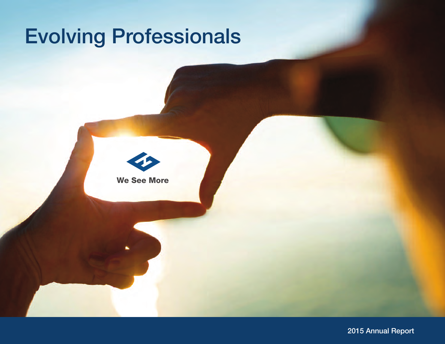# Evolving Professionals



2015 Annual Report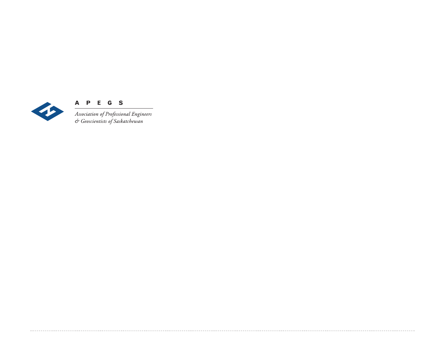

**A P E G S**<br>Association of Professional Engineers<br>& Geoscientists of Saskatchewan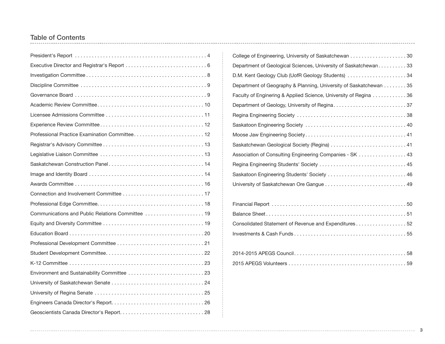## Table of Contents

| Professional Practice Examination Committee 12    |
|---------------------------------------------------|
|                                                   |
|                                                   |
|                                                   |
|                                                   |
|                                                   |
|                                                   |
|                                                   |
| Communications and Public Relations Committee  19 |
|                                                   |
|                                                   |
|                                                   |
|                                                   |
|                                                   |
|                                                   |
|                                                   |
|                                                   |
|                                                   |
|                                                   |

| College of Engineering, University of Saskatchewan 30             |
|-------------------------------------------------------------------|
| Department of Geological Sciences, University of Saskatchewan33   |
| D.M. Kent Geology Club (UofR Geology Students) 34                 |
| Department of Geography & Planning, University of Saskatchewan 35 |
| Faculty of Enginering & Applied Science, University of Regina 36  |
|                                                                   |
|                                                                   |
|                                                                   |
|                                                                   |
|                                                                   |
| Association of Consulting Engineering Companies - SK 43           |
|                                                                   |
| Saskatoon Engineering Students' Society  46                       |
|                                                                   |
|                                                                   |

| Consolidated Statement of Revenue and Expenditures52 |  |
|------------------------------------------------------|--|
|                                                      |  |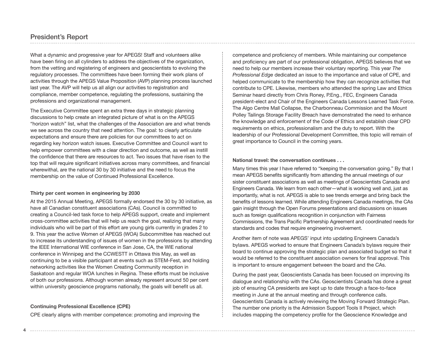## President's Report

What a dynamic and progressive year for APEGS! Staff and volunteers alike have been firing on all cylinders to address the objectives of the organization, from the vetting and registering of engineers and geoscientists to evolving the regulatory processes. The committees have been forming their work plans of activities through the APEGS Value Proposition (AVP) planning process launched last year. The AVP will help us all align our activities to registration and compliance, member competence, regulating the professions, sustaining the professions and organizational management.

The Executive Committee spent an extra three days in strategic planning discussions to help create an integrated picture of what is on the APEGS "horizon watch" list, what the challenges of the Association are and what trends we see across the country that need attention. The goal: to clearly articulate expectations and ensure there are policies for our committees to act on regarding key horizon watch issues. Executive Committee and Council want to help empower committees with a clear direction and outcome, as well as instill the confidence that there are resources to act. Two issues that have risen to the top that will require significant initiatives across many committees, and financial wherewithal, are the national 30 by 30 initiative and the need to focus the membership on the value of Continued Professional Excellence.

#### **Thirty per cent women in engineering by 2030**

At the 2015 Annual Meeting, APEGS formally endorsed the 30 by 30 initiative, as have all Canadian constituent associations (CAs). Council is committed to creating a Council-led task force to help APEGS support, create and implement cross-committee activities that will help us reach the goal, realizing that many individuals who will be part of this effort are young girls currently in grades 2 to 9. This year the active Women of APEGS (WOA) Subcommittee has reached out to increase its understanding of issues of women in the professions by attending the IEEE International WIE conference in San Jose, CA, the WIE national conference in Winnipeg and the CCWESTT in Ottawa this May, as well as continuing to be a visible participant at events such as STEM-Fest, and holding networking activities like the Women Creating Community reception in Saskatoon and regular WOA lunches in Regina. These efforts must be inclusive of both our professions. Although women already represent around 50 per cent within university geoscience programs nationally, the goals will benefit us all.

#### **Continuing Professional Excellence (CPE)**

CPE clearly aligns with member competence: promoting and improving the

competence and proficiency of members. While maintaining our competence and proficiency are part of our professional obligation, APEGS believes that we need to help our members increase their voluntary reporting. This year *The Professional Edge* dedicated an issue to the importance and value of CPE, and helped communicate to the membership how they can recognize activities that contribute to CPE. Likewise, members who attended the spring Law and Ethics Seminar heard directly from Chris Roney, P.Eng., FEC, Engineers Canada president-elect and Chair of the Engineers Canada Lessons Learned Task Force. The Algo Centre Mall Collapse, the Charbonneau Commission and the Mount Polley Tailings Storage Facility Breach have demonstrated the need to enhance the knowledge and enforcement of the Code of Ethics and establish clear CPD requirements on ethics, professionalism and the duty to report. With the leadership of our Professional Development Committee, this topic will remain of great importance to Council in the coming years.

#### **National travel: the conversation continues . . .**

Many times this year I have referred to "keeping the conversation going." By that I mean APEGS benefits significantly from attending the annual meetings of our sister constituent associations as well as meetings of Geoscientists Canada and Engineers Canada. We learn from each other—what is working well and, just as importantly, what is not. APEGS is able to see trends emerge and bring back the benefits of lessons learned. While attending Engineers Canada meetings, the CAs gain insight through the Open Forums presentations and discussions on issues such as foreign qualifications recognition in conjunction with Fairness Commissions, the Trans Pacific Partnership Agreement and coordinated needs for standards and codes that require engineering involvement.

Another item of note was APEGS' input into updating Engineers Canada's bylaws. APEGS worked to ensure that Engineers Canada's bylaws require their board to continue approving the strategic plan and associated budget so that it would be referred to the constituent association owners for final approval. This is important to ensure engagement between the board and the CAs.

During the past year, Geoscientists Canada has been focused on improving its dialogue and relationship with the CAs. Geoscientists Canada has done a great job of ensuring CA presidents are kept up to date through a face-to-face meeting in June at the annual meeting and through conference calls. Geoscientists Canada is actively reviewing the Moving Forward Strategic Plan. The number one priority is the Admission Support Tools II Project, which includes mapping the competency profile for the Geoscience Knowledge and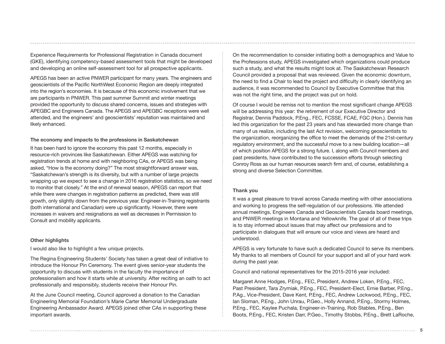Experience Requirements for Professional Registration in Canada document (GKE), identifying competency-based assessment tools that might be developed and developing an online self-assessment tool for all prospective applicants.

APEGS has been an active PNWER participant for many years. The engineers and geoscientists of the Pacific NorthWest Economic Region are deeply integrated into the region's economies. It is because of this economic involvement that we are participants in PNWER. This past summer Summit and winter meetings provided the opportunity to discuss shared concerns, issues and strategies with APEGBC and Engineers Canada. The APEGS and APEGBC receptions were well attended, and the engineers' and geoscientists' reputation was maintained and likely enhanced.

#### **The economy and impacts to the professions in Saskatchewan**

It has been hard to ignore the economy this past 12 months, especially in resource-rich provinces like Saskatchewan. Either APEGS was watching for registration trends at home and with neighboring CAs, or APEGS was being asked, "How is the economy doing?" The most straightforward answer was, "Saskatchewan's strength is its diversity, but with a number of large projects wrapping up we expect to see a change in 2016 registration statistics, so we need to monitor that closely." At the end of renewal season, APEGS can report that while there were changes in registration patterns as predicted, there was still growth, only slightly down from the previous year. Engineer-in-Training registrants (both international and Canadian) were up significantly. However, there were increases in waivers and resignations as well as decreases in Permission to Consult and mobility applicants.

#### **Other highlights**

I would also like to highlight a few unique projects.

The Regina Engineering Students' Society has taken a great deal of initiative to introduce the Honour Pin Ceremony. The event gives senior-year students the opportunity to discuss with students in the faculty the importance of professionalism and how it starts while at university. After reciting an oath to act professionally and responsibly, students receive their Honour Pin.

At the June Council meeting, Council approved a donation to the Canadian Engineering Memorial Foundation's Marie Carter Memorial Undergraduate Engineering Ambassador Award. APEGS joined other CAs in supporting these important awards.

On the recommendation to consider initiating both a demographics and Value to the Professions study, APEGS investigated which organizations could produce such a study, and what the results might look at. The Saskatchewan Research Council provided a proposal that was reviewed. Given the economic downturn, the need to find a Chair to lead the project and difficulty in clearly identifying an audience, it was recommended to Council by Executive Committee that this was not the right time, and the project was put on hold.

Of course I would be remiss not to mention the most significant change APEGS will be addressing this year: the retirement of our Executive Director and Registrar, Dennis Paddock, P.Eng., FEC, FCSSE, FCAE, FGC (Hon.). Dennis has led this organization for the past 23 years and has stewarded more change than many of us realize, including the last Act revision, welcoming geoscientists to the organization, reorganizing the office to meet the demands of the 21st-century regulatory environment, and the successful move to a new building location—all of which position APEGS for a strong future. I, along with Council members and past presidents, have contributed to the succession efforts through selecting Conroy Ross as our human resources search firm and, of course, establishing a strong and diverse Selection Committee.

#### **Thank you**

It was a great pleasure to travel across Canada meeting with other associations and working to progress the self-regulation of our professions. We attended annual meetings, Engineers Canada and Geoscientists Canada board meetings, and PNWER meetings in Montana and Yellowknife. The goal of all of these trips is to stay informed about issues that may affect our professions and to participate in dialogues that will ensure our voice and views are heard and understood.

APEGS is very fortunate to have such a dedicated Council to serve its members. My thanks to all members of Council for your support and all of your hard work during the past year.

Council and national representatives for the 2015-2016 year included:

Margaret Anne Hodges, P.Eng., FEC, President, Andrew Loken, P.Eng., FEC, Past President, Tara Zrymiak, P.Eng., FEC, President-Elect, Ernie Barber, P.Eng., P.Ag., Vice-President, Dave Kent, P.Eng., FEC, Andrew Lockwood, P.Eng., FEC, Ian Sloman, P.Eng., John Unrau, P.Geo., Holly Annand, P.Eng., Stormy Holmes, P.Eng., FEC, Kaylee Puchala, Engineer-in-Training, Rob Stables, P.Eng., Ben Boots, P.Eng., FEC, Kristen Darr, P.Geo., Timothy Stobbs, P.Eng., Brett LaRoche,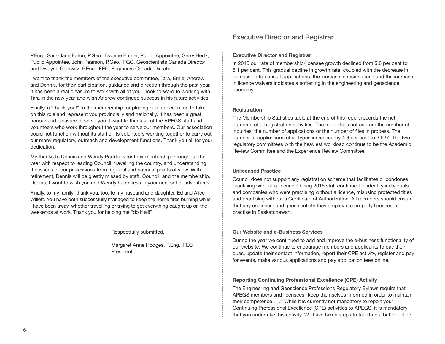P.Eng., Sara-Jane Eaton, P.Geo., Dwaine Entner, Public Appointee, Gerry Hertz, Public Appointee, John Pearson, P.Geo., FGC, Geoscientists Canada Director and Dwayne Gelowitz, P.Eng., FEC, Engineers Canada Director.

I want to thank the members of the executive committee, Tara, Ernie, Andrew and Dennis, for their participation, guidance and direction through the past year. It has been a real pleasure to work with all of you. I look forward to working with Tara in the new year and wish Andrew continued success in his future activities.

Finally, a "thank you!" to the membership for placing confidence in me to take on this role and represent you provincially and nationally. It has been a great honour and pleasure to serve you. I want to thank all of the APEGS staff and volunteers who work throughout the year to serve our members. Our association could not function without its staff or its volunteers working together to carry out our many regulatory, outreach and development functions. Thank you all for your dedication.

My thanks to Dennis and Wendy Paddock for their mentorship throughout the year with respect to leading Council, travelling the country, and understanding the issues of our professions from regional and national points of view. With retirement, Dennis will be greatly missed by staff, Council, and the membership. Dennis, I want to wish you and Wendy happiness in your next set of adventures.

Finally, to my family: thank you, too, to my husband and daughter, Ed and Alice Willett. You have both successfully managed to keep the home fires burning while I have been away, whether travelling or trying to get everything caught up on the weekends at work. Thank you for helping me "do it all!"

#### Respectfully submitted,

Margaret Anne Hodges, P.Eng., FEC President

## Executive Director and Registrar

#### **Executive Director and Registrar**

In 2015 our rate of membership/licensee growth declined from 5.8 per cent to 5.1 per cent. This gradual decline in growth rate, coupled with the decrease in permission to consult applications, the increase in resignations and the increase in licence waivers indicates a softening in the engineering and geoscience economy.

#### **Registration**

The Membership Statistics table at the end of this report records the net outcome of all registration activities. The table does not capture the number of inquiries, the number of applications or the number of files in process. The number of applications of all types increased by 4.6 per cent to 2,927. The two regulatory committees with the heaviest workload continue to be the Academic Review Committee and the Experience Review Committee.

#### **Unlicensed Practice**

Council does not support any registration scheme that facilitates or condones practising without a licence. During 2015 staff continued to identify individuals and companies who were practising without a licence, misusing protected titles and practising without a Certificate of Authorization. All members should ensure that any engineers and geoscientists they employ are properly licensed to practise in Saskatchewan.

#### **Our Website and e-Business Services**

During the year we continued to add and improve the e-business functionality of our website. We continue to encourage members and applicants to pay their dues, update their contact information, report their CPE activity, register and pay for events, make various applications and pay application fees online.

#### **Reporting Continuing Professional Excellence (CPE) Activity**

The Engineering and Geoscience Professions Regulatory Bylaws require that APEGS members and licensees "keep themselves informed in order to maintain their competence . . ." While it is currently not mandatory to report your Continuing Professional Excellence (CPE) activities to APEGS, it is mandatory that you undertake this activity. We have taken steps to facilitate a better online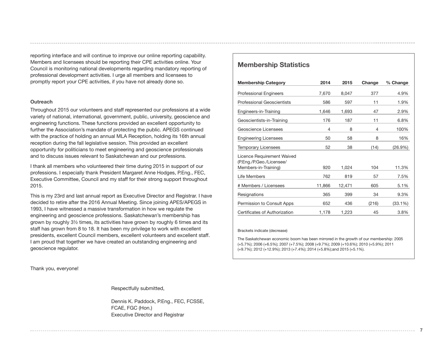reporting interface and will continue to improve our online reporting capability. Members and licensees should be reporting their CPE activities online. Your Council is monitoring national developments regarding mandatory reporting of professional development activities. I urge all members and licensees to promptly report your CPE activities, if you have not already done so.

#### **Outreach**

Throughout 2015 our volunteers and staff represented our professions at a wide variety of national, international, government, public, university, geoscience and engineering functions. These functions provided an excellent opportunity to further the Association's mandate of protecting the public. APEGS continued with the practice of holding an annual MLA Reception, holding its 16th annual reception during the fall legislative session. This provided an excellent opportunity for politicians to meet engineering and geoscience professionals and to discuss issues relevant to Saskatchewan and our professions.

I thank all members who volunteered their time during 2015 in support of our professions. I especially thank President Margaret Anne Hodges, P.Eng., FEC, Executive Committee, Council and my staff for their strong support throughout 2015.

This is my 23rd and last annual report as Executive Director and Registrar. I have decided to retire after the 2016 Annual Meeting. Since joining APES/APEGS in 1993, I have witnessed a massive transformation in how we regulate the engineering and geoscience professions. Saskatchewan's membership has grown by roughly 3½ times, its activities have grown by roughly 6 times and its staff has grown from 8 to 18. It has been my privilege to work with excellent presidents, excellent Council members, excellent volunteers and excellent staff. I am proud that together we have created an outstanding engineering and geoscience regulator.

### **Membership Statistics**

| <b>Membership Category</b>                       | 2014   | 2015   | Change | % Change   |
|--------------------------------------------------|--------|--------|--------|------------|
| <b>Professional Engineers</b>                    | 7,670  | 8,047  | 377    | 4.9%       |
| <b>Professional Geoscientists</b>                | 586    | 597    | 11     | 1.9%       |
| Engineers-in-Training                            | 1,646  | 1,693  | 47     | 2.9%       |
| Geoscientists-in-Training                        | 176    | 187    | 11     | $6.8\%$    |
| Geoscience Licensees                             | 4      | 8      | 4      | 100%       |
| <b>Engineering Licensees</b>                     | 50     | 58     | 8      | 16%        |
| <b>Temporary Licensees</b>                       | 52     | 38     | (14)   | $(26.9\%)$ |
| Licence Requirement Waived                       |        |        |        |            |
| (P.Eng./P.Geo./Licensee/<br>Members-in-Training) | 920    | 1.024  | 104    | 11.3%      |
| Life Members                                     | 762    | 819    | 57     | 7.5%       |
| # Members / Licensees                            | 11,866 | 12,471 | 605    | 5.1%       |
| Resignations                                     | 365    | 399    | 34     | 9.3%       |
| Permission to Consult Apps                       | 652    | 436    | (216)  | (33.1%)    |
| Certificates of Authorization                    | 1,178  | 1,223  | 45     | 3.8%       |

#### Brackets indicate (decrease)

The Saskatchewan economic boom has been mirrored in the growth of our membership: 2005 (+5.7%); 2006 (+6.5%); 2007 (+7.5%); 2008 (+9.7%); 2009 (+10.6%); 2010 (+5.9%); 2011 (+9.7%); 2012 (+12.9%); 2013 (+7.4%); 2014 (+5.8%);and 2015 (+5.1%).

**7**

Thank you, everyone!

Respectfully submitted,

Dennis K. Paddock, P.Eng., FEC, FCSSE, FCAE, FGC (Hon.) Executive Director and Registrar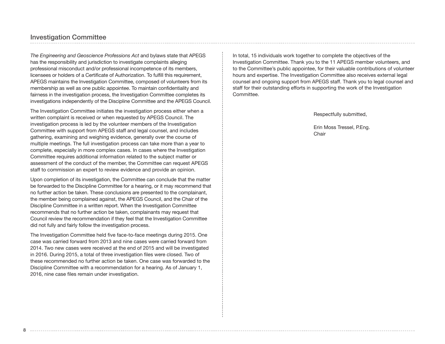### Investigation Committee

*The Engineering and Geoscience Professions Act* and bylaws state that APEGS has the responsibility and jurisdiction to investigate complaints alleging professional misconduct and/or professional incompetence of its members, licensees or holders of a Certificate of Authorization. To fulfill this requirement, APEGS maintains the Investigation Committee, composed of volunteers from its membership as well as one public appointee. To maintain confidentiality and fairness in the investigation process, the Investigation Committee completes its investigations independently of the Discipline Committee and the APEGS Council.

The Investigation Committee initiates the investigation process either when a written complaint is received or when requested by APEGS Council. The investigation process is led by the volunteer members of the Investigation Committee with support from APEGS staff and legal counsel, and includes gathering, examining and weighing evidence, generally over the course of multiple meetings. The full investigation process can take more than a year to complete, especially in more complex cases. In cases where the Investigation Committee requires additional information related to the subject matter or assessment of the conduct of the member, the Committee can request APEGS staff to commission an expert to review evidence and provide an opinion.

Upon completion of its investigation, the Committee can conclude that the matter be forwarded to the Discipline Committee for a hearing, or it may recommend that no further action be taken. These conclusions are presented to the complainant, the member being complained against, the APEGS Council, and the Chair of the Discipline Committee in a written report. When the Investigation Committee recommends that no further action be taken, complainants may request that Council review the recommendation if they feel that the Investigation Committee did not fully and fairly follow the investigation process.

The Investigation Committee held five face-to-face meetings during 2015. One case was carried forward from 2013 and nine cases were carried forward from 2014. Two new cases were received at the end of 2015 and will be investigated in 2016. During 2015, a total of three investigation files were closed. Two of these recommended no further action be taken. One case was forwarded to the Discipline Committee with a recommendation for a hearing. As of January 1, 2016, nine case files remain under investigation.

In total, 15 individuals work together to complete the objectives of the Investigation Committee. Thank you to the 11 APEGS member volunteers, and to the Committee's public appointee, for their valuable contributions of volunteer hours and expertise. The Investigation Committee also receives external legal counsel and ongoing support from APEGS staff. Thank you to legal counsel and staff for their outstanding efforts in supporting the work of the Investigation Committee.

Respectfully submitted,

Erin Moss Tressel, P.Eng. Chair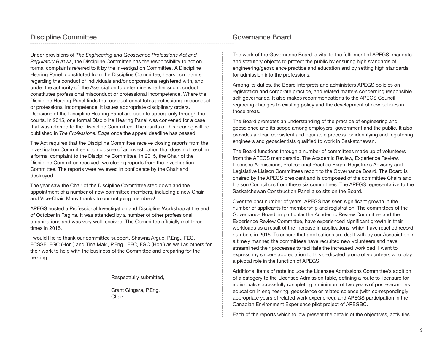Under provisions of *The Engineering and Geoscience Professions Act and Regulatory Bylaws*, the Discipline Committee has the responsibility to act on formal complaints referred to it by the Investigation Committee. A Discipline Hearing Panel, constituted from the Discipline Committee, hears complaints regarding the conduct of individuals and/or corporations registered with, and under the authority of, the Association to determine whether such conduct constitutes professional misconduct or professional incompetence. Where the Discipline Hearing Panel finds that conduct constitutes professional misconduct or professional incompetence, it issues appropriate disciplinary orders. Decisions of the Discipline Hearing Panel are open to appeal only through the courts. In 2015, one formal Discipline Hearing Panel was convened for a case that was referred to the Discipline Committee. The results of this hearing will be published in *The Professional Edge* once the appeal deadline has passed.

The Act requires that the Discipline Committee receive closing reports from the Investigation Committee upon closure of an investigation that does not result in a formal complaint to the Discipline Committee. In 2015, the Chair of the Discipline Committee received two closing reports from the Investigation Committee. The reports were reviewed in confidence by the Chair and destroyed.

The year saw the Chair of the Discipline Committee step down and the appointment of a number of new committee members, including a new Chair and Vice-Chair. Many thanks to our outgoing members!

APEGS hosted a Professional Investigation and Discipline Workshop at the end of October in Regina. It was attended by a number of other professional organizations and was very well received. The Committee officially met three times in 2015.

I would like to thank our committee support, Shawna Argue, P.Eng., FEC, FCSSE, FGC (Hon.) and Tina Maki, P.Eng., FEC, FGC (Hon.) as well as others for their work to help with the business of the Committee and preparing for the hearing.

Respectfully submitted,

Grant Gingara, P.Eng. **Chair** 

## Governance Board

The work of the Governance Board is vital to the fulfillment of APEGS' mandate and statutory objects to protect the public by ensuring high standards of engineering/geoscience practice and education and by setting high standards for admission into the professions.

Among its duties, the Board interprets and administers APEGS policies on registration and corporate practice, and related matters concerning responsible self-governance. It also makes recommendations to the APEGS Council regarding changes to existing policy and the development of new policies in those areas.

The Board promotes an understanding of the practice of engineering and geoscience and its scope among employers, government and the public. It also provides a clear, consistent and equitable process for identifying and registering engineers and geoscientists qualified to work in Saskatchewan.

The Board functions through a number of committees made up of volunteers from the APEGS membership. The Academic Review, Experience Review, Licensee Admissions, Professional Practice Exam, Registrar's Advisory and Legislative Liaison Committees report to the Governance Board. The Board is chaired by the APEGS president and is composed of the committee Chairs and Liaison Councillors from these six committees. The APEGS representative to the Saskatchewan Construction Panel also sits on the Board.

Over the past number of years, APEGS has seen significant growth in the number of applicants for membership and registration. The committees of the Governance Board, in particular the Academic Review Committee and the Experience Review Committee, have experienced significant growth in their workloads as a result of the increase in applications, which have reached record numbers in 2015. To ensure that applications are dealt with by our Association in a timely manner, the committees have recruited new volunteers and have streamlined their processes to facilitate the increased workload. I want to express my sincere appreciation to this dedicated group of volunteers who play a pivotal role in the function of APEGS.

Additional items of note include the Licensee Admissions Committee's addition of a category to the Licensee Admission table, defining a route to licensure for individuals successfully completing a minimum of two years of post-secondary education in engineering, geoscience or related science (with correspondingly appropriate years of related work experience), and APEGS participation in the Canadian Environment Experience pilot project of APEGBC.

Each of the reports which follow present the details of the objectives, activities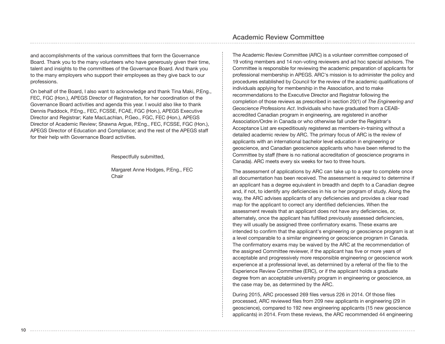and accomplishments of the various committees that form the Governance Board. Thank you to the many volunteers who have generously given their time, talent and insights to the committees of the Governance Board. And thank you to the many employers who support their employees as they give back to our professions.

On behalf of the Board, I also want to acknowledge and thank Tina Maki, P.Eng., FEC, FGC (Hon.), APEGS Director of Registration, for her coordination of the Governance Board activities and agenda this year. I would also like to thank Dennis Paddock, P.Eng., FEC, FCSSE, FCAE, FGC (Hon.), APEGS Executive Director and Registrar; Kate MacLachlan, P.Geo., FGC, FEC (Hon.), APEGS Director of Academic Review; Shawna Argue, P.Eng., FEC, FCSSE, FGC (Hon.), APEGS Director of Education and Compliance; and the rest of the APEGS staff for their help with Governance Board activities.

Respectfully submitted,

Margaret Anne Hodges, P.Eng., FEC Chair

The Academic Review Committee (ARC) is a volunteer committee composed of 19 voting members and 14 non-voting reviewers and ad hoc special advisors. The Committee is responsible for reviewing the academic preparation of applicants for professional membership in APEGS. ARC's mission is to administer the policy and procedures established by Council for the review of the academic qualifications of individuals applying for membership in the Association, and to make recommendations to the Executive Director and Registrar following the completion of those reviews as prescribed in section 20(1) of *The Engineering and Geoscience Professions Act*. Individuals who have graduated from a CEABaccredited Canadian program in engineering, are registered in another Association/Ordre in Canada or who otherwise fall under the Registrar's Acceptance List are expeditiously registered as members-in-training without a detailed academic review by ARC. The primary focus of ARC is the review of applicants with an international bachelor level education in engineering or geoscience, and Canadian geoscience applicants who have been referred to the Committee by staff (there is no national accreditation of geoscience programs in Canada). ARC meets every six weeks for two to three hours.

The assessment of applications by ARC can take up to a year to complete once all documentation has been received. The assessment is required to determine if an applicant has a degree equivalent in breadth and depth to a Canadian degree and, if not, to identify any deficiencies in his or her program of study. Along the way, the ARC advises applicants of any deficiencies and provides a clear road map for the applicant to correct any identified deficiencies. When the assessment reveals that an applicant does not have any deficiencies, or, alternately, once the applicant has fulfilled previously assessed deficiencies, they will usually be assigned three confirmatory exams. These exams are intended to confirm that the applicant's engineering or geoscience program is at a level comparable to a similar engineering or geoscience program in Canada. The confirmatory exams may be waived by the ARC at the recommendation of the assigned Committee reviewer, if the applicant has five or more years of acceptable and progressively more responsible engineering or geoscience work experience at a professional level, as determined by a referral of the file to the Experience Review Committee (ERC), or if the applicant holds a graduate degree from an acceptable university program in engineering or geoscience, as the case may be, as determined by the ARC.

During 2015, ARC processed 269 files versus 226 in 2014. Of those files processed, ARC reviewed files from 209 new applicants in engineering (29 in geoscience), compared to 192 new engineering applicants (15 new geoscience applicants) in 2014. From these reviews, the ARC recommended 44 engineering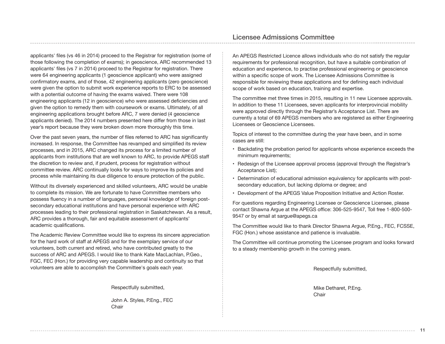applicants' files (vs 46 in 2014) proceed to the Registrar for registration (some of those following the completion of exams); in geoscience, ARC recommended 13 applicants' files (vs 7 in 2014) proceed to the Registrar for registration. There were 64 engineering applicants (1 geoscience applicant) who were assigned confirmatory exams, and of those, 42 engineering applicants (zero geoscience) were given the option to submit work experience reports to ERC to be assessed with a potential outcome of having the exams waived. There were 108 engineering applicants (12 in geoscience) who were assessed deficiencies and given the option to remedy them with coursework or exams. Ultimately, of all engineering applications brought before ARC, 7 were denied (4 geoscience applicants denied). The 2014 numbers presented here differ from those in last year's report because they were broken down more thoroughly this time.

Over the past seven years, the number of files referred to ARC has significantly increased. In response, the Committee has revamped and simplified its review processes, and in 2015, ARC changed its process for a limited number of applicants from institutions that are well known to ARC, to provide APEGS staff the discretion to review and, if prudent, process for registration without committee review. ARC continually looks for ways to improve its policies and process while maintaining its due diligence to ensure protection of the public.

Without its diversely experienced and skilled volunteers, ARC would be unable to complete its mission. We are fortunate to have Committee members who possess fluency in a number of languages, personal knowledge of foreign postsecondary educational institutions and have personal experience with ARC processes leading to their professional registration in Saskatchewan. As a result, ARC provides a thorough, fair and equitable assessment of applicants' academic qualifications.

The Academic Review Committee would like to express its sincere appreciation for the hard work of staff at APEGS and for the exemplary service of our volunteers, both current and retired, who have contributed greatly to the success of ARC and APEGS. I would like to thank Kate MacLachlan, P.Geo., FGC, FEC (Hon.) for providing very capable leadership and continuity so that volunteers are able to accomplish the Committee's goals each year.

Respectfully submitted,

John A. Styles, P.Eng., FEC **Chair** 

An APEGS Restricted Licence allows individuals who do not satisfy the regular requirements for professional recognition, but have a suitable combination of education and experience, to practise professional engineering or geoscience within a specific scope of work. The Licensee Admissions Committee is responsible for reviewing these applications and for defining each individual scope of work based on education, training and expertise.

The committee met three times in 2015, resulting in 11 new Licensee approvals. In addition to these 11 Licensees, seven applicants for interprovincial mobility were approved directly through the Registrar's Acceptance List. There are currently a total of 69 APEGS members who are registered as either Engineering Licensees or Geoscience Licensees.

Topics of interest to the committee during the year have been, and in some cases are still:

- Backdating the probation period for applicants whose experience exceeds the minimum requirements;
- Redesign of the Licensee approval process (approval through the Registrar's Acceptance List);
- Determination of educational admission equivalency for applicants with postsecondary education, but lacking diploma or degree; and
- Development of the APEGS Value Proposition Initiative and Action Roster.

For questions regarding Engineering Licensee or Geoscience Licensee, please contact Shawna Argue at the APEGS office: 306-525-9547, Toll free 1-800-500- 9547 or by email at sargue@apegs.ca

The Committee would like to thank Director Shawna Argue, P.Eng., FEC, FCSSE, FGC (Hon.) whose assistance and patience is invaluable.

The Committee will continue promoting the Licensee program and looks forward to a steady membership growth in the coming years.

Respectfully submitted,

Mike Detharet, P.Eng. Chair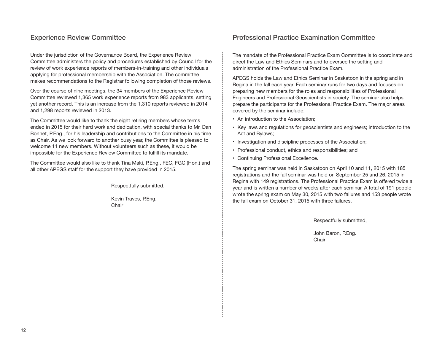## Experience Review Committee

Under the jurisdiction of the Governance Board, the Experience Review Committee administers the policy and procedures established by Council for the review of work experience reports of members-in-training and other individuals applying for professional membership with the Association. The committee makes recommendations to the Registrar following completion of those reviews.

Over the course of nine meetings, the 34 members of the Experience Review Committee reviewed 1,365 work experience reports from 983 applicants, setting yet another record. This is an increase from the 1,310 reports reviewed in 2014 and 1,298 reports reviewed in 2013.

The Committee would like to thank the eight retiring members whose terms ended in 2015 for their hard work and dedication, with special thanks to Mr. Dan Bonnet, P.Eng., for his leadership and contributions to the Committee in his time as Chair. As we look forward to another busy year, the Committee is pleased to welcome 11 new members. Without volunteers such as these, it would be impossible for the Experience Review Committee to fulfill its mandate.

The Committee would also like to thank Tina Maki, P.Eng., FEC, FGC (Hon.) and all other APEGS staff for the support they have provided in 2015.

Respectfully submitted,

Kevin Traves, P.Eng. **Chair** 

The mandate of the Professional Practice Exam Committee is to coordinate and direct the Law and Ethics Seminars and to oversee the setting and administration of the Professional Practice Exam.

APEGS holds the Law and Ethics Seminar in Saskatoon in the spring and in Regina in the fall each year. Each seminar runs for two days and focuses on preparing new members for the roles and responsibilities of Professional Engineers and Professional Geoscientists in society. The seminar also helps prepare the participants for the Professional Practice Exam. The major areas covered by the seminar include:

- An introduction to the Association;
- Key laws and regulations for geoscientists and engineers; introduction to the Act and Bylaws;
- Investigation and discipline processes of the Association;
- Professional conduct, ethics and responsibilities; and
- Continuing Professional Excellence.

The spring seminar was held in Saskatoon on April 10 and 11, 2015 with 185 registrations and the fall seminar was held on September 25 and 26, 2015 in Regina with 149 registrations. The Professional Practice Exam is offered twice a year and is written a number of weeks after each seminar. A total of 191 people wrote the spring exam on May 30, 2015 with two failures and 153 people wrote the fall exam on October 31, 2015 with three failures.

Respectfully submitted,

John Baron, P.Eng. Chair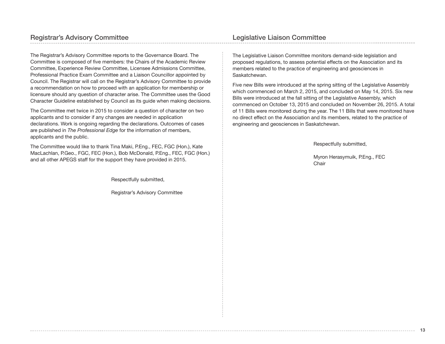The Registrar's Advisory Committee reports to the Governance Board. The Committee is composed of five members: the Chairs of the Academic Review Committee, Experience Review Committee, Licensee Admissions Committee, Professional Practice Exam Committee and a Liaison Councillor appointed by Council. The Registrar will call on the Registrar's Advisory Committee to provide a recommendation on how to proceed with an application for membership or licensure should any question of character arise. The Committee uses the Good Character Guideline established by Council as its guide when making decisions.

The Committee met twice in 2015 to consider a question of character on two applicants and to consider if any changes are needed in application declarations. Work is ongoing regarding the declarations. Outcomes of cases are published in *The Professional Edge* for the information of members, applicants and the public.

The Committee would like to thank Tina Maki, P.Eng., FEC, FGC (Hon.), Kate MacLachlan, P.Geo., FGC, FEC (Hon.), Bob McDonald, P.Eng., FEC, FGC (Hon.) and all other APEGS staff for the support they have provided in 2015.

Respectfully submitted,

Registrar's Advisory Committee

The Legislative Liaison Committee monitors demand-side legislation and proposed regulations, to assess potential effects on the Association and its members related to the practice of engineering and geosciences in Saskatchewan.

Five new Bills were introduced at the spring sitting of the Legislative Assembly which commenced on March 2, 2015, and concluded on May 14, 2015. Six new Bills were introduced at the fall sitting of the Legislative Assembly, which commenced on October 13, 2015 and concluded on November 26, 2015. A total of 11 Bills were monitored during the year. The 11 Bills that were monitored have no direct effect on the Association and its members, related to the practice of engineering and geosciences in Saskatchewan.

Respectfully submitted,

Myron Herasymuik, P.Eng., FEC Chair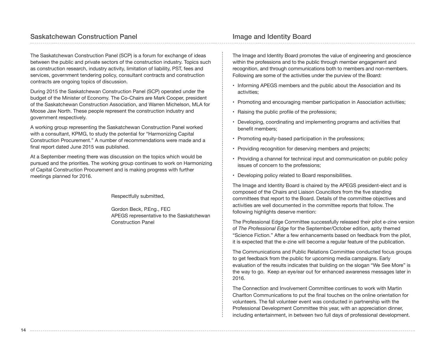## Saskatchewan Construction Panel

The Saskatchewan Construction Panel (SCP) is a forum for exchange of ideas between the public and private sectors of the construction industry. Topics such as construction research, industry activity, limitation of liability, PST, fees and services, government tendering policy, consultant contracts and construction contracts are ongoing topics of discussion.

During 2015 the Saskatchewan Construction Panel (SCP) operated under the budget of the Minister of Economy. The Co-Chairs are Mark Cooper, president of the Saskatchewan Construction Association, and Warren Michelson, MLA for Moose Jaw North. These people represent the construction industry and government respectively.

A working group representing the Saskatchewan Construction Panel worked with a consultant, KPMG, to study the potential for "Harmonizing Capital Construction Procurement." A number of recommendations were made and a final report dated June 2015 was published.

At a September meeting there was discussion on the topics which would be pursued and the priorities. The working group continues to work on Harmonizing of Capital Construction Procurement and is making progress with further meetings planned for 2016.

Respectfully submitted,

Gordon Beck, P.Eng., FEC APEGS representative to the Saskatchewan Construction Panel

## Image and Identity Board

The Image and Identity Board promotes the value of engineering and geoscience within the professions and to the public through member engagement and recognition, and through communications both to members and non-members. Following are some of the activities under the purview of the Board:

- Informing APEGS members and the public about the Association and its activities;
- Promoting and encouraging member participation in Association activities;
- Raising the public profile of the professions;
- Developing, coordinating and implementing programs and activities that benefit members;
- Promoting equity-based participation in the professions;
- Providing recognition for deserving members and projects;
- Providing a channel for technical input and communication on public policy issues of concern to the professions;
- Developing policy related to Board responsibilities.

The Image and Identity Board is chaired by the APEGS president-elect and is composed of the Chairs and Liaison Councillors from the five standing committees that report to the Board. Details of the committee objectives and activities are well documented in the committee reports that follow. The following highlights deserve mention:

The Professional Edge Committee successfully released their pilot e-zine version of *The Professional Edge* for the September/October edition, aptly themed "Science Fiction." After a few enhancements based on feedback from the pilot, it is expected that the e-zine will become a regular feature of the publication.

The Communications and Public Relations Committee conducted focus groups to get feedback from the public for upcoming media campaigns. Early evaluation of the results indicates that building on the slogan "We See More" is the way to go. Keep an eye/ear out for enhanced awareness messages later in 2016.

The Connection and Involvement Committee continues to work with Martin Charlton Communications to put the final touches on the online orientation for volunteers. The fall volunteer event was conducted in partnership with the Professional Development Committee this year, with an appreciation dinner, including entertainment, in between two full days of professional development.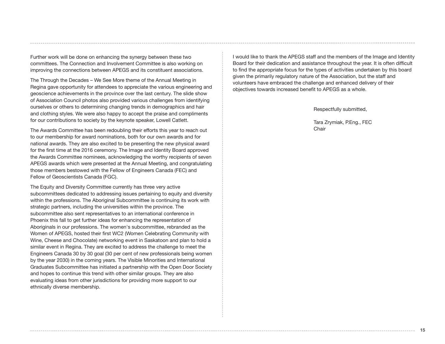Further work will be done on enhancing the synergy between these two committees. The Connection and Involvement Committee is also working on improving the connections between APEGS and its constituent associations.

The Through the Decades – We See More theme of the Annual Meeting in Regina gave opportunity for attendees to appreciate the various engineering and geoscience achievements in the province over the last century. The slide show of Association Council photos also provided various challenges from identifying ourselves or others to determining changing trends in demographics and hair and clothing styles. We were also happy to accept the praise and compliments for our contributions to society by the keynote speaker, Lowell Catlett.

The Awards Committee has been redoubling their efforts this year to reach out to our membership for award nominations, both for our own awards and for national awards. They are also excited to be presenting the new physical award for the first time at the 2016 ceremony. The Image and Identity Board approved the Awards Committee nominees, acknowledging the worthy recipients of seven APEGS awards which were presented at the Annual Meeting, and congratulating those members bestowed with the Fellow of Engineers Canada (FEC) and Fellow of Geoscientists Canada (FGC).

The Equity and Diversity Committee currently has three very active subcommittees dedicated to addressing issues pertaining to equity and diversity within the professions. The Aboriginal Subcommittee is continuing its work with strategic partners, including the universities within the province. The subcommittee also sent representatives to an international conference in Phoenix this fall to get further ideas for enhancing the representation of Aboriginals in our professions. The women's subcommittee, rebranded as the Women of APEGS, hosted their first WC2 (Women Celebrating Community with Wine, Cheese and Chocolate) networking event in Saskatoon and plan to hold a similar event in Regina. They are excited to address the challenge to meet the Engineers Canada 30 by 30 goal (30 per cent of new professionals being women by the year 2030) in the coming years. The Visible Minorities and International Graduates Subcommittee has initiated a partnership with the Open Door Society and hopes to continue this trend with other similar groups. They are also evaluating ideas from other jurisdictions for providing more support to our ethnically diverse membership.

I would like to thank the APEGS staff and the members of the Image and Identity Board for their dedication and assistance throughout the year. It is often difficult to find the appropriate focus for the types of activities undertaken by this board given the primarily regulatory nature of the Association, but the staff and volunteers have embraced the challenge and enhanced delivery of their objectives towards increased benefit to APEGS as a whole.

Respectfully submitted,

Tara Zrymiak, P.Eng., FEC Chair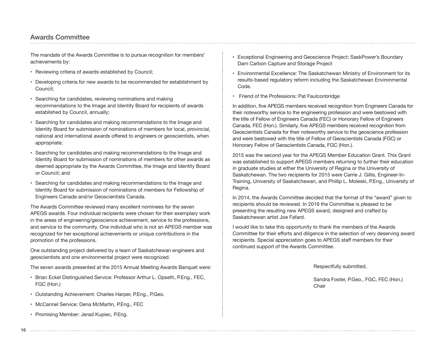## Awards Committee

The mandate of the Awards Committee is to pursue recognition for members' achievements by:

- Reviewing criteria of awards established by Council;
- Developing criteria for new awards to be recommended for establishment by Council;
- Searching for candidates, reviewing nominations and making recommendations to the Image and Identity Board for recipients of awards established by Council, annually;
- Searching for candidates and making recommendations to the Image and Identity Board for submission of nominations of members for local, provincial, national and international awards offered to engineers or geoscientists, when appropriate;
- Searching for candidates and making recommendations to the Image and Identity Board for submission of nominations of members for other awards as deemed appropriate by the Awards Committee, the Image and Identity Board or Council; and
- Searching for candidates and making recommendations to the Image and Identity Board for submission of nominations of members for Fellowship of Engineers Canada and/or Geoscientists Canada.

The Awards Committee reviewed many excellent nominees for the seven APEGS awards. Four individual recipients were chosen for their exemplary work in the areas of engineering/geoscience achievement, service to the professions, and service to the community. One individual who is not an APEGS member was recognized for her exceptional achievements or unique contributions in the promotion of the professions.

One outstanding project delivered by a team of Saskatchewan engineers and geoscientists and one environmental project were recognized.

The seven awards presented at the 2015 Annual Meeting Awards Banquet were:

- Brian Eckel Distinguished Service: Professor Arthur L. Opseth, P.Eng., FEC, FGC (Hon.)
- Outstanding Achievement: Charles Harper, P.Eng., P.Geo.
- McCannel Service: Dena McMartin, P.Eng., FEC
- Promising Member: Jerad Kupiec, P.Eng.
- Exceptional Engineering and Geoscience Project: SaskPower's Boundary Dam Carbon Capture and Storage Project
- Environmental Excellence: The Saskatchewan Ministry of Environment for its results-based regulatory reform including the Saskatchewan Environmental Code.
- Friend of the Professions: Pat Faulconbridge

In addition, five APEGS members received recognition from Engineers Canada for their noteworthy service to the engineering profession and were bestowed with the title of Fellow of Engineers Canada (FEC) or Honorary Fellow of Engineers Canada, FEC (Hon.). Similarly, five APEGS members received recognition from Geoscientists Canada for their noteworthy service to the geoscience profession and were bestowed with the title of Fellow of Geoscientists Canada (FGC) or Honorary Fellow of Geoscientists Canada, FGC (Hon.).

2015 was the second year for the APEGS Member Education Grant. This Grant was established to support APEGS members returning to further their education in graduate studies at either the University of Regina or the University of Saskatchewan. The two recipients for 2015 were Carrie J. Gillis, Engineer-In-Training, University of Saskatchewan, and Phillip L. Moleski, P.Eng., University of Regina.

In 2014, the Awards Committee decided that the format of the "award" given to recipients should be reviewed. In 2016 the Committee is pleased to be presenting the resulting new APEGS award, designed and crafted by Saskatchewan artist Joe Fafard.

I would like to take this opportunity to thank the members of the Awards Committee for their efforts and diligence in the selection of very deserving award recipients. Special appreciation goes to APEGS staff members for their continued support of the Awards Committee.

Respectfully submitted,

Sandra Foster, P.Geo., FGC, FEC (Hon.) Chair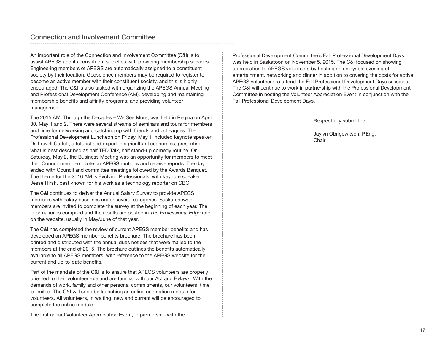An important role of the Connection and Involvement Committee (C&I) is to assist APEGS and its constituent societies with providing membership services. Engineering members of APEGS are automatically assigned to a constituent society by their location. Geoscience members may be required to register to become an active member with their constituent society, and this is highly encouraged. The C&I is also tasked with organizing the APEGS Annual Meeting and Professional Development Conference (AM), developing and maintaining membership benefits and affinity programs, and providing volunteer management.

The 2015 AM, Through the Decades – We See More, was held in Regina on April 30, May 1 and 2. There were several streams of seminars and tours for members and time for networking and catching up with friends and colleagues. The Professional Development Luncheon on Friday, May 1 included keynote speaker Dr. Lowell Catlett, a futurist and expert in agricultural economics, presenting what is best described as half TED Talk, half stand-up comedy routine. On Saturday, May 2, the Business Meeting was an opportunity for members to meet their Council members, vote on APEGS motions and receive reports. The day ended with Council and committee meetings followed by the Awards Banquet. The theme for the 2016 AM is Evolving Professionals, with keynote speaker Jesse Hirsh, best known for his work as a technology reporter on CBC.

The C&I continues to deliver the Annual Salary Survey to provide APEGS members with salary baselines under several categories. Saskatchewan members are invited to complete the survey at the beginning of each year. The information is compiled and the results are posted in *The Professional Edge* and on the website, usually in May/June of that year.

The C&I has completed the review of current APEGS member benefits and has developed an APEGS member benefits brochure. The brochure has been printed and distributed with the annual dues notices that were mailed to the members at the end of 2015. The brochure outlines the benefits automatically available to all APEGS members, with reference to the APEGS website for the current and up-to-date benefits.

Part of the mandate of the C&I is to ensure that APEGS volunteers are properly oriented to their volunteer role and are familiar with our Act and Bylaws. With the demands of work, family and other personal commitments, our volunteers' time is limited. The C&I will soon be launching an online orientation module for volunteers. All volunteers, in waiting, new and current will be encouraged to complete the online module.

The first annual Volunteer Appreciation Event, in partnership with the

Professional Development Committee's Fall Professional Development Days, was held in Saskatoon on November 5, 2015. The C&I focused on showing appreciation to APEGS volunteers by hosting an enjoyable evening of entertainment, networking and dinner in addition to covering the costs for active APEGS volunteers to attend the Fall Professional Development Days sessions. The C&I will continue to work in partnership with the Professional Development Committee in hosting the Volunteer Appreciation Event in conjunction with the Fall Professional Development Days.

#### Respectfully submitted,

Jaylyn Obrigewitsch, P.Eng. Chair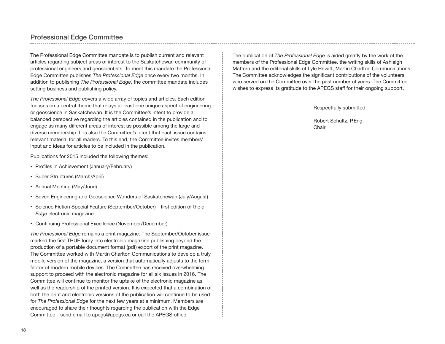## Professional Edge Committee

The Professional Edge Committee mandate is to publish current and relevant articles regarding subject areas of interest to the Saskatchewan community of professional engineers and geoscientists. To meet this mandate the Professional Edge Committee publishes *The Professional Edge* once every two months. In addition to publishing *The Professional Edge*, the committee mandate includes setting business and publishing policy.

*The Professional Edge* covers a wide array of topics and articles. Each edition focuses on a central theme that relays at least one unique aspect of engineering or geoscience in Saskatchewan. It is the Committee's intent to provide a balanced perspective regarding the articles contained in the publication and to engage as many different areas of interest as possible among the large and diverse membership. It is also the Committee's intent that each issue contains relevant material for all readers. To this end, the Committee invites members' input and ideas for articles to be included in the publication.

Publications for 2015 included the following themes:

- Profiles in Achievement (January/February)
- Super Structures (March/April)
- Annual Meeting (May/June)
- Seven Engineering and Geoscience Wonders of Saskatchewan (July/August)
- Science Fiction Special Feature (September/October)—first edition of the *e-Edge* electronic magazine
- Continuing Professional Excellence (November/December)

*The Professional Edge* remains a print magazine. The September/October issue marked the first TRUE foray into electronic magazine publishing beyond the production of a portable document format (pdf) export of the print magazine. The Committee worked with Martin Charlton Communications to develop a truly mobile version of the magazine, a version that automatically adjusts to the form factor of modern mobile devices. The Committee has received overwhelming support to proceed with the electronic magazine for all six issues in 2016. The Committee will continue to monitor the uptake of the electronic magazine as well as the readership of the printed version. It is expected that a combination of both the print and electronic versions of the publication will continue to be used for *The Professional Edge* for the next few years at a minimum. Members are encouraged to share their thoughts regarding the publication with the Edge Committee—send email to apegs@apegs.ca or call the APEGS office.

The publication of *The Professional Edge* is aided greatly by the work of the members of the Professional Edge Committee, the writing skills of Ashleigh Mattern and the editorial skills of Lyle Hewitt, Martin Charlton Communications. The Committee acknowledges the significant contributions of the volunteers who served on the Committee over the past number of years. The Committee wishes to express its gratitude to the APEGS staff for their ongoing support.

Respectfully submitted,

Robert Schultz, P.Eng. Chair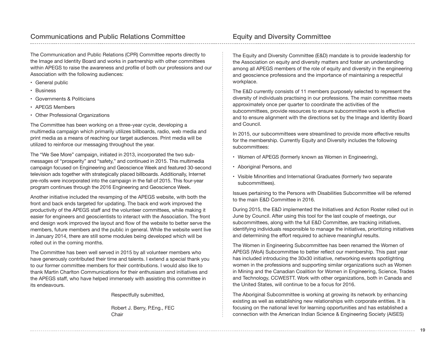The Communication and Public Relations (CPR) Committee reports directly to the Image and Identity Board and works in partnership with other committees within APEGS to raise the awareness and profile of both our professions and our Association with the following audiences:

- General public
- Business
- Governments & Politicians
- APEGS Members
- Other Professional Organizations

The Committee has been working on a three-year cycle, developing a multimedia campaign which primarily utilizes billboards, radio, web media and print media as a means of reaching our target audiences. Print media will be utilized to reinforce our messaging throughout the year.

The "We See More" campaign, initiated in 2013, incorporated the two submessages of "prosperity" and "safety," and continued in 2015. This multimedia campaign focused on Engineering and Geoscience Week and featured 30-second television ads together with strategically placed billboards. Additionally, Internet pre-rolls were incorporated into the campaign in the fall of 2015. This four-year program continues through the 2016 Engineering and Geoscience Week.

Another initiative included the revamping of the APEGS website, with both the front and back ends targeted for updating. The back end work improved the productivity of the APEGS staff and the volunteer committees, while making it easier for engineers and geoscientists to interact with the Association. The front end design work improved the layout and flow of the website to better serve the members, future members and the public in general. While the website went live in January 2014, there are still some modules being developed which will be rolled out in the coming months.

The Committee has been well served in 2015 by all volunteer members who have generously contributed their time and talents. I extend a special thank you to our former committee members for their contributions. I would also like to thank Martin Charlton Communications for their enthusiasm and initiatives and the APEGS staff, who have helped immensely with assisting this committee in its endeavours.

Respectfully submitted,

Robert J. Berry, P.Eng., FEC **Chair** 

The Equity and Diversity Committee (E&D) mandate is to provide leadership for the Association on equity and diversity matters and foster an understanding among all APEGS members of the role of equity and diversity in the engineering and geoscience professions and the importance of maintaining a respectful workplace.

The E&D currently consists of 11 members purposely selected to represent the diversity of individuals practising in our professions. The main committee meets approximately once per quarter to coordinate the activities of the subcommittees, provide resources to ensure subcommittee work is effective and to ensure alignment with the directions set by the Image and Identity Board and Council.

In 2015, our subcommittees were streamlined to provide more effective results for the membership. Currently Equity and Diversity includes the following subcommittees:

- Women of APEGS (formerly known as Women in Engineering),
- Aboriginal Persons, and
- Visible Minorities and International Graduates (formerly two separate subcommittees).

Issues pertaining to the Persons with Disabilities Subcommittee will be referred to the main E&D Committee in 2016.

During 2015, the E&D implemented the Initiatives and Action Roster rolled out in June by Council. After using this tool for the last couple of meetings, our subcommittees, along with the full E&D Committee, are tracking initiatives, identifying individuals responsible to manage the initiatives, prioritizing initiatives and determining the effort required to achieve meaningful results.

The Women in Engineering Subcommittee has been renamed the Women of APEGS (WoA) Subcommittee to better reflect our membership. This past year has included introducing the 30x30 initiative, networking events spotlighting women in the professions and supporting similar organizations such as Women in Mining and the Canadian Coalition for Women in Engineering, Science, Trades and Technology, CCWESTT. Work with other organizations, both in Canada and the United States, will continue to be a focus for 2016.

The Aboriginal Subcommittee is working at growing its network by enhancing existing as well as establishing new relationships with corporate entities. It is focusing on the national level for learning opportunities and has established a connection with the American Indian Science & Engineering Society (AISES)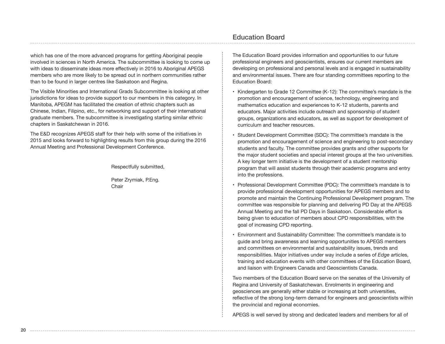which has one of the more advanced programs for getting Aboriginal people involved in sciences in North America. The subcommittee is looking to come up with ideas to disseminate ideas more effectively in 2016 to Aboriginal APEGS members who are more likely to be spread out in northern communities rather than to be found in larger centres like Saskatoon and Regina.

The Visible Minorities and International Grads Subcommittee is looking at other jurisdictions for ideas to provide support to our members in this category. In Manitoba, APEGM has facilitated the creation of ethnic chapters such as Chinese, Indian, Filipino, etc., for networking and support of their international graduate members. The subcommittee is investigating starting similar ethnic chapters in Saskatchewan in 2016.

The E&D recognizes APEGS staff for their help with some of the initiatives in 2015 and looks forward to highlighting results from this group during the 2016 Annual Meeting and Professional Development Conference.

Respectfully submitted,

Peter Zrymiak, P.Eng. **Chair** 

## Education Board

The Education Board provides information and opportunities to our future professional engineers and geoscientists, ensures our current members are developing on professional and personal levels and is engaged in sustainability and environmental issues. There are four standing committees reporting to the Education Board:

- Kindergarten to Grade 12 Committee (K-12): The committee's mandate is the promotion and encouragement of science, technology, engineering and mathematics education and experiences to K-12 students, parents and educators. Major activities include outreach and sponsorship of student groups, organizations and educators, as well as support for development of curriculum and teacher resources.
- Student Development Committee (SDC): The committee's mandate is the promotion and encouragement of science and engineering to post-secondary students and faculty. The committee provides grants and other supports for the major student societies and special interest groups at the two universities. A key longer term initiative is the development of a student mentorship program that will assist students through their academic programs and entry into the professions.
- Professional Development Committee (PDC): The committee's mandate is to provide professional development opportunities for APEGS members and to promote and maintain the Continuing Professional Development program. The committee was responsible for planning and delivering PD Day at the APEGS Annual Meeting and the fall PD Days in Saskatoon. Considerable effort is being given to education of members about CPD responsibilities, with the goal of increasing CPD reporting.
- Environment and Sustainability Committee: The committee's mandate is to guide and bring awareness and learning opportunities to APEGS members and committees on environmental and sustainability issues, trends and responsibilities. Major initiatives under way include a series of *Edge* articles, training and education events with other committees of the Education Board, and liaison with Engineers Canada and Geoscientists Canada.

Two members of the Education Board serve on the senates of the University of Regina and University of Saskatchewan. Enrolments in engineering and geosciences are generally either stable or increasing at both universities, reflective of the strong long-term demand for engineers and geoscientists within the provincial and regional economies.

APEGS is well served by strong and dedicated leaders and members for all of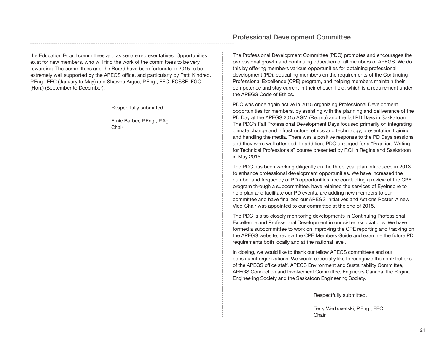the Education Board committees and as senate representatives. Opportunities exist for new members, who will find the work of the committees to be very rewarding. The committees and the Board have been fortunate in 2015 to be extremely well supported by the APEGS office, and particularly by Patti Kindred, P.Eng., FEC (January to May) and Shawna Argue, P.Eng., FEC, FCSSE, FGC (Hon.) (September to December).

Respectfully submitted,

Ernie Barber, P.Eng., P.Ag. **Chair** 

## Professional Development Committee

The Professional Development Committee (PDC) promotes and encourages the professional growth and continuing education of all members of APEGS. We do this by offering members various opportunities for obtaining professional development (PD), educating members on the requirements of the Continuing Professional Excellence (CPE) program, and helping members maintain their competence and stay current in their chosen field, which is a requirement under the APEGS Code of Ethics.

PDC was once again active in 2015 organizing Professional Development opportunities for members, by assisting with the planning and deliverance of the PD Day at the APEGS 2015 AGM (Regina) and the fall PD Days in Saskatoon. The PDC's Fall Professional Development Days focused primarily on integrating climate change and infrastructure, ethics and technology, presentation training and handling the media. There was a positive response to the PD Days sessions and they were well attended. In addition, PDC arranged for a "Practical Writing for Technical Professionals" course presented by RGI in Regina and Saskatoon in May 2015.

The PDC has been working diligently on the three-year plan introduced in 2013 to enhance professional development opportunities. We have increased the number and frequency of PD opportunities, are conducting a review of the CPE program through a subcommittee, have retained the services of EyeInspire to help plan and facilitate our PD events, are adding new members to our committee and have finalized our APEGS Initiatives and Actions Roster. A new Vice-Chair was appointed to our committee at the end of 2015.

The PDC is also closely monitoring developments in Continuing Professional Excellence and Professional Development in our sister associations. We have formed a subcommittee to work on improving the CPE reporting and tracking on the APEGS website, review the CPE Members Guide and examine the future PD requirements both locally and at the national level.

In closing, we would like to thank our fellow APEGS committees and our constituent organizations. We would especially like to recognize the contributions of the APEGS office staff, APEGS Environment and Sustainability Committee, APEGS Connection and Involvement Committee, Engineers Canada, the Regina Engineering Society and the Saskatoon Engineering Society.

Respectfully submitted,

Terry Werbovetski, P.Eng., FEC Chair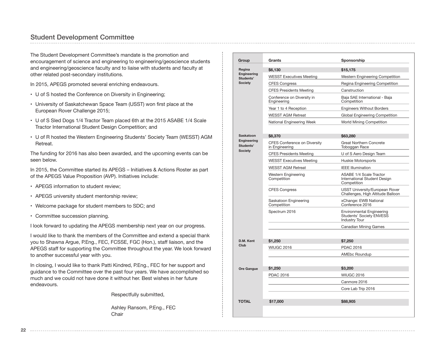## Student Development Committee

The Student Development Committee's mandate is the promotion and encouragement of science and engineering to engineering/geoscience students and engineering/geoscience faculty and to liaise with students and faculty at other related post‐secondary institutions.

In 2015, APEGS promoted several enriching endeavours.

- U of S hosted the Conference on Diversity in Engineering;
- University of Saskatchewan Space Team (USST) won first place at the European Rover Challenge 2015;
- U of S Sled Dogs 1/4 Tractor Team placed 6th at the 2015 ASABE 1/4 Scale Tractor International Student Design Competition; and
- U of R hosted the Western Engineering Students' Society Team (WESST) AGM Retreat.

The funding for 2016 has also been awarded, and the upcoming events can be seen below.

In 2015, the Committee started its APEGS – Initiatives & Actions Roster as part of the APEGS Value Proposition (AVP). Initiatives include:

- APEGS information to student review;
- APEGS university student mentorship review;
- Welcome package for student members to SDC; and
- Committee succession planning.

I look forward to updating the APEGS membership next year on our progress.

I would like to thank the members of the Committee and extend a special thank you to Shawna Argue, P.Eng., FEC, FCSSE, FGC (Hon.), staff liaison, and the APEGS staff for supporting the Committee throughout the year. We look forward to another successful year with you.

In closing, I would like to thank Patti Kindred, P.Eng., FEC for her support and guidance to the Committee over the past four years. We have accomplished so much and we could not have done it without her. Best wishes in her future endeavours.

Respectfully submitted,

Ashley Ransom, P.Eng., FEC **Chair** 

| Group                           | Grants                                                | Sponsorship                                                                                 |
|---------------------------------|-------------------------------------------------------|---------------------------------------------------------------------------------------------|
| Regina                          | \$6,130                                               | \$15,175                                                                                    |
| Engineering<br>Students'        | <b>WESST Executives Meeting</b>                       | Western Engineering Competition                                                             |
| <b>Society</b>                  | <b>CFES Congress</b>                                  | Regina Engineering Competition                                                              |
|                                 | <b>CFES Presidents Meeting</b>                        | Canstruction                                                                                |
|                                 | Conference on Diversity in<br>Engineering             | Baja SAE International - Baja<br>Competition                                                |
|                                 | Year 1 to 4 Reception                                 | <b>Engineers Without Borders</b>                                                            |
|                                 | <b>WESST AGM Retreat</b>                              | Global Engineering Competition                                                              |
|                                 | National Engineering Week                             | <b>World Mining Competition</b>                                                             |
|                                 |                                                       |                                                                                             |
| <b>Saskatoon</b>                | \$8,370                                               | \$63,280                                                                                    |
| <b>Engineering</b><br>Students' | <b>CFES Conference on Diversity</b><br>in Engineering | <b>Great Northern Concrete</b><br>Toboggan Race                                             |
| <b>Society</b>                  | <b>CFES Presidents Meeting</b>                        | U of S Aero Design Team                                                                     |
|                                 | <b>WESST Executives Meeting</b>                       | Huskie Motorsports                                                                          |
|                                 | <b>WESST AGM Retreat</b>                              | <b>IEEE Illumination</b>                                                                    |
|                                 | Western Engineering<br>Competition                    | <b>ASABE 1/4 Scale Tractor</b><br>International Student Design<br>Competition               |
|                                 | <b>CFES Congress</b>                                  | USST University/European Rover<br>Challenges, High Altitude Balloon                         |
|                                 | Saskatoon Engineering<br>Competition                  | xChange: EWB National<br>Conference 2016                                                    |
|                                 | Spectrum 2016                                         | <b>Environmental Engineering</b><br><b>Students' Society ENVESS</b><br><b>Industry Tour</b> |
|                                 |                                                       | <b>Canadian Mining Games</b>                                                                |
| D.M. Kent                       | \$1,250                                               | \$7,250                                                                                     |
| Club                            | <b>WIUGC 2016</b>                                     | <b>PDAC 2016</b>                                                                            |
|                                 |                                                       | AMEbc Roundup                                                                               |
|                                 |                                                       |                                                                                             |
| Ore Gangue                      | \$1.250                                               | \$3,200                                                                                     |
|                                 | <b>PDAC 2016</b>                                      | <b>WIUGC 2016</b>                                                                           |
|                                 |                                                       | Canmore 2016                                                                                |
|                                 |                                                       | Core Lab Trip 2016                                                                          |
| <b>TOTAL</b>                    |                                                       |                                                                                             |
|                                 | \$17,000                                              | \$88,905                                                                                    |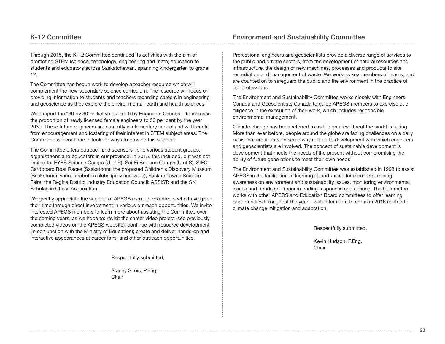Through 2015, the K-12 Committee continued its activities with the aim of promoting STEM (science, technology, engineering and math) education to students and educators across Saskatchewan, spanning kindergarten to grade 12.

The Committee has begun work to develop a teacher resource which will complement the new secondary science curriculum. The resource will focus on providing information to students and teachers regarding careers in engineering and geoscience as they explore the environmental, earth and health sciences.

We support the "30 by 30" initiative put forth by Engineers Canada – to increase the proportion of newly licensed female engineers to 30 per cent by the year 2030. These future engineers are currently in elementary school and will benefit from encouragement and fostering of their interest in STEM subject areas. The Committee will continue to look for ways to provide this support.

The Committee offers outreach and sponsorship to various student groups, organizations and educators in our province. In 2015, this included, but was not limited to: EYES Science Camps (U of R); Sci-Fi Science Camps (U of S); SIEC Cardboard Boat Races (Saskatoon); the proposed Children's Discovery Museum (Saskatoon); various robotics clubs (province-wide); Saskatchewan Science Fairs; the Regina District Industry Education Council; ASSIST; and the SK Scholastic Chess Association.

We greatly appreciate the support of APEGS member volunteers who have given their time through direct involvement in various outreach opportunities. We invite interested APEGS members to learn more about assisting the Committee over the coming years, as we hope to: revisit the career video project (see previously completed videos on the APEGS website); continue with resource development (in conjunction with the Ministry of Education); create and deliver hands-on and interactive appearances at career fairs; and other outreach opportunities.

Professional engineers and geoscientists provide a diverse range of services to the public and private sectors, from the development of natural resources and infrastructure, the design of new machines, processes and products to site remediation and management of waste. We work as key members of teams, and are counted on to safeguard the public and the environment in the practice of our professions.

The Environment and Sustainability Committee works closely with Engineers Canada and Geoscientists Canada to guide APEGS members to exercise due diligence in the execution of their work, which includes responsible environmental management.

Climate change has been referred to as the greatest threat the world is facing. More than ever before, people around the globe are facing challenges on a daily basis that are at least in some way related to development with which engineers and geoscientists are involved. The concept of sustainable development is development that meets the needs of the present without compromising the ability of future generations to meet their own needs.

The Environment and Sustainability Committee was established in 1998 to assist APEGS in the facilitation of learning opportunities for members, raising awareness on environment and sustainability issues, monitoring environmental issues and trends and recommending responses and actions. The Committee works with other APEGS and Education Board committees to offer learning opportunities throughout the year – watch for more to come in 2016 related to climate change mitigation and adaptation.

Respectfully submitted,

Kevin Hudson, P.Eng. Chair

Respectfully submitted,

Stacey Sirois, P.Eng. **Chair**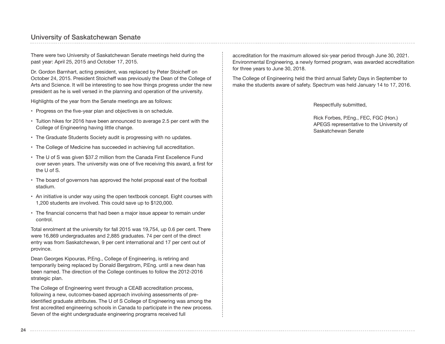## University of Saskatchewan Senate

There were two University of Saskatchewan Senate meetings held during the past year: April 25, 2015 and October 17, 2015.

Dr. Gordon Barnhart, acting president, was replaced by Peter Stoicheff on October 24, 2015. President Stoicheff was previously the Dean of the College of Arts and Science. It will be interesting to see how things progress under the new president as he is well versed in the planning and operation of the university.

Highlights of the year from the Senate meetings are as follows:

- Progress on the five-year plan and objectives is on schedule.
- Tuition hikes for 2016 have been announced to average 2.5 per cent with the College of Engineering having little change.
- The Graduate Students Society audit is progressing with no updates.
- The College of Medicine has succeeded in achieving full accreditation.
- The U of S was given \$37.2 million from the Canada First Excellence Fund over seven years. The university was one of five receiving this award, a first for the U of S.
- The board of governors has approved the hotel proposal east of the football stadium.
- An initiative is under way using the open textbook concept. Eight courses with 1,200 students are involved. This could save up to \$120,000.
- The financial concerns that had been a major issue appear to remain under control.

Total enrolment at the university for fall 2015 was 19,754, up 0.6 per cent. There were 16,869 undergraduates and 2,885 graduates. 74 per cent of the direct entry was from Saskatchewan, 9 per cent international and 17 per cent out of province.

Dean Georges Kipouras, P.Eng., College of Engineering, is retiring and temporarily being replaced by Donald Bergstrom, P.Eng. until a new dean has been named. The direction of the College continues to follow the 2012-2016 strategic plan.

The College of Engineering went through a CEAB accreditation process, following a new, outcomes-based approach involving assessments of preidentified graduate attributes. The U of S College of Engineering was among the first accredited engineering schools in Canada to participate in the new process. Seven of the eight undergraduate engineering programs received full

accreditation for the maximum allowed six-year period through June 30, 2021. Environmental Engineering, a newly formed program, was awarded accreditation for three years to June 30, 2018.

The College of Engineering held the third annual Safety Days in September to make the students aware of safety. Spectrum was held January 14 to 17, 2016.

Respectfully submitted,

Rick Forbes, P.Eng., FEC, FGC (Hon.) APEGS representative to the University of Saskatchewan Senate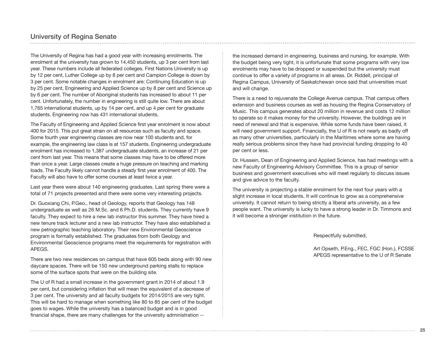## University of Regina Senate

The University of Regina has had a good year with increasing enrolments. The enrolment at the university has grown to 14,450 students, up 3 per cent from last year. These numbers include all federated colleges. First Nations University is up by 12 per cent, Luther College up by 8 per cent and Campion College is down by 3 per cent. Some notable changes in enrolment are: Continuing Education is up by 25 per cent, Engineering and Applied Science up by 8 per cent and Science up by 6 per cent. The number of Aboriginal students has increased to about 11 per cent. Unfortunately, the number in engineering is still quite low. There are about 1,765 international students, up by 14 per cent, and up 4 per cent for graduate students. Engineering now has 431 international students.

The Faculty of Engineering and Applied Science first year enrolment is now about 400 for 2015. This put great strain on all resources such as faculty and space. Some fourth year engineering classes are now near 100 students and, for example, the engineering law class is at 157 students. Engineering undergraduate enrolment has increased to 1,387 undergraduate students, an increase of 21 per cent from last year. This means that some classes may have to be offered more than once a year. Large classes create a huge pressure on teaching and marking loads. The Faculty likely cannot handle a steady first year enrolment of 400. The Faculty will also have to offer some courses at least twice a year.

Last year there were about 140 engineering graduates. Last spring there were a total of 71 projects presented and there were some very interesting projects.

Dr. Guoxiang Chi, P.Geo., head of Geology, reports that Geology has 148 undergraduate as well as 26 M.Sc. and 6 Ph.D. students. They currently have 9 faculty. They expect to hire a new lab instructor this summer. They have hired a new tenure track lecturer and a new lab instructor. They have also established a new petrographic teaching laboratory. Their new Environmental Geoscience program is formally established. The graduates from both Geology and Environmental Geoscience programs meet the requirements for registration with APEGS.

There are two new residences on campus that have 605 beds along with 90 new daycare spaces. There will be 150 new underground parking stalls to replace some of the surface spots that were on the building site.

The U of R had a small increase in the government grant in 2014 of about 1.9 per cent, but considering inflation that will mean the equivalent of a decrease of 3 per cent. The university and all faculty budgets for 2014/2015 are very tight. This will be hard to manage when something like 80 to 85 per cent of the budget goes to wages. While the university has a balanced budget and is in good financial shape, there are many challenges for the university administration --

the increased demand in engineering, business and nursing, for example. With the budget being very tight, it is unfortunate that some programs with very low enrolments may have to be dropped or suspended but the university must continue to offer a variety of programs in all areas. Dr. Riddell, principal of Regina Campus, University of Saskatchewan once said that universities must and will change.

There is a need to rejuvenate the College Avenue campus. That campus offers extension and business courses as well as housing the Regina Conservatory of Music. This campus generates about 20 million in revenue and costs 12 million to operate so it makes money for the university. However, the buildings are in need of renewal and that is expensive. While some funds have been raised, it will need government support. Financially, the U of R is not nearly as badly off as many other universities, particularly in the Maritimes where some are having really serious problems since they have had provincial funding dropping to 40 per cent or less.

Dr. Hussein, Dean of Engineering and Applied Science, has had meetings with a new Faculty of Engineering Advisory Committee. This is a group of senior business and government executives who will meet regularly to discuss issues and give advice to the faculty.

The university is projecting a stable enrolment for the next four years with a slight increase in local students. It will continue to grow as a comprehensive university. It cannot return to being strictly a liberal arts university, as a few people want. The university is lucky to have a strong leader in Dr. Timmons and it will become a stronger institution in the future.

Respectfully submitted,

Art Opseth, P.Eng., FEC, FGC (Hon.), FCSSE APEGS representative to the U of R Senate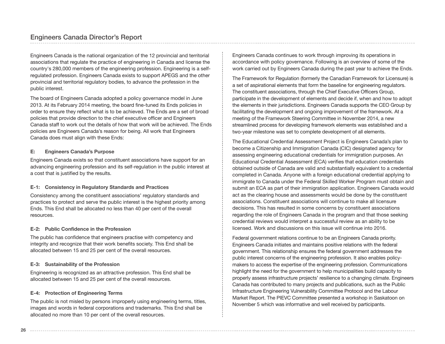Engineers Canada is the national organization of the 12 provincial and territorial associations that regulate the practice of engineering in Canada and license the country's 280,000 members of the engineering profession. Engineering is a selfregulated profession. Engineers Canada exists to support APEGS and the other provincial and territorial regulatory bodies, to advance the profession in the public interest.

The board of Engineers Canada adopted a policy governance model in June 2013. At its February 2014 meeting, the board fine-tuned its Ends policies in order to ensure they reflect what is to be achieved. The Ends are a set of broad policies that provide direction to the chief executive officer and Engineers Canada staff to work out the details of how that work will be achieved. The Ends policies are Engineers Canada's reason for being. All work that Engineers Canada does must align with these Ends:

#### **E: Engineers Canada's Purpose**

Engineers Canada exists so that constituent associations have support for an advancing engineering profession and its self-regulation in the public interest at a cost that is justified by the results.

#### **E-1: Consistency in Regulatory Standards and Practices**

Consistency among the constituent associations' regulatory standards and practices to protect and serve the public interest is the highest priority among Ends. This End shall be allocated no less than 40 per cent of the overall resources.

#### **E-2: Public Confidence in the Profession**

The public has confidence that engineers practise with competency and integrity and recognize that their work benefits society. This End shall be allocated between 15 and 25 per cent of the overall resources.

#### **E-3: Sustainability of the Profession**

Engineering is recognized as an attractive profession. This End shall be allocated between 15 and 25 per cent of the overall resources.

#### **E-4: Protection of Engineering Terms**

The public is not misled by persons improperly using engineering terms, titles, images and words in federal corporations and trademarks. This End shall be allocated no more than 10 per cent of the overall resources.

Engineers Canada continues to work through improving its operations in accordance with policy governance. Following is an overview of some of the work carried out by Engineers Canada during the past year to achieve the Ends.

The Framework for Regulation (formerly the Canadian Framework for Licensure) is a set of aspirational elements that form the baseline for engineering regulators. The constituent associations, through the Chief Executive Officers Group, participate in the development of elements and decide if, when and how to adopt the elements in their jurisdictions. Engineers Canada supports the CEO Group by facilitating the development and ongoing improvement of the framework. At a meeting of the Framework Steering Committee in November 2014, a new streamlined process for developing framework elements was established and a two-year milestone was set to complete development of all elements.

The Educational Credential Assessment Project is Engineers Canada's plan to become a Citizenship and Immigration Canada (CIC) designated agency for assessing engineering educational credentials for immigration purposes. An Educational Credential Assessment (ECA) verifies that education credentials obtained outside of Canada are valid and substantially equivalent to a credential completed in Canada. Anyone with a foreign educational credential applying to immigrate to Canada under the Federal Skilled Worker Program must obtain and submit an ECA as part of their immigration application. Engineers Canada would act as the clearing house and assessments would be done by the constituent associations. Constituent associations will continue to make all licensure decisions. This has resulted in some concerns by constituent associations regarding the role of Engineers Canada in the program and that those seeking credential reviews would interpret a successful review as an ability to be licensed. Work and discussions on this issue will continue into 2016.

Federal government relations continue to be an Engineers Canada priority. Engineers Canada initiates and maintains positive relations with the federal government. This relationship ensures the federal government addresses the public interest concerns of the engineering profession. It also enables policymakers to access the expertise of the engineering profession. Communications highlight the need for the government to help municipalities build capacity to properly assess infrastructure projects' resilience to a changing climate. Engineers Canada has contributed to many projects and publications, such as the Public Infrastructure Engineering Vulnerability Committee Protocol and the Labour Market Report. The PIEVC Committee presented a workshop in Saskatoon on November 5 which was informative and well received by participants.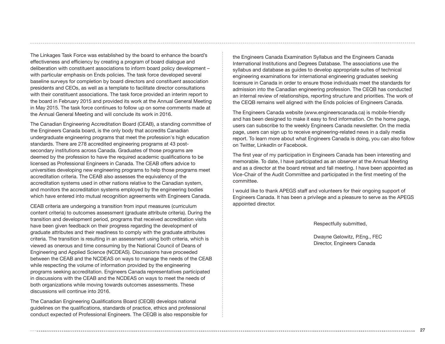The Linkages Task Force was established by the board to enhance the board's effectiveness and efficiency by creating a program of board dialogue and deliberation with constituent associations to inform board policy development – with particular emphasis on Ends policies. The task force developed several baseline surveys for completion by board directors and constituent association presidents and CEOs, as well as a template to facilitate director consultations with their constituent associations. The task force provided an interim report to the board in February 2015 and provided its work at the Annual General Meeting in May 2015. The task force continues to follow up on some comments made at the Annual General Meeting and will conclude its work in 2016.

The Canadian Engineering Accreditation Board (CEAB), a standing committee of the Engineers Canada board, is the only body that accredits Canadian undergraduate engineering programs that meet the profession's high education standards. There are 278 accredited engineering programs at 43 postsecondary institutions across Canada. Graduates of those programs are deemed by the profession to have the required academic qualifications to be licensed as Professional Engineers in Canada. The CEAB offers advice to universities developing new engineering programs to help those programs meet accreditation criteria. The CEAB also assesses the equivalency of the accreditation systems used in other nations relative to the Canadian system, and monitors the accreditation systems employed by the engineering bodies which have entered into mutual recognition agreements with Engineers Canada.

CEAB criteria are undergoing a transition from input measures (curriculum content criteria) to outcomes assessment (graduate attribute criteria). During the transition and development period, programs that received accreditation visits have been given feedback on their progress regarding the development of graduate attributes and their readiness to comply with the graduate attributes criteria. The transition is resulting in an assessment using both criteria, which is viewed as onerous and time consuming by the National Council of Deans of Engineering and Applied Science (NCDEAS). Discussions have proceeded between the CEAB and the NCDEAS on ways to manage the needs of the CEAB while respecting the volume of information provided by the engineering programs seeking accreditation. Engineers Canada representatives participated in discussions with the CEAB and the NCDEAS on ways to meet the needs of both organizations while moving towards outcomes assessments. These discussions will continue into 2016.

The Canadian Engineering Qualifications Board (CEQB) develops national guidelines on the qualifications, standards of practice, ethics and professional conduct expected of Professional Engineers. The CEQB is also responsible for the Engineers Canada Examination Syllabus and the Engineers Canada International Institutions and Degrees Database. The associations use the syllabus and database as guides to develop appropriate suites of technical engineering examinations for international engineering graduates seeking licensure in Canada in order to ensure those individuals meet the standards for admission into the Canadian engineering profession. The CEQB has conducted an internal review of relationships, reporting structure and priorities. The work of the CEQB remains well aligned with the Ends policies of Engineers Canada.

The Engineers Canada website (www.engineerscanada.ca) is mobile-friendly and has been designed to make it easy to find information. On the home page, users can subscribe to the weekly Engineers Canada newsletter. On the media page, users can sign up to receive engineering-related news in a daily media report. To learn more about what Engineers Canada is doing, you can also follow on Twitter, LinkedIn or Facebook.

The first year of my participation in Engineers Canada has been interesting and memorable. To date, I have participated as an observer at the Annual Meeting and as a director at the board retreat and fall meeting. I have been appointed as Vice-Chair of the Audit Committee and participated in the first meeting of the committee.

I would like to thank APEGS staff and volunteers for their ongoing support of Engineers Canada. It has been a privilege and a pleasure to serve as the APEGS appointed director.

Respectfully submitted,

Dwayne Gelowitz, P.Eng., FEC Director, Engineers Canada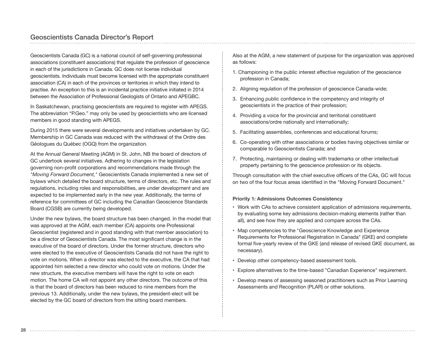Geoscientists Canada (GC) is a national council of self-governing professional associations (constituent associations) that regulate the profession of geoscience in each of the jurisdictions in Canada. GC does not license individual geoscientists. Individuals must become licensed with the appropriate constituent association (CA) in each of the provinces or territories in which they intend to practise. An exception to this is an incidental practice initiative initiated in 2014 between the Association of Professional Geologists of Ontario and APEGBC.

In Saskatchewan, practising geoscientists are required to register with APEGS. The abbreviation "P.Geo." may only be used by geoscientists who are licensed members in good standing with APEGS.

During 2015 there were several developments and initiatives undertaken by GC. Membership in GC Canada was reduced with the withdrawal of the Ordre des Géologues du Québec (OGQ) from the organization.

At the Annual General Meeting (AGM) in St. John, NB the board of directors of GC undertook several initiatives. Adhering to changes in the legislation governing non-profit corporations and recommendations made through the *"Moving Forward Document,"* Geoscientists Canada implemented a new set of bylaws which detailed the board structure, terms of directors, etc. The rules and regulations, including roles and responsibilities, are under development and are expected to be implemented early in the new year. Additionally, the terms of reference for committees of GC including the Canadian Geoscience Standards Board (CGSB) are currently being developed.

Under the new bylaws, the board structure has been changed. In the model that was approved at the AGM, each member (CA) appoints one Professional Geoscientist (registered and in good standing with that member association) to be a director of Geoscientists Canada. The most significant change is in the executive of the board of directors. Under the former structure, directors who were elected to the executive of Geoscientists Canada did not have the right to vote on motions. When a director was elected to the executive, the CA that had appointed him selected a new director who could vote on motions. Under the new structure, the executive members will have the right to vote on each motion. The home CA will not appoint any other directors. The outcome of this is that the board of directors has been reduced to nine members from the previous 13. Additionally, under the new bylaws, the president-elect will be elected by the GC board of directors from the sitting board members.

Also at the AGM, a new statement of purpose for the organization was approved as follows:

- 1. Championing in the public interest effective regulation of the geoscience profession in Canada;
- 2. Aligning regulation of the profession of geoscience Canada-wide;
- 3. Enhancing public confidence in the competency and integrity of geoscientists in the practice of their profession;
- 4. Providing a voice for the provincial and territorial constituent associations/ordre nationally and internationally;
- 5. Facilitating assemblies, conferences and educational forums;
- 6. Co-operating with other associations or bodies having objectives similar or comparable to Geoscientists Canada; and
- 7. Protecting, maintaining or dealing with trademarks or other intellectual property pertaining to the geoscience profession or its objects.

Through consultation with the chief executive officers of the CAs, GC will focus on two of the four focus areas identified in the "Moving Forward Document."

#### **Priority 1: Admissions Outcomes Consistency**

- Work with CAs to achieve consistent application of admissions requirements, by evaluating some key admissions decision‐making elements (rather than all), and see how they are applied and compare across the CAs.
- Map competencies to the "Geoscience Knowledge and Experience Requirements for Professional Registration in Canada" (GKE) and complete formal five-yearly review of the GKE (and release of revised GKE document, as necessary).
- Develop other competency-based assessment tools.
- Explore alternatives to the time‐based "Canadian Experience" requirement.
- Develop means of assessing seasoned practitioners such as Prior Learning Assessments and Recognition (PLAR) or other solutions.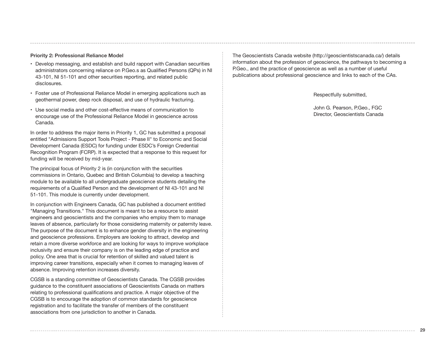#### **Priority 2: Professional Reliance Model**

- Develop messaging, and establish and build rapport with Canadian securities administrators concerning reliance on P.Geo.s as Qualified Persons (QPs) in NI 43‐101, NI 51‐101 and other securities reporting, and related public disclosures.
- Foster use of Professional Reliance Model in emerging applications such as geothermal power, deep rock disposal, and use of hydraulic fracturing.
- Use social media and other cost-effective means of communication to encourage use of the Professional Reliance Model in geoscience across Canada.

In order to address the major items in Priority 1, GC has submitted a proposal entitled "Admissions Support Tools Project - Phase II" to Economic and Social Development Canada (ESDC) for funding under ESDC's Foreign Credential Recognition Program (FCRP). It is expected that a response to this request for funding will be received by mid-year.

The principal focus of Priority 2 is (in conjunction with the securities commissions in Ontario, Quebec and British Columbia) to develop a teaching module to be available to all undergraduate geoscience students detailing the requirements of a Qualified Person and the development of NI 43-101 and NI 51-101. This module is currently under development.

In conjunction with Engineers Canada, GC has published a document entitled "Managing Transitions." This document is meant to be a resource to assist engineers and geoscientists and the companies who employ them to manage leaves of absence, particularly for those considering maternity or paternity leave. The purpose of the document is to enhance gender diversity in the engineering and geoscience professions. Employers are looking to attract, develop and retain a more diverse workforce and are looking for ways to improve workplace inclusivity and ensure their company is on the leading edge of practice and policy. One area that is crucial for retention of skilled and valued talent is improving career transitions, especially when it comes to managing leaves of absence. Improving retention increases diversity.

CGSB is a standing committee of Geoscientists Canada. The CGSB provides guidance to the constituent associations of Geoscientists Canada on matters relating to professional qualifications and practice. A major objective of the CGSB is to encourage the adoption of common standards for geoscience registration and to facilitate the transfer of members of the constituent associations from one jurisdiction to another in Canada.

The Geoscientists Canada website (http://geoscientistscanada.ca/) details information about the profession of geoscience, the pathways to becoming a P.Geo., and the practice of geoscience as well as a number of useful publications about professional geoscience and links to each of the CAs.

Respectfully submitted,

John G. Pearson, P.Geo., FGC Director, Geoscientists Canada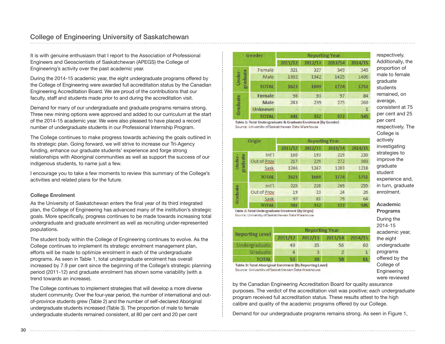It is with genuine enthusiasm that I report to the Association of Professional Engineers and Geoscientists of Saskatchewan (APEGS) the College of Engineering's activity over the past academic year.

During the 2014-15 academic year, the eight undergraduate programs offered by the College of Engineering were awarded full accreditation status by the Canadian Engineering Accreditation Board. We are proud of the contributions that our faculty, staff and students made prior to and during the accreditation visit.

Demand for many of our undergraduate and graduate programs remains strong. Three new mining options were approved and added to our curriculum at the start of the 2014-15 academic year. We were also pleased to have placed a record number of undergraduate students in our Professional Internship Program.

The College continues to make progress towards achieving the goals outlined in its strategic plan. Going forward, we will strive to increase our Tri-Agency funding, enhance our graduate students' experience and forge strong relationships with Aboriginal communities as well as support the success of our indigenous students, to name just a few.

I encourage you to take a few moments to review this summary of the College's activities and related plans for the future.

#### **College Enrolment**

As the University of Saskatchewan enters the final year of its third integrated plan, the College of Engineering has advanced many of the institution's strategic goals. More specifically, progress continues to be made towards increasing total undergraduate and graduate enrolment as well as recruiting under-represented populations.

The student body within the College of Engineering continues to evolve. As the College continues to implement its strategic enrolment management plan, efforts will be made to optimize enrolment in each of the undergraduate programs. As seen in Table 1, total undergraduate enrolment has overall increased by 7.9 per cent since the beginning of the College's strategic planning period (2011-12) and graduate enrolment has shown some variability (with a trend towards an increase).

The College continues to implement strategies that will develop a more diverse student community. Over the four-year period, the number of international and outof-province students grew (Table 2) and the number of self-declared Aboriginal undergraduate students increased (Table 3). The proportion of male to female undergraduate students remained consistent, at 80 per cent and 20 per cent

|                 | Gender         |         | <b>Reporting Year</b> |         |         |  |
|-----------------|----------------|---------|-----------------------|---------|---------|--|
|                 |                | 2011/12 | 2012/13               | 2013/14 | 2014/15 |  |
|                 | Female         | 321     | 327                   | 349     | 345     |  |
| aduate<br>Under | Male           | 1302    | 1342                  | 1425    | 1406    |  |
|                 | <b>TOTAL</b>   | 1623    | 1669                  | 1774    | 1751    |  |
|                 | Female         | 98      | 93                    | 97      | 84      |  |
|                 | <b>Male</b>    | 243     | 239                   | 275     | 260     |  |
| Graduate        | <b>Unknown</b> |         |                       |         | 1       |  |
|                 | <b>TOTAL</b>   | 341     | 332                   | 372     | 345     |  |

Table 1: Total Undergraduate & Graduate Enrolment (By Gender) Source: University of Saskatchewan Data Warehouse

|                    | Origin                               |         | <b>Reporting Year</b> |         |         |
|--------------------|--------------------------------------|---------|-----------------------|---------|---------|
|                    |                                      | 2011/12 | 2012/13               | 2013/14 | 2014/15 |
|                    | $Int$ <sup><math>\prime</math></sup> | 160     | 193                   | 219     | 230     |
| uate<br>Under<br>σ | Out of Prov                          | 217     | 229                   | 272     | 303     |
| 四<br>ᆱ             | Sask                                 | 1246    | 1247                  | 1283    | 1218    |
|                    | <b>TOTAL</b>                         | 1623    | 1669                  | 1774    | 1751    |
|                    | Int'l                                | 225     | 228                   | 269     | 255     |
| Graduate           | Out of Prov.                         | 19      | 23                    | 24      | 26      |
|                    | Sask                                 | 97      | 81                    | 79      | 64      |
|                    | <b>TOTAL</b>                         | 341     | 332                   | 372     | 345     |

Table 2: Total Undergraduate Enrolment (By Origin) Source: University of Saskatchewan Data Warehouse

|                        |         | <b>Reporting Year</b> |         |         |
|------------------------|---------|-----------------------|---------|---------|
| <b>Reporting Level</b> | 2011/12 | 2012/13               | 2013/14 | 2014/15 |
| Undergraduate          | 49      | 35                    | 56      | 60      |
| Graduate               |         | R.                    | 2       |         |
| <b>TOTAL</b>           | 53      | 38                    | 58      | 61      |

Table 3: Total Aboriginal Enrolment (By Reporting Level) Source: University of Saskatchewan Data Warehouse

by the Canadian Engineering Accreditation Board for quality assurance purposes. The verdict of the accreditation visit was positive; each undergraduate program received full accreditation status. These results attest to the high calibre and quality of the academic programs offered by our College.

Demand for our undergraduate programs remains strong. As seen in Figure 1,

respectively. Additionally, the proportion of male to female graduate students remained, on average, consistent at 75 per cent and 25 per cent respectively. The College is actively investigating strategies to improve the graduate student experience and, in turn, graduate enrolment.

**Academic Programs** During the 2014-15 academic year, the eight undergraduate programs offered by the College of **Engineering** were reviewed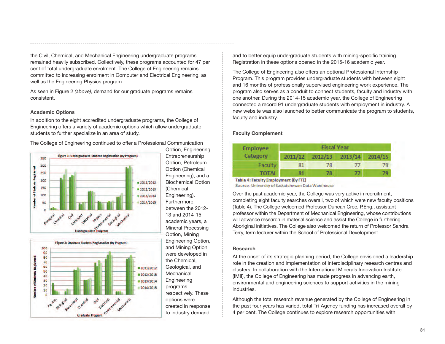the Civil, Chemical, and Mechanical Engineering undergraduate programs remained heavily subscribed. Collectively, these programs accounted for 47 per cent of total undergraduate enrolment. The College of Engineering remains committed to increasing enrolment in Computer and Electrical Engineering, as well as the Engineering Physics program.

As seen in Figure 2 *(above)*, demand for our graduate programs remains consistent.

#### **Academic Options**

In addition to the eight accredited undergraduate programs, the College of Engineering offers a variety of academic options which allow undergraduate students to further specialize in an area of study.







Option, Engineering Entrepreneurship Option, Petroleum Option (Chemical Engineering), and a Biochemical Option (Chemical Engineering). Furthermore, between the 2012- 13 and 2014-15 academic years, a Mineral Processing Option, Mining Engineering Option, and Mining Option were developed in the Chemical, Geological, and **Mechanical** Engineering programs respectively. These options were created in response to industry demand

and to better equip undergraduate students with mining-specific training. Registration in these options opened in the 2015-16 academic year.

The College of Engineering also offers an optional Professional Internship Program. This program provides undergraduate students with between eight and 16 months of professionally supervised engineering work experience. The program also serves as a conduit to connect students, faculty and industry with one another. During the 2014-15 academic year, the College of Engineering connected a record 91 undergraduate students with employment in industry. A new website was also launched to better communicate the program to students, faculty and industry.

#### **Faculty Complement**

| <b>Employee</b> |         | <b>Fiscal Year</b> |                    |         |
|-----------------|---------|--------------------|--------------------|---------|
| Category        | 2011/12 | 2012/13            | 2013/14            | 2014/15 |
| Faculty         |         |                    |                    |         |
| <b>TOTAL</b>    | 81      | 78.                | $\boldsymbol{\pi}$ | 79      |

Table 4: Faculty Employment (By FTE) Source: University of Saskatchewan Data Warehouse

Over the past academic year, the College was very active in recruitment, completing eight faculty searches overall, two of which were new faculty positions (Table 4). The College welcomed Professor Duncan Cree, P.Eng., assistant professor within the Department of Mechanical Engineering, whose contributions will advance research in material science and assist the College in furthering Aboriginal initiatives. The College also welcomed the return of Professor Sandra Terry, term lecturer within the School of Professional Development.

#### **Research**

At the onset of its strategic planning period, the College envisioned a leadership role in the creation and implementation of interdisciplinary research centres and clusters. In collaboration with the International Minerals Innovation Institute (IMII), the College of Engineering has made progress in advancing earth, environmental and engineering sciences to support activities in the mining industries.

Although the total research revenue generated by the College of Engineering in the past four years has varied, total Tri-Agency funding has increased overall by 4 per cent. The College continues to explore research opportunities with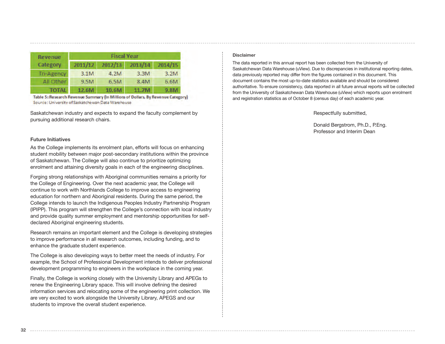| <b>Revenue</b>    |         |         | <b>Fiscal Year</b> |         |  |
|-------------------|---------|---------|--------------------|---------|--|
| Category          | 2011/12 | 2012/13 | 2013/14            | 2014/15 |  |
| <b>Tri-Agency</b> | 3.1M    | 4.2M    | 3.3M               | 3.2M    |  |
| All Other         | 9.5M    | 6.5M    | 8.4M               | 6.6M    |  |
| <b>TOTAL</b>      | 12.6M   | 10.6M   | 11.7M              | 9.8M    |  |

Table 5: Research Revenue Summary (In Millions of Dollars, By Revenue Category) Source: University of Saskatchewan Data Warehouse

Saskatchewan industry and expects to expand the faculty complement by pursuing additional research chairs.

#### **Future Initiatives**

As the College implements its enrolment plan, efforts will focus on enhancing student mobility between major post-secondary institutions within the province of Saskatchewan. The College will also continue to prioritize optimizing enrolment and attaining diversity goals in each of the engineering disciplines.

Forging strong relationships with Aboriginal communities remains a priority for the College of Engineering. Over the next academic year, the College will continue to work with Northlands College to improve access to engineering education for northern and Aboriginal residents. During the same period, the College intends to launch the Indigenous Peoples Industry Partnership Program (IPIPP). This program will strengthen the College's connection with local industry and provide quality summer employment and mentorship opportunities for selfdeclared Aboriginal engineering students.

Research remains an important element and the College is developing strategies to improve performance in all research outcomes, including funding, and to enhance the graduate student experience.

The College is also developing ways to better meet the needs of industry. For example, the School of Professional Development intends to deliver professional development programming to engineers in the workplace in the coming year.

Finally, the College is working closely with the University Library and APEGs to renew the Engineering Library space. This will involve defining the desired information services and relocating some of the engineering print collection. We are very excited to work alongside the University Library, APEGS and our students to improve the overall student experience.

#### **Disclaimer**

The data reported in this annual report has been collected from the University of Saskatchewan Data Warehouse (uView). Due to discrepancies in institutional reporting dates, data previously reported may differ from the figures contained in this document. This document contains the most up-to-date statistics available and should be considered authoritative. To ensure consistency, data reported in all future annual reports will be collected from the University of Saskatchewan Data Warehouse (uView) which reports upon enrolment and registration statistics as of October 8 (census day) of each academic year.

Respectfully submitted,

Donald Bergstrom, Ph.D., P.Eng. Professor and Interim Dean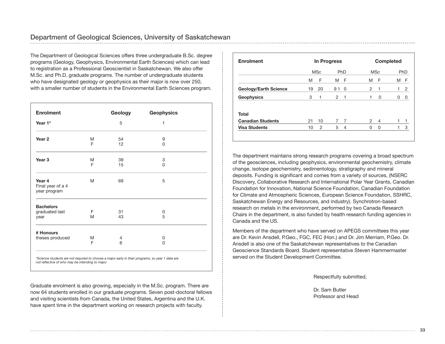The Department of Geological Sciences offers three undergraduate B.Sc. degree programs (Geology, Geophysics, Environmental Earth Sciences) which can lead to registration as a Professional Geoscientist in Saskatchewan. We also offer M.Sc. and Ph.D. graduate programs. The number of undergraduate students who have designated geology or geophysics as their major is now over 250, with a smaller number of students in the Environmental Earth Sciences program.

| <b>Enrolment</b>                            |        | Geology  | <b>Geophysics</b> |
|---------------------------------------------|--------|----------|-------------------|
| Year 1*                                     |        | 5        | 1                 |
| Year <sub>2</sub>                           | M<br>F | 54<br>12 | 9<br>0            |
| Year <sub>3</sub>                           | M<br>F | 39<br>15 | 3<br>$\Omega$     |
| Year 4<br>Final year of a 4<br>year program | M      | 69       | 5                 |
| <b>Bachelors</b><br>graduated last<br>year  | F<br>M | 31<br>43 | 0<br>5            |
| # Honours<br>theses produced                | M<br>F | 4<br>6   | 0<br>0            |

*not reflective of who may be intending to major.*

Graduate enrolment is also growing, especially in the M.Sc. program. There are now 64 students enrolled in our graduate programs. Seven post-doctoral fellows and visiting scientists from Canada, the United States, Argentina and the U.K. have spent time in the department working on research projects with faculty.

| <b>Enrolment</b>         | In Progress |            |    |                | <b>Completed</b> |                |   |                |
|--------------------------|-------------|------------|----|----------------|------------------|----------------|---|----------------|
|                          |             | <b>MSc</b> |    | PhD            |                  | <b>MSc</b>     |   | PhD            |
|                          | M           | F          | M  | - F            | M                | F              | M | F              |
| Geology/Earth Science    | 19          | 20         | 91 | $\Omega$       | $\mathfrak{p}$   | 1              |   | $\overline{2}$ |
| <b>Geophysics</b>        | 3           | 1          | 2  | -1             | 1                | 0              | 0 |                |
| Total                    |             |            |    |                |                  |                |   |                |
| <b>Canadian Students</b> | 21          | 10         |    | $\overline{7}$ | $\mathcal{P}$    | $\overline{4}$ |   |                |
| <b>Visa Students</b>     | 10          | 2          | 5  | $\overline{4}$ | 0                | 0              |   | 3              |

The department maintains strong research programs covering a broad spectrum of the geosciences, including geophysics, environmental geochemistry, climate change, isotope geochemistry, sedimentology, stratigraphy and mineral deposits. Funding is significant and comes from a variety of sources, (NSERC Discovery, Collaborative Research and International Polar Year Grants, Canadian Foundation for Innovation, National Science Foundation, Canadian Foundation for Climate and Atmospheric Sciences, European Science Foundation, SSHRC, Saskatchewan Energy and Resources, and industry). Synchrotron-based research on metals in the environment, performed by two Canada Research Chairs in the department, is also funded by health research funding agencies in Canada and the US.

Members of the department who have served on APEGS committees this year are Dr. Kevin Ansdell, P.Geo., FGC, FEC (Hon.) and Dr. Jim Merriam, P.Geo. Dr. Ansdell is also one of the Saskatchewan representatives to the Canadian Geoscience Standards Board. Student representative Steven Hammermaster served on the Student Development Committee.

Respectfully submitted,

Dr. Sam Butler Professor and Head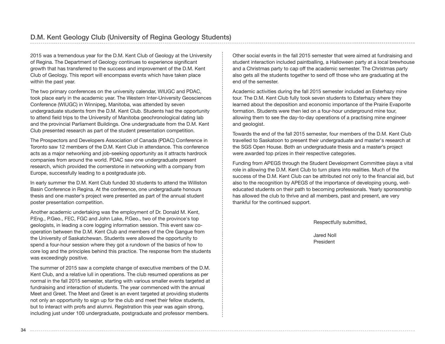2015 was a tremendous year for the D.M. Kent Club of Geology at the University of Regina. The Department of Geology continues to experience significant growth that has transferred to the success and improvement of the D.M. Kent Club of Geology. This report will encompass events which have taken place within the past year.

The two primary conferences on the university calendar, WIUGC and PDAC, took place early in the academic year. The Western Inter-University Geosciences Conference (WIUGC) in Winnipeg, Manitoba, was attended by seven undergraduate students from the D.M. Kent Club. Students had the opportunity to attend field trips to the University of Manitoba geochronological dating lab and the provincial Parliament Buildings. One undergraduate from the D.M. Kent Club presented research as part of the student presentation competition.

The Prospectors and Developers Association of Canada (PDAC) Conference in Toronto saw 12 members of the D.M. Kent Club in attendance. This conference acts as a major networking and job-seeking opportunity as it attracts hardrock companies from around the world. PDAC saw one undergraduate present research, which provided the cornerstone in networking with a company from Europe, successfully leading to a postgraduate job.

In early summer the D.M. Kent Club funded 30 students to attend the Williston Basin Conference in Regina. At the conference, one undergraduate honours thesis and one master's project were presented as part of the annual student poster presentation competition.

Another academic undertaking was the employment of Dr. Donald M. Kent, P.Eng., P.Geo., FEC, FGC and John Lake, P.Geo., two of the province's top geologists, in leading a core logging information session. This event saw cooperation between the D.M. Kent Club and members of the Ore Gangue from the University of Saskatchewan. Students were allowed the opportunity to spend a four-hour session where they got a rundown of the basics of how to core log and the principles behind this practice. The response from the students was exceedingly positive.

The summer of 2015 saw a complete change of executive members of the D.M. Kent Club, and a relative lull in operations. The club resumed operations as per normal in the fall 2015 semester, starting with various smaller events targeted at fundraising and interaction of students. The year commenced with the annual Meet and Greet. The Meet and Greet is an event targeted at providing students not only an opportunity to sign up for the club and meet their fellow students, but to interact with profs and alumni. Registration this year was again strong, including just under 100 undergraduate, postgraduate and professor members.

Other social events in the fall 2015 semester that were aimed at fundraising and student interaction included paintballing, a Halloween party at a local brewhouse and a Christmas party to cap off the academic semester. The Christmas party also gets all the students together to send off those who are graduating at the end of the semester.

Academic activities during the fall 2015 semester included an Esterhazy mine tour. The D.M. Kent Club fully took seven students to Esterhazy where they learned about the deposition and economic importance of the Prairie Evaporite formation. Students were then led on a four-hour underground mine tour, allowing them to see the day-to-day operations of a practising mine engineer and geologist.

Towards the end of the fall 2015 semester, four members of the D.M. Kent Club travelled to Saskatoon to present their undergraduate and master's research at the SGS Open House. Both an undergraduate thesis and a master's project were awarded top prizes in their respective categories.

Funding from APEGS through the Student Development Committee plays a vital role in allowing the D.M. Kent Club to turn plans into realities. Much of the success of the D.M. Kent Club can be attributed not only to the financial aid, but also to the recognition by APEGS of the importance of developing young, welleducated students on their path to becoming professionals. Yearly sponsorship has allowed the club to thrive and all members, past and present, are very thankful for the continued support.

Respectfully submitted,

Jared Noll President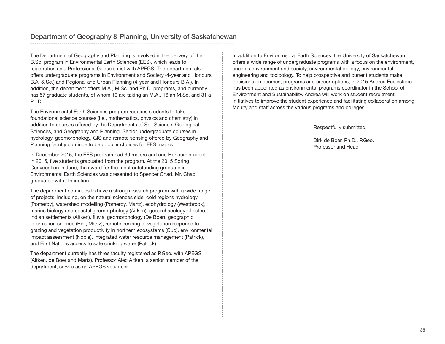The Department of Geography and Planning is involved in the delivery of the B.Sc. program in Environmental Earth Sciences (EES), which leads to registration as a Professional Geoscientist with APEGS. The department also offers undergraduate programs in Environment and Society (4-year and Honours B.A. & Sc.) and Regional and Urban Planning (4-year and Honours B.A.). In addition, the department offers M.A., M.Sc. and Ph.D. programs, and currently has 57 graduate students, of whom 10 are taking an M.A., 16 an M.Sc. and 31 a Ph.D.

The Environmental Earth Sciences program requires students to take foundational science courses (i.e., mathematics, physics and chemistry) in addition to courses offered by the Departments of Soil Science, Geological Sciences, and Geography and Planning. Senior undergraduate courses in hydrology, geomorphology, GIS and remote sensing offered by Geography and Planning faculty continue to be popular choices for EES majors.

In December 2015, the EES program had 39 majors and one Honours student. In 2015, five students graduated from the program. At the 2015 Spring Convocation in June, the award for the most outstanding graduate in Environmental Earth Sciences was presented to Spencer Chad. Mr. Chad graduated with distinction.

The department continues to have a strong research program with a wide range of projects, including, on the natural sciences side, cold regions hydrology (Pomeroy), watershed modelling (Pomeroy, Martz), ecohydrology (Westbrook), marine biology and coastal geomorphology (Aitken), geoarchaeology of paleo-Indian settlements (Aitken), fluvial geomorphology (De Boer), geographic information science (Bell, Martz), remote sensing of vegetation response to grazing and vegetation productivity in northern ecosystems (Guo), environmental impact assessment (Noble), integrated water resource management (Patrick), and First Nations access to safe drinking water (Patrick).

The department currently has three faculty registered as P.Geo. with APEGS (Aitken, de Boer and Martz). Professor Alec Aitken, a senior member of the department, serves as an APEGS volunteer.

In addition to Environmental Earth Sciences, the University of Saskatchewan offers a wide range of undergraduate programs with a focus on the environment, such as environment and society, environmental biology, environmental engineering and toxicology. To help prospective and current students make decisions on courses, programs and career options, in 2015 Andrea Ecclestone has been appointed as environmental programs coordinator in the School of Environment and Sustainability. Andrea will work on student recruitment, initiatives to improve the student experience and facilitating collaboration among faculty and staff across the various programs and colleges.

Respectfully submitted,

Dirk de Boer, Ph.D., P.Geo. Professor and Head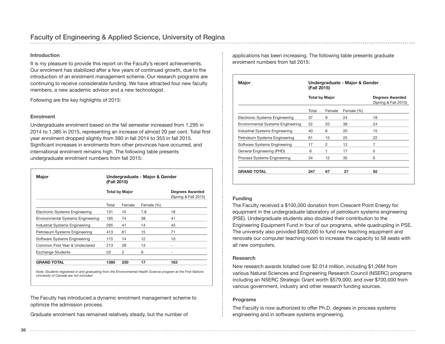#### **Introduction**

It is my pleasure to provide this report on the Faculty's recent achievements. Our enrolment has stabilized after a few years of continued growth, due to the introduction of an enrolment management scheme. Our research programs are continuing to receive considerable funding. We have attracted four new faculty members, a new academic advisor and a new technologist.

Following are the key highlights of 2015:

#### **Enrolment**

Undergraduate enrolment based on the fall semester increased from 1,295 in 2014 to 1,385 in 2015, representing an increase of almost 20 per cent. Total first year enrolment dropped slightly from 390 in fall 2014 to 353 in fall 2015. Significant increases in enrolments from other provinces have occurred, and international enrolment remains high. The following table presents undergraduate enrolment numbers from fall 2015:

| <b>Major</b>                             | Undergraduate - Major & Gender<br>(Fall 2015) |                       |            |                                         |  |  |
|------------------------------------------|-----------------------------------------------|-----------------------|------------|-----------------------------------------|--|--|
|                                          |                                               | <b>Total by Major</b> |            | Degrees Awarded<br>(Spring & Fall 2015) |  |  |
|                                          | Total                                         | Female                | Female (%) |                                         |  |  |
| Electronic Systems Engineering           | 131                                           | 10                    | 7.6        | 18                                      |  |  |
| <b>Environmental Systems Engineering</b> | 195                                           | 74                    | 38         | 41                                      |  |  |
| Industrial Systems Engineering           | 295                                           | 41                    | 14         | 43                                      |  |  |
| Petroleum Systems Engineering            | 413                                           | 61                    | 15         | 71                                      |  |  |
| Software Systems Engineering             | 115                                           | 14                    | 12         | 10                                      |  |  |
| Common First Year & Undeclared           | 213                                           | 28                    | 13         |                                         |  |  |
| <b>Exchange Students</b>                 | 23                                            | 2                     | 9          | ۰                                       |  |  |
| <b>GRAND TOTAL</b>                       | 1385                                          | 230                   | 17         | 183                                     |  |  |

*Note: Students registered in and graduating from the Environmental Health Science program at the First Nations University of Canada are not included.* 

The Faculty has introduced a dynamic enrolment management scheme to optimize the admission process.

Graduate enrolment has remained relatively steady, but the number of

applications has been increasing. The following table presents graduate enrolment numbers from fall 2015:

| <b>Major</b>                             | Undergraduate - Major & Gender<br>(Fall 2015) |                       |            |                                         |  |  |  |
|------------------------------------------|-----------------------------------------------|-----------------------|------------|-----------------------------------------|--|--|--|
|                                          |                                               | <b>Total by Major</b> |            | Degrees Awarded<br>(Spring & Fall 2015) |  |  |  |
|                                          | Total                                         | Female                | Female (%) |                                         |  |  |  |
| Electronic Systems Engineering           | 37                                            | 9                     | 24         | 18                                      |  |  |  |
| <b>Environmental Systems Engineering</b> | 52                                            | 20                    | 38         | 24                                      |  |  |  |
| Industrial Systems Engineering           | 40                                            | 8                     | 20         | 15                                      |  |  |  |
| Petroleum Systems Engineering            | 61                                            | 15                    | 25         | 22                                      |  |  |  |
| Software Systems Engineering             | 17                                            | 2                     | 12         | 7                                       |  |  |  |
| General Engineering (PHD)                | 6                                             | 1                     | 17         | 0                                       |  |  |  |
| Process Systems Engineering              | 34                                            | 12                    | 35         | 6                                       |  |  |  |
| <b>GRAND TOTAL</b>                       | 247                                           | 67                    | 27         | 92                                      |  |  |  |

#### **Funding**

The Faculty received a \$100,000 donation from Crescent Point Energy for equipment in the undergraduate laboratory of petroleum systems engineering (PSE). Undergraduate students also doubled their contribution to the Engineering Equipment Fund in four of our programs, while quadrupling in PSE. The university also provided \$400,000 to fund new teaching equipment and renovate our computer teaching room to increase the capacity to 58 seats with all new computers.

#### **Research**

New research awards totalled over \$2.014 million, including \$1.26M from various Natural Sciences and Engineering Research Council (NSERC) programs including an NSERC Strategic Grant worth \$579,000, and over \$700,000 from various government, industry and other research funding sources.

#### **Programs**

The Faculty is now authorized to offer Ph.D. degrees in process systems engineering and in software systems engineering.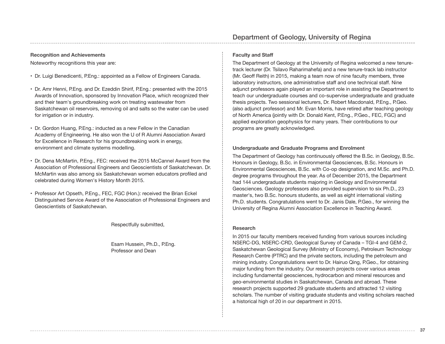#### **Recognition and Achievements**

Noteworthy recognitions this year are:

- Dr. Luigi Benedicenti, P.Eng.: appointed as a Fellow of Engineers Canada.
- Dr. Amr Henni, P.Eng. and Dr. Ezeddin Shirif, P.Eng.: presented with the 2015 Awards of Innovation, sponsored by Innovation Place, which recognized their and their team's groundbreaking work on treating wastewater from Saskatchewan oil reservoirs, removing oil and salts so the water can be used for irrigation or in industry.
- Dr. Gordon Huang, P.Eng.: inducted as a new Fellow in the Canadian Academy of Engineering. He also won the U of R Alumni Association Award for Excellence in Research for his groundbreaking work in energy, environment and climate systems modelling.
- Dr. Dena McMartin, P.Eng., FEC: received the 2015 McCannel Award from the Association of Professional Engineers and Geoscientists of Saskatchewan. Dr. McMartin was also among six Saskatchewan women educators profiled and celebrated during Women's History Month 2015.
- Professor Art Opseth, P.Eng., FEC, FGC (Hon.): received the Brian Eckel Distinguished Service Award of the Association of Professional Engineers and Geoscientists of Saskatchewan.

Respectfully submitted,

Esam Hussein, Ph.D., P.Eng. Professor and Dean

#### **Faculty and Staff**

The Department of Geology at the University of Regina welcomed a new tenuretrack lecturer (Dr. Tsilavo Raharimahefa) and a new tenure-track lab instructor (Mr. Geoff Reith) in 2015, making a team now of nine faculty members, three laboratory instructors, one administrative staff and one technical staff. Nine adjunct professors again played an important role in assisting the Department to teach our undergraduate courses and co-supervise undergraduate and graduate thesis projects. Two sessional lecturers, Dr. Robert Macdonald, P.Eng., P.Geo. (also adjunct professor) and Mr. Evan Morris, have retired after teaching geology of North America (jointly with Dr. Donald Kent, P.Eng., P.Geo., FEC, FGC) and applied exploration geophysics for many years. Their contributions to our programs are greatly acknowledged.

#### **Undergraduate and Graduate Programs and Enrolment**

The Department of Geology has continuously offered the B.Sc. in Geology, B.Sc. Honours in Geology, B.Sc. in Environmental Geosciences, B.Sc. Honours in Environmental Geosciences, B.Sc. with Co-op designation, and M.Sc. and Ph.D. degree programs throughout the year. As of December 2015, the Department had 144 undergraduate students majoring in Geology and Environmental Geosciences. Geology professors also provided supervision to six Ph.D., 23 master's, two B.Sc. honours students, as well as eight international visiting Ph.D. students. Congratulations went to Dr. Janis Dale, P.Geo., for winning the University of Regina Alumni Association Excellence in Teaching Award.

#### **Research**

In 2015 our faculty members received funding from various sources including NSERC-DG, NSERC-CRD, Geological Survey of Canada – TGI-4 and GEM-2, Saskatchewan Geological Survey (Ministry of Economy), Petroleum Technology Research Centre (PTRC) and the private sectors, including the petroleum and mining industry. Congratulations went to Dr. Hairuo Qing, P.Geo., for obtaining major funding from the industry. Our research projects cover various areas including fundamental geosciences, hydrocarbon and mineral resources and geo-environmental studies in Saskatchewan, Canada and abroad. These research projects supported 29 graduate students and attracted 12 visiting scholars. The number of visiting graduate students and visiting scholars reached a historical high of 20 in our department in 2015.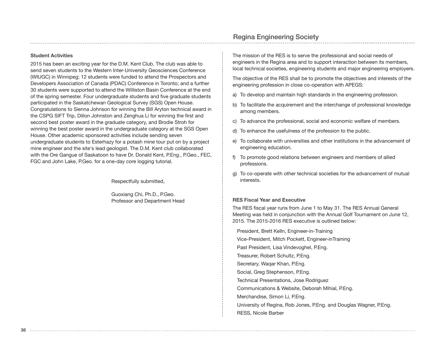## Regina Engineering Society

#### **Student Activities**

2015 has been an exciting year for the D.M. Kent Club. The club was able to send seven students to the Western Inter-University Geosciences Conference (WIUGC) in Winnipeg; 12 students were funded to attend the Prospectors and Developers Association of Canada (PDAC) Conference in Toronto; and a further 30 students were supported to attend the Williston Basin Conference at the end of the spring semester. Four undergraduate students and five graduate students participated in the Saskatchewan Geological Survey (SGS) Open House. Congratulations to Sienna Johnson for winning the Bill Aryton technical award in the CSPG SIFT Trip, Dillon Johnston and Zenghua Li for winning the first and second best poster award in the graduate category, and Brodie Stroh for winning the best poster award in the undergraduate category at the SGS Open House. Other academic sponsored activities include sending seven undergraduate students to Esterhazy for a potash mine tour put on by a project mine engineer and the site's lead geologist. The D.M. Kent club collaborated with the Ore Gangue of Saskatoon to have Dr. Donald Kent, P.Eng., P.Geo., FEC, FGC and John Lake, P.Geo. for a one-day core logging tutorial.

Respectfully submitted,

Guoxiang Chi, Ph.D., P.Geo. Professor and Department Head The mission of the RES is to serve the professional and social needs of engineers in the Regina area and to support interaction between its members, local technical societies, engineering students and major engineering employers.

The objective of the RES shall be to promote the objectives and interests of the engineering profession in close co-operation with APEGS:

- a) To develop and maintain high standards in the engineering profession.
- b) To facilitate the acquirement and the interchange of professional knowledge among members.
- c) To advance the professional, social and economic welfare of members.
- d) To enhance the usefulness of the profession to the public.
- e) To collaborate with universities and other institutions in the advancement of engineering education.
- f) To promote good relations between engineers and members of allied professions.
- g) To co-operate with other technical societies for the advancement of mutual interests.

#### **RES Fiscal Year and Executive**

The RES fiscal year runs from June 1 to May 31. The RES Annual General Meeting was held in conjunction with the Annual Golf Tournament on June 12, 2015. The 2015-2016 RES executive is outlined below:

President, Brett Kelln, Engineer-in-Training Vice-President, Mitch Pockett, Engineer-inTraining Past President, Lisa Vindevoghel, P.Eng. Treasurer, Robert Schultz, P.Eng. Secretary, Waqar Khan, P.Eng. Social, Greg Stephenson, P.Eng. Technical Presentations, Jose Rodriguez Communications & Website, Deborah Mihial, P.Eng. Merchandise, Simon Li, P.Eng. University of Regina, Rob Jones, P.Eng. and Douglas Wagner, P.Eng. RESS, Nicole Barber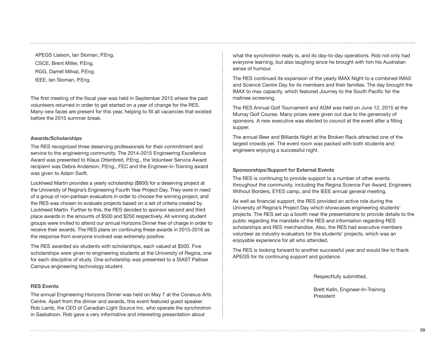APEGS Liaison, Ian Sloman, P.Eng. CSCE, Brent Miller, P.Eng. RGG, Darrell Mihial, P.Eng. IEEE, Ian Sloman, P.Eng.

The first meeting of the fiscal year was held in September 2015 where the past volunteers returned in order to get started on a year of change for the RES. Many new faces are present for this year, helping to fill all vacancies that existed before the 2015 summer break.

#### **Awards/Scholarships**

The RES recognized three deserving professionals for their commitment and service to the engineering community. The 2014-2015 Engineering Excellence Award was presented to Klaus Ottenbreit, P.Eng., the Volunteer Service Award recipient was Debra Anderson, P.Eng., FEC and the Engineer-in-Training award was given to Adam Swift.

Lockheed Martin provides a yearly scholarship (\$800) for a deserving project at the University of Regina's Engineering Fourth Year Project Day. They were in need of a group of non-partisan evaluators in order to choose the winning project, and the RES was chosen to evaluate projects based on a set of criteria created by Lockheed Martin. Further to this, the RES decided to sponsor second and third place awards in the amounts of \$500 and \$250 respectively. All winning student groups were invited to attend our annual Horizons Dinner free of charge in order to receive their awards. The RES plans on continuing these awards in 2015-2016 as the response from everyone involved was extremely positive.

The RES awarded six students with scholarships, each valued at \$500. Five scholarships were given to engineering students at the University of Regina, one for each discipline of study. One scholarship was presented to a SIAST Palliser Campus engineering technology student.

#### **RES Events**

The annual Engineering Horizons Dinner was held on May 7 at the Conexus Arts Centre. Apart from the dinner and awards, this event featured guest speaker Rob Lamb, the CEO of Canadian Light Source Inc. who operate the synchrotron in Saskatoon. Rob gave a very informative and interesting presentation about

what the synchrotron really is, and its day-to-day operations. Rob not only had everyone learning, but also laughing since he brought with him his Australian sense of humour.

The RES continued its expansion of the yearly IMAX Night to a combined IMAX and Science Centre Day for its members and their families. The day brought the IMAX to max capacity, which featured Journey to the South Pacific for the matinee screening.

The RES Annual Golf Tournament and AGM was held on June 12, 2015 at the Murray Golf Course. Many prizes were given out due to the generosity of sponsors. A new executive was elected to council at the event after a filling supper.

The annual Beer and Billiards Night at the Broken Rack attracted one of the largest crowds yet. The event room was packed with both students and engineers enjoying a successful night.

#### **Sponsorships/Support for External Events**

The RES is continuing to provide support to a number of other events throughout the community, including the Regina Science Fair Award, Engineers Without Borders, EYES camp, and the IEEE annual general meeting.

As well as financial support, the RES provided an active role during the University of Regina's Project Day which showcases engineering students' projects. The RES set up a booth near the presentations to provide details to the public regarding the mandate of the RES and information regarding RES scholarships and RES merchandise. Also, the RES had executive members volunteer as industry evaluators for the students' projects, which was an enjoyable experience for all who attended.

The RES is looking forward to another successful year and would like to thank APEGS for its continuing support and guidance.

Respectfully submitted,

Brett Kelln, Engineer-In-Training President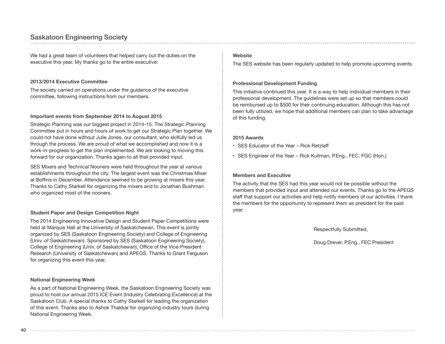## Saskatoon Engineering Society

We had a great team of volunteers that helped carry out the duties on the executive this year. My thanks go to the entire executive:

#### **2013/2014 Executive Committee**

The society carried on operations under the guidance of the executive committee, following instructions from our members.

#### **Important events from September 2014 to August 2015**

Strategic Planning was our biggest project in 2014-15. The Strategic Planning Committee put in hours and hours of work to get our Strategic Plan together. We could not have done without Julie Jones, our consultant, who skilfully led us through the process. We are proud of what we accomplished and now it is a work-in-progress to get the plan implemented. We are looking to moving this forward for our organization. Thanks again to all that provided input.

SES Mixers and Technical Nooners were held throughout the year at various establishments throughout the city. The largest event was the Christmas Mixer at Boffins in December. Attendance seemed to be growing at mixers this year. Thanks to Cathy Starkell for organizing the mixers and to Jonathan Bushman who organized most of the nooners.

#### **Student Paper and Design Competition Night**

The 2014 Engineering Innovative Design and Student Paper Competitions were held at Marquis Hall at the University of Saskatchewan. This event is jointly organized by SES (Saskatoon Engineering Society) and College of Engineering (Univ. of Saskatchewan). Sponsored by SES (Saskatoon Engineering Society), College of Engineering (Univ. of Saskatchewan), Office of the Vice-President Research (University of Saskatchewan) and APEGS. Thanks to Grant Ferguson for organizing this event this year.

#### **National Engineering Week**

As a part of National Engineering Week, the Saskatoon Engineering Society was proud to host our annual 2015 ICE Event (Industry Celebrating Excellence) at the Saskatoon Club. A special thanks to Cathy Starkell for leading the organization of this event. Thanks also to Ashok Thakkar for organizing industry tours during National Engineering Week.

### **Website**

The SES website has been regularly updated to help promote upcoming events.

#### **Professional Development Funding**

This initiative continued this year. It is a way to help individual members in their professional development. The guidelines were set up so that members could be reimbursed up to \$500 for their continuing education. Although this has not been fully utilized, we hope that additional members can plan to take advantage of this funding.

#### **2015 Awards**

- SES Educator of the Year Rick Retzlaff
- SES Engineer of the Year Rick Kullman, P.Eng., FEC, FGC (Hon.)

#### **Members and Executive**

The activity that the SES had this year would not be possible without the members that provided input and attended our events. Thanks go to the APEGS staff that support our activities and help notify members of our activities. I thank the members for the opportunity to represent them as president for the past year.

Respectfully Submitted,

Doug Drever, P.Eng., FEC President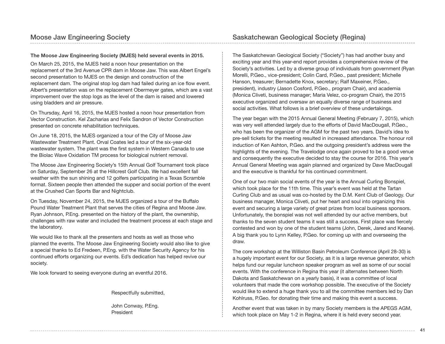#### **The Moose Jaw Engineering Society (MJES) held several events in 2015.**

On March 25, 2015, the MJES held a noon hour presentation on the replacement of the 3rd Avenue CPR dam in Moose Jaw. This was Albert Engel's second presentation to MJES on the design and construction of the replacement dam. The original stop log dam had failed during an ice flow event. Albert's presentation was on the replacement Obermeyer gates, which are a vast improvement over the stop logs as the level of the dam is raised and lowered using bladders and air pressure.

On Thursday, April 16, 2015, the MJES hosted a noon hour presentation from Vector Construction. Kel Zacharias and Felix Sandron of Vector Construction presented on concrete rehabilitation techniques.

On June 18, 2015, the MJES organized a tour of the City of Moose Jaw Wastewater Treatment Plant. Orval Coates led a tour of the six-year-old wastewater system. The plant was the first system in Western Canada to use the Biolac Wave Oxidation TM process for biological nutrient removal.

The Moose Jaw Engineering Society's 15th Annual Golf Tournament took place on Saturday, September 26 at the Hillcrest Golf Club. We had excellent fall weather with the sun shining and 12 golfers participating in a Texas Scramble format. Sixteen people then attended the supper and social portion of the event at the Crushed Can Sports Bar and Nightclub.

On Tuesday, November 24, 2015, the MJES organized a tour of the Buffalo Pound Water Treatment Plant that serves the cities of Regina and Moose Jaw. Ryan Johnson, P.Eng. presented on the history of the plant, the ownership, challenges with raw water and included the treatment process at each stage and the laboratory.

We would like to thank all the presenters and hosts as well as those who planned the events. The Moose Jaw Engineering Society would also like to give a special thanks to Ed Fredeen, P.Eng. with the Water Security Agency for his continued efforts organizing our events. Ed's dedication has helped revive our society.

We look forward to seeing everyone during an eventful 2016.

Respectfully submitted,

John Conway, P.Eng. President

The Saskatchewan Geological Society ("Society") has had another busy and exciting year and this year-end report provides a comprehensive review of the Society's activities. Led by a diverse group of individuals from government (Ryan Morelli, P.Geo., vice-president; Colin Card, P.Geo., past president; Michelle Hanson, treasurer; Bernadette Knox, secretary; Ralf Maxeiner, P.Geo., president), industry (Jason Cosford, P.Geo., program Chair), and academia (Monica Cliveti, business manager; Maria Velez, co-program Chair), the 2015 executive organized and oversaw an equally diverse range of business and social activities. What follows is a brief overview of these undertakings.

The year began with the 2015 Annual General Meeting (February 7, 2015), which was very well attended largely due to the efforts of David MacDougall, P.Geo., who has been the organizer of the AGM for the past two years. David's idea to pre-sell tickets for the meeting resulted in increased attendance. The honour roll induction of Ken Ashton, P.Geo. and the outgoing president's address were the highlights of the evening. The Travelodge once again proved to be a good venue and consequently the executive decided to stay the course for 2016. This year's Annual General Meeting was again planned and organized by Dave MacDougall and the executive is thankful for his continued commitment.

One of our two main social events of the year is the Annual Curling Bonspiel, which took place for the 11th time. This year's event was held at the Tartan Curling Club and as usual was co-hosted by the D.M. Kent Club of Geology. Our business manager, Monica Cliveti, put her heart and soul into organizing this event and securing a large variety of great prizes from local business sponsors. Unfortunately, the bonspiel was not well attended by our active members, but thanks to the seven student teams it was still a success. First place was fiercely contested and won by one of the student teams (John, Derek, Jared and Keane). A big thank you to Lynn Kelley, P.Geo. for coming up with and overseeing the draw.

The core workshop at the Williston Basin Petroleum Conference (April 28-30) is a hugely important event for our Society, as it is a large revenue generator, which helps fund our regular luncheon speaker program as well as some of our social events. With the conference in Regina this year (it alternates between North Dakota and Saskatchewan on a yearly basis), it was a committee of local volunteers that made the core workshop possible. The executive of the Society would like to extend a huge thank you to all the committee members led by Dan Kohlruss, P.Geo. for donating their time and making this event a success.

Another event that was taken in by many Society members is the APEGS AGM, which took place on May 1-2 in Regina, where it is held every second year.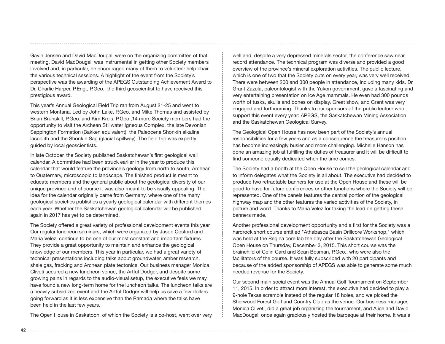Gavin Jensen and David MacDougall were on the organizing committee of that meeting. David MacDougall was instrumental in getting other Society members involved and, in particular, he encouraged many of them to volunteer help chair the various technical sessions. A highlight of the event from the Society's perspective was the awarding of the APEGS Outstanding Achievement Award to Dr. Charlie Harper, P.Eng., P.Geo., the third geoscientist to have received this prestigious award.

This year's Annual Geological Field Trip ran from August 21-25 and went to western Montana. Led by John Lake, P.Geo. and Mike Thomas and assisted by Brian Brunskill, P.Geo. and Kim Kreis, P.Geo.,14 more Society members had the opportunity to visit the Archean Stillwater Igneous Complex, the late Devonian Sappington Formation (Bakken equivalent), the Paleocene Shonkin alkaline laccolith and the Shonkin Sag (glacial spillway). The field trip was expertly guided by local geoscientists.

In late October, the Society published Saskatchewan's first geological wall calendar. A committee had been struck earlier in the year to produce this calendar that would feature the province's geology from north to south, Archean to Quaternary, microscopic to landscape. The finished product is meant to educate members and the general public about the geological diversity of our unique province and of course it was also meant to be visually appealing. The idea for the calendar originally came from Germany, where one of the many geological societies publishes a yearly geological calendar with different themes each year. Whether the Saskatchewan geological calendar will be published again in 2017 has yet to be determined.

The Society offered a great variety of professional development events this year. Our regular luncheon seminars, which were organized by Jason Cosford and Maria Velez, continue to be one of our most constant and important fixtures. They provide a great opportunity to maintain and enhance the geological knowledge of our members. This year in particular, we had a great variety of technical presentations including talks about groundwater, amber research, shale gas, fracking and Archean plate tectonics. Our business manager Monica Cliveti secured a new luncheon venue, the Artful Dodger, and despite some growing pains in regards to the audio-visual setup, the executive feels we may have found a new long-term home for the luncheon talks. The luncheon talks are a heavily subsidized event and the Artful Dodger will help us save a few dollars going forward as it is less expensive than the Ramada where the talks have been held in the last few years.

The Open House in Saskatoon, of which the Society is a co-host, went over very

well and, despite a very depressed minerals sector, the conference saw near record attendance. The technical program was diverse and provided a good overview of the province's mineral exploration activities. The public lecture, which is one of two that the Society puts on every year, was very well received. There were between 200 and 300 people in attendance, including many kids. Dr. Grant Zazula, paleontologist with the Yukon government, gave a fascinating and very entertaining presentation on Ice Age mammals. He even had 300 pounds worth of tusks, skulls and bones on display. Great show, and Grant was very engaged and forthcoming. Thanks to our sponsors of the public lecture who support this event every year: APEGS, the Saskatchewan Mining Association and the Saskatchewan Geological Survey.

The Geological Open House has now been part of the Society's annual responsibilities for a few years and as a consequence the treasurer's position has become increasingly busier and more challenging. Michelle Hanson has done an amazing job at fulfilling the duties of treasurer and it will be difficult to find someone equally dedicated when the time comes.

The Society had a booth at the Open House to sell the geological calendar and to inform delegates what the Society is all about. The executive had decided to produce two retractable banners for use at the Open House and these will be good to have for future conferences or other functions where the Society will be represented. One of the panels features the central portion of the geological highway map and the other features the varied activities of the Society, in picture and word. Thanks to Maria Velez for taking the lead on getting these banners made.

Another professional development opportunity and a first for the Society was a hardrock short course entitled "Athabasca Basin Drillcore Workshop," which was held at the Regina core lab the day after the Saskatchewan Geological Open House on Thursday, December 3, 2015. This short course was the brainchild of Colin Card and Sean Bosman, P.Geo., who were also the facilitators of the course. It was fully subscribed with 20 participants and because of the added sponsorship of APEGS was able to generate some much needed revenue for the Society.

Our second main social event was the Annual Golf Tournament on September 11, 2015. In order to attract more interest, the executive had decided to play a 9-hole Texas scramble instead of the regular 18 holes, and we picked the Sherwood Forest Golf and Country Club as the venue. Our business manager, Monica Cliveti, did a great job organizing the tournament, and Alice and David MacDougall once again graciously hosted the barbeque at their home. It was a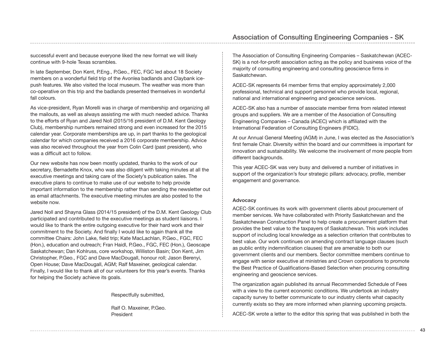successful event and because everyone liked the new format we will likely continue with 9-hole Texas scrambles.

In late September, Don Kent, P.Eng., P.Geo., FEC, FGC led about 18 Society members on a wonderful field trip of the Avonlea badlands and Claybank icepush features. We also visited the local museum. The weather was more than co-operative on this trip and the badlands presented themselves in wonderful fall colours.

As vice-president, Ryan Morelli was in charge of membership and organizing all the mailouts, as well as always assisting me with much needed advice. Thanks to the efforts of Ryan and Jared Noll (2015/16 president of D.M. Kent Geology Club), membership numbers remained strong and even increased for the 2015 calendar year. Corporate memberships are up, in part thanks to the geological calendar for which companies received a 2016 corporate membership. Advice was also received throughout the year from Colin Card (past president), who was a difficult act to follow.

Our new website has now been mostly updated, thanks to the work of our secretary, Bernadette Knox, who was also diligent with taking minutes at all the executive meetings and taking care of the Society's publication sales. The executive plans to continue to make use of our website to help provide important information to the membership rather than sending the newsletter out as email attachments. The executive meeting minutes are also posted to the website now.

Jared Noll and Shayna Glass (2014/15 president) of the D.M. Kent Geology Club participated and contributed to the executive meetings as student liaisons. I would like to thank the entire outgoing executive for their hard work and their commitment to the Society. And finally I would like to again thank all the committee Chairs: John Lake, field trip; Kate MacLachlan, P.Geo., FGC, FEC (Hon.), education and outreach; Fran Haidl, P.Geo., FGC, FEC (Hon.), Geoscape Saskatchewan; Dan Kohlruss, core workshop, Williston Basin; Don Kent, Jim Christopher, P.Geo., FGC and Dave MacDougall, honour roll; Jason Berenyi, Open House; Dave MacDougall, AGM; Ralf Maxeiner, geological calendar. Finally, I would like to thank all of our volunteers for this year's events. Thanks for helping the Society achieve its goals.

Respectfully submitted,

Ralf O. Maxeiner, P.Geo. President

The Association of Consulting Engineering Companies – Saskatchewan (ACEC-SK) is a not-for-profit association acting as the policy and business voice of the majority of consulting engineering and consulting geoscience firms in Saskatchewan.

ACEC-SK represents 64 member firms that employ approximately 2,000 professional, technical and support personnel who provide local, regional, national and international engineering and geoscience services.

ACEC-SK also has a number of associate member firms from related interest groups and suppliers. We are a member of the Association of Consulting Engineering Companies – Canada (ACEC) which is affiliated with the International Federation of Consulting Engineers (FIDIC).

At our Annual General Meeting (AGM) in June, I was elected as the Association's first female Chair. Diversity within the board and our committees is important for innovation and sustainability. We welcome the involvement of more people from different backgrounds.

This year ACEC-SK was very busy and delivered a number of initiatives in support of the organization's four strategic pillars: advocacy, profile, member engagement and governance.

#### **Advocacy**

ACEC-SK continues its work with government clients about procurement of member services. We have collaborated with Priority Saskatchewan and the Saskatchewan Construction Panel to help create a procurement platform that provides the best value to the taxpayers of Saskatchewan. This work includes support of including local knowledge as a selection criterion that contributes to best value. Our work continues on amending contract language clauses (such as public entity indemnification clauses) that are amenable to both our government clients and our members. Sector committee members continue to engage with senior executive at ministries and Crown corporations to promote the Best Practice of Qualifications-Based Selection when procuring consulting engineering and geoscience services.

The organization again published its annual Recommended Schedule of Fees with a view to the current economic conditions. We undertook an industry capacity survey to better communicate to our industry clients what capacity currently exists so they are more informed when planning upcoming projects.

ACEC-SK wrote a letter to the editor this spring that was published in both the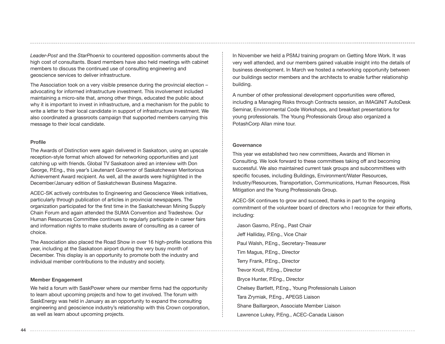*Leader-Post* and the *StarPhoenix* to countered opposition comments about the high cost of consultants. Board members have also held meetings with cabinet members to discuss the continued use of consulting engineering and geoscience services to deliver infrastructure.

The Association took on a very visible presence during the provincial election – advocating for informed infrastructure investment. This involvement included maintaining a micro-site that, among other things, educated the public about why it is important to invest in infrastructure, and a mechanism for the public to write a letter to their local candidate in support of infrastructure investment. We also coordinated a grassroots campaign that supported members carrying this message to their local candidate.

#### **Profile**

The Awards of Distinction were again delivered in Saskatoon, using an upscale reception-style format which allowed for networking opportunities and just catching up with friends. Global TV Saskatoon aired an interview with Don George, P.Eng., this year's Lieutenant Governor of Saskatchewan Meritorious Achievement Award recipient. As well, all the awards were highlighted in the December/January edition of Saskatchewan Business Magazine.

ACEC-SK actively contributes to Engineering and Geoscience Week initiatives, particularly through publication of articles in provincial newspapers. The organization participated for the first time in the Saskatchewan Mining Supply Chain Forum and again attended the SUMA Convention and Tradeshow. Our Human Resources Committee continues to regularly participate in career fairs and information nights to make students aware of consulting as a career of choice.

The Association also placed the Road Show in over 16 high-profile locations this year, including at the Saskatoon airport during the very busy month of December. This display is an opportunity to promote both the industry and individual member contributions to the industry and society.

#### **Member Engagement**

We held a forum with SaskPower where our member firms had the opportunity to learn about upcoming projects and how to get involved. The forum with SaskEnergy was held in January as an opportunity to expand the consulting engineering and geoscience industry's relationship with this Crown corporation, as well as learn about upcoming projects.

In November we held a PSMJ training program on Getting More Work. It was very well attended, and our members gained valuable insight into the details of business development. In March we hosted a networking opportunity between our buildings sector members and the architects to enable further relationship building.

A number of other professional development opportunities were offered, including a Managing Risks through Contracts session, an IMAGINiT AutoDesk Seminar, Environmental Code Workshops, and breakfast presentations for young professionals. The Young Professionals Group also organized a PotashCorp Allan mine tour.

#### **Governance**

This year we established two new committees, Awards and Women in Consulting. We look forward to these committees taking off and becoming successful. We also maintained current task groups and subcommittees with specific focuses, including Buildings, Environment/Water Resources, Industry/Resources, Transportation, Communications, Human Resources, Risk Mitigation and the Young Professionals Group.

ACEC-SK continues to grow and succeed, thanks in part to the ongoing commitment of the volunteer board of directors who I recognize for their efforts, including:

Jason Gasmo, P.Eng., Past Chair Jeff Halliday, P.Eng., Vice Chair Paul Walsh, P.Eng., Secretary-Treasurer Tim Magus, P.Eng., Director Terry Frank, P.Eng., Director Trevor Knoll, P.Eng., Director Bryce Hunter, P.Eng., Director Chelsey Bartlett, P.Eng., Young Professionals Liaison Tara Zrymiak, P.Eng., APEGS Liaison Shane Baillargeon, Associate Member Liaison Lawrence Lukey, P.Eng., ACEC-Canada Liaison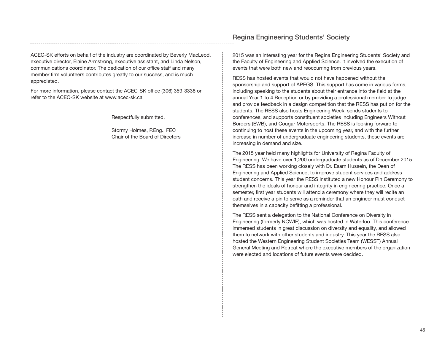ACEC-SK efforts on behalf of the industry are coordinated by Beverly MacLeod, executive director, Elaine Armstrong, executive assistant, and Linda Nelson, communications coordinator. The dedication of our office staff and many member firm volunteers contributes greatly to our success, and is much appreciated.

For more information, please contact the ACEC-SK office (306) 359-3338 or refer to the ACEC-SK website at www.acec-sk.ca

Respectfully submitted,

Stormy Holmes, P.Eng., FEC Chair of the Board of Directors

## Regina Engineering Students' Society

2015 was an interesting year for the Regina Engineering Students' Society and the Faculty of Engineering and Applied Science. It involved the execution of events that were both new and reoccurring from previous years.

RESS has hosted events that would not have happened without the sponsorship and support of APEGS. This support has come in various forms, including speaking to the students about their entrance into the field at the annual Year 1 to 4 Reception or by providing a professional member to judge and provide feedback in a design competition that the RESS has put on for the students. The RESS also hosts Engineering Week, sends students to conferences, and supports constituent societies including Engineers Without Borders (EWB), and Cougar Motorsports. The RESS is looking forward to continuing to host these events in the upcoming year, and with the further increase in number of undergraduate engineering students, these events are increasing in demand and size.

The 2015 year held many highlights for University of Regina Faculty of Engineering. We have over 1,200 undergraduate students as of December 2015. The RESS has been working closely with Dr. Esam Hussein, the Dean of Engineering and Applied Science, to improve student services and address student concerns. This year the RESS instituted a new Honour Pin Ceremony to strengthen the ideals of honour and integrity in engineering practice. Once a semester, first year students will attend a ceremony where they will recite an oath and receive a pin to serve as a reminder that an engineer must conduct themselves in a capacity befitting a professional.

The RESS sent a delegation to the National Conference on Diversity in Engineering (formerly NCWIE), which was hosted in Waterloo. This conference immersed students in great discussion on diversity and equality, and allowed them to network with other students and industry. This year the RESS also hosted the Western Engineering Student Societies Team (WESST) Annual General Meeting and Retreat where the executive members of the organization were elected and locations of future events were decided.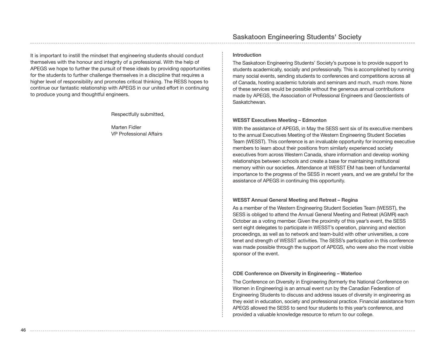It is important to instill the mindset that engineering students should conduct themselves with the honour and integrity of a professional. With the help of APEGS we hope to further the pursuit of these ideals by providing opportunities for the students to further challenge themselves in a discipline that requires a higher level of responsibility and promotes critical thinking. The RESS hopes to continue our fantastic relationship with APEGS in our united effort in continuing to produce young and thoughtful engineers.

Respectfully submitted,

Marten Fidler VP Professional Affairs

## Saskatoon Engineering Students' Society

#### **Introduction**

The Saskatoon Engineering Students' Society's purpose is to provide support to students academically, socially and professionally. This is accomplished by running many social events, sending students to conferences and competitions across all of Canada, hosting academic tutorials and seminars and much, much more. None of these services would be possible without the generous annual contributions made by APEGS, the Association of Professional Engineers and Geoscientists of Saskatchewan.

#### **WESST Executives Meeting – Edmonton**

With the assistance of APEGS, in May the SESS sent six of its executive members to the annual Executives Meeting of the Western Engineering Student Societies Team (WESST). This conference is an invaluable opportunity for incoming executive members to learn about their positions from similarly experienced society executives from across Western Canada, share information and develop working relationships between schools and create a base for maintaining institutional memory within our societies. Attendance at WESST EM has been of fundamental importance to the progress of the SESS in recent years, and we are grateful for the assistance of APEGS in continuing this opportunity.

#### **WESST Annual General Meeting and Retreat – Regina**

As a member of the Western Engineering Student Societies Team (WESST), the SESS is obliged to attend the Annual General Meeting and Retreat (AGMR) each October as a voting member. Given the proximity of this year's event, the SESS sent eight delegates to participate in WESST's operation, planning and election proceedings, as well as to network and team-build with other universities, a core tenet and strength of WESST activities. The SESS's participation in this conference was made possible through the support of APEGS, who were also the most visible sponsor of the event.

#### **CDE Conference on Diversity in Engineering – Waterloo**

The Conference on Diversity in Engineering (formerly the National Conference on Women in Engineering) is an annual event run by the Canadian Federation of Engineering Students to discuss and address issues of diversity in engineering as they exist in education, society and professional practice. Financial assistance from APEGS allowed the SESS to send four students to this year's conference, and provided a valuable knowledge resource to return to our college.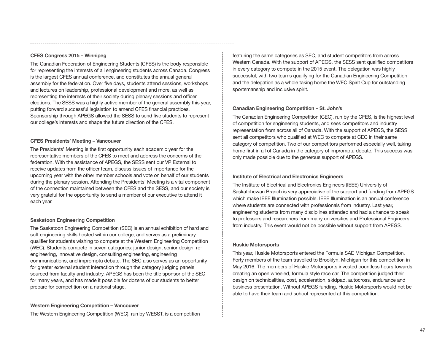#### **CFES Congress 2015 – Winnipeg**

The Canadian Federation of Engineering Students (CFES) is the body responsible for representing the interests of all engineering students across Canada. Congress is the largest CFES annual conference, and constitutes the annual general assembly for the federation. Over five days, students attend sessions, workshops and lectures on leadership, professional development and more, as well as representing the interests of their society during plenary sessions and officer elections. The SESS was a highly active member of the general assembly this year, putting forward successful legislation to amend CFES financial practices. Sponsorship through APEGS allowed the SESS to send five students to represent our college's interests and shape the future direction of the CFES.

#### **CFES Presidents' Meeting – Vancouver**

The Presidents' Meeting is the first opportunity each academic year for the representative members of the CFES to meet and address the concerns of the federation. With the assistance of APEGS, the SESS sent our VP External to receive updates from the officer team, discuss issues of importance for the upcoming year with the other member schools and vote on behalf of our students during the plenary session. Attending the Presidents' Meeting is a vital component of the connection maintained between the CFES and the SESS, and our society is very grateful for the opportunity to send a member of our executive to attend it each year.

#### **Saskatoon Engineering Competition**

The Saskatoon Engineering Competition (SEC) is an annual exhibition of hard and soft engineering skills hosted within our college, and serves as a preliminary qualifier for students wishing to compete at the Western Engineering Competition (WEC). Students compete in seven categories: junior design, senior design, reengineering, innovative design, consulting engineering, engineering communications, and impromptu debate. The SEC also serves as an opportunity for greater external student interaction through the category judging panels sourced from faculty and industry. APEGS has been the title sponsor of the SEC for many years, and has made it possible for dozens of our students to better prepare for competition on a national stage.

#### **Western Engineering Competition – Vancouver** The Western Engineering Competition (WEC), run by WESST, is a competition

featuring the same categories as SEC, and student competitors from across Western Canada. With the support of APEGS, the SESS sent qualified competitors in every category to compete in the 2015 event. The delegation was highly successful, with two teams qualifying for the Canadian Engineering Competition and the delegation as a whole taking home the WEC Spirit Cup for outstanding sportsmanship and inclusive spirit.

#### **Canadian Engineering Competition – St. John's**

The Canadian Engineering Competition (CEC), run by the CFES, is the highest level of competition for engineering students, and sees competitors and industry representation from across all of Canada. With the support of APEGS, the SESS sent all competitors who qualified at WEC to compete at CEC in their same category of competition. Two of our competitors performed especially well, taking home first in all of Canada in the category of impromptu debate. This success was only made possible due to the generous support of APEGS.

#### **Institute of Electrical and Electronics Engineers**

The Institute of Electrical and Electronics Engineers (IEEE) University of Saskatchewan Branch is very appreciative of the support and funding from APEGS which make IEEE Illumination possible. IEEE Illumination is an annual conference where students are connected with professionals from industry. Last year, engineering students from many disciplines attended and had a chance to speak to professors and researchers from many universities and Professional Engineers from industry. This event would not be possible without support from APEGS.

#### **Huskie Motorsports**

This year, Huskie Motorsports entered the Formula SAE Michigan Competition. Forty members of the team travelled to Brooklyn, Michigan for this competition in May 2016. The members of Huskie Motorsports invested countless hours towards creating an open wheeled, formula style race car. The competition judged their design on technicalities, cost, acceleration, skidpad, autocross, endurance and business presentation. Without APEGS funding, Huskie Motorsports would not be able to have their team and school represented at this competition.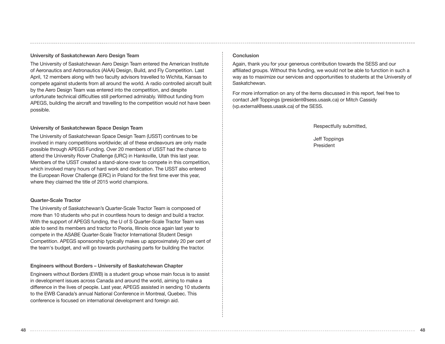#### **University of Saskatchewan Aero Design Team**

The University of Saskatchewan Aero Design Team entered the American Institute of Aeronautics and Astronautics (AIAA) Design, Build, and Fly Competition. Last April, 12 members along with two faculty advisors travelled to Wichita, Kansas to compete against students from all around the world. A radio controlled aircraft built by the Aero Design Team was entered into the competition, and despite unfortunate technical difficulties still performed admirably. Without funding from APEGS, building the aircraft and travelling to the competition would not have been possible.

#### **University of Saskatchewan Space Design Team**

The University of Saskatchewan Space Design Team (USST) continues to be involved in many competitions worldwide; all of these endeavours are only made possible through APEGS Funding. Over 20 members of USST had the chance to attend the University Rover Challenge (URC) in Hanksville, Utah this last year. Members of the USST created a stand-alone rover to compete in this competition, which involved many hours of hard work and dedication. The USST also entered the European Rover Challenge (ERC) in Poland for the first time ever this year, where they claimed the title of 2015 world champions.

#### **Quarter-Scale Tractor**

The University of Saskatchewan's Quarter-Scale Tractor Team is composed of more than 10 students who put in countless hours to design and build a tractor. With the support of APEGS funding, the U of S Quarter-Scale Tractor Team was able to send its members and tractor to Peoria, Illinois once again last year to compete in the ASABE Quarter-Scale Tractor International Student Design Competition. APEGS sponsorship typically makes up approximately 20 per cent of the team's budget, and will go towards purchasing parts for building the tractor.

#### **Engineers without Borders – University of Saskatchewan Chapter**

Engineers without Borders (EWB) is a student group whose main focus is to assist in development issues across Canada and around the world, aiming to make a difference in the lives of people. Last year, APEGS assisted in sending 10 students to the EWB Canada's annual National Conference in Montreal, Quebec. This conference is focused on international development and foreign aid.

#### **Conclusion**

Again, thank you for your generous contribution towards the SESS and our affiliated groups. Without this funding, we would not be able to function in such a way as to maximize our services and opportunities to students at the University of Saskatchewan.

For more information on any of the items discussed in this report, feel free to contact Jeff Toppings (president@sess.usask.ca) or Mitch Cassidy (vp.external@sess.usask.ca) of the SESS.

Respectfully submitted,

Jeff Toppings President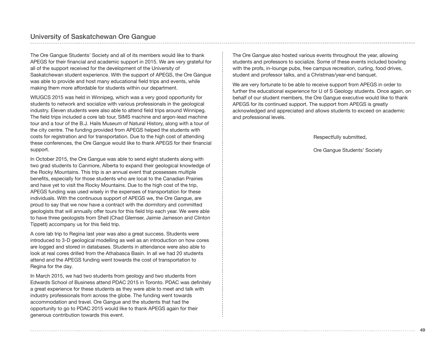The Ore Gangue Students' Society and all of its members would like to thank APEGS for their financial and academic support in 2015. We are very grateful for all of the support received for the development of the University of Saskatchewan student experience. With the support of APEGS, the Ore Gangue was able to provide and host many educational field trips and events, while making them more affordable for students within our department.

WIUGCS 2015 was held in Winnipeg, which was a very good opportunity for students to network and socialize with various professionals in the geological industry. Eleven students were also able to attend field trips around Winnipeg. The field trips included a core lab tour, SIMS machine and argon-lead machine tour and a tour of the B.J. Hails Museum of Natural History, along with a tour of the city centre. The funding provided from APEGS helped the students with costs for registration and for transportation. Due to the high cost of attending these conferences, the Ore Gangue would like to thank APEGS for their financial support.

In October 2015, the Ore Gangue was able to send eight students along with two grad students to Canmore, Alberta to expand their geological knowledge of the Rocky Mountains. This trip is an annual event that possesses multiple benefits, especially for those students who are local to the Canadian Prairies and have yet to visit the Rocky Mountains. Due to the high cost of the trip, APEGS funding was used wisely in the expenses of transportation for these individuals. With the continuous support of APEGS we, the Ore Gangue, are proud to say that we now have a contract with the dormitory and committed geologists that will annually offer tours for this field trip each year. We were able to have three geologists from Shell (Chad Glemser, Jaimie Jameson and Clinton Tippett) accompany us for this field trip.

A core lab trip to Regina last year was also a great success. Students were introduced to 3-D geological modelling as well as an introduction on how cores are logged and stored in databases. Students in attendance were also able to look at real cores drilled from the Athabasca Basin. In all we had 20 students attend and the APEGS funding went towards the cost of transportation to Regina for the day.

In March 2015, we had two students from geology and two students from Edwards School of Business attend PDAC 2015 in Toronto. PDAC was definitely a great experience for these students as they were able to meet and talk with industry professionals from across the globe. The funding went towards accommodation and travel. Ore Gangue and the students that had the opportunity to go to PDAC 2015 would like to thank APEGS again for their generous contribution towards this event.

The Ore Gangue also hosted various events throughout the year, allowing students and professors to socialize. Some of these events included bowling with the profs, in-lounge pubs, free campus recreation, curling, food drives, student and professor talks, and a Christmas/year-end banquet.

We are very fortunate to be able to receive support from APEGS in order to further the educational experience for U of S Geology students. Once again, on behalf of our student members, the Ore Gangue executive would like to thank APEGS for its continued support. The support from APEGS is greatly acknowledged and appreciated and allows students to exceed on academic and professional levels.

Respectfully submitted,

Ore Gangue Students' Society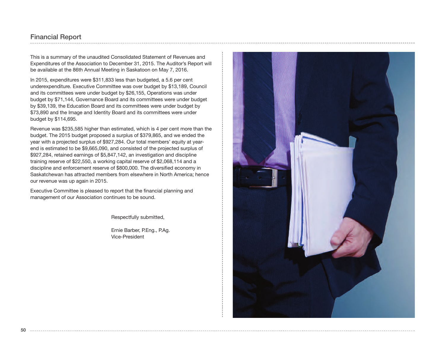## Financial Report

This is a summary of the unaudited Consolidated Statement of Revenues and Expenditures of the Association to December 31, 2015. The Auditor's Report will be available at the 86th Annual Meeting in Saskatoon on May 7, 2016.

In 2015, expenditures were \$311,833 less than budgeted, a 5.6 per cent underexpenditure. Executive Committee was over budget by \$13,189, Council and its committees were under budget by \$26,155, Operations was under budget by \$71,144, Governance Board and its committees were under budget by \$39,139, the Education Board and its committees were under budget by \$73,890 and the Image and Identity Board and its committees were under budget by \$114,695.

Revenue was \$235,585 higher than estimated, which is 4 per cent more than the budget. The 2015 budget proposed a surplus of \$379,865, and we ended the year with a projected surplus of \$927,284. Our total members' equity at yearend is estimated to be \$9,665,090, and consisted of the projected surplus of \$927,284, retained earnings of \$5,847,142, an investigation and discipline training reserve of \$22,550, a working capital reserve of \$2,068,114 and a discipline and enforcement reserve of \$800,000. The diversified economy in Saskatchewan has attracted members from elsewhere in North America; hence our revenue was up again in 2015.

Executive Committee is pleased to report that the financial planning and management of our Association continues to be sound.

Respectfully submitted,

Ernie Barber, P.Eng., P.Ag. Vice-President

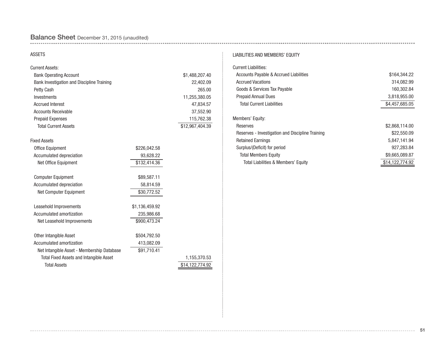## Balance Sheet December 31, 2015 (unaudited)

#### ASSETS

| <b>Current Assets:</b>                         |                |                 |
|------------------------------------------------|----------------|-----------------|
| <b>Bank Operating Account</b>                  |                | \$1,488,207.40  |
| Bank Investigation and Discipline Training     |                | 22,402.09       |
| Petty Cash                                     |                | 265.00          |
| Investments                                    |                | 11,255,380.05   |
| <b>Accrued Interest</b>                        |                | 47,834.57       |
| <b>Accounts Receivable</b>                     |                | 37,552.90       |
| <b>Prepaid Expenses</b>                        |                | 115,762.38      |
| <b>Total Current Assets</b>                    |                | \$12,967,404.39 |
| <b>Fixed Assets</b>                            |                |                 |
| <b>Office Equipment</b>                        | \$226,042.58   |                 |
| Accumulated depreciation                       | 93,628.22      |                 |
| Net Office Equipment                           | \$132,414.36   |                 |
| <b>Computer Equipment</b>                      | \$89,587.11    |                 |
| Accumulated depreciation                       | 58,814.59      |                 |
| Net Computer Equipment                         | \$30,772.52    |                 |
| Leasehold Improvements                         | \$1,136,459.92 |                 |
| Accumulated amortization                       | 235,986.68     |                 |
| Net Leasehold Improvements                     | \$900,473.24   |                 |
| Other Intangible Asset                         | \$504,792.50   |                 |
| Accumulated amortization                       | 413,082.09     |                 |
| Net Intangible Asset - Membership Database     | \$91,710.41    |                 |
| <b>Total Fixed Assets and Intangible Asset</b> |                | 1,155,370.53    |
| <b>Total Assets</b>                            |                | \$14,122,774.92 |

#### LIABILITIES AND MEMBERS' EQUITY

| <b>Current Liabilities:</b>                      |                 |
|--------------------------------------------------|-----------------|
| Accounts Payable & Accrued Liabilities           | \$164,344.22    |
| <b>Accrued Vacations</b>                         | 314.082.99      |
| Goods & Services Tax Payable                     | 160,302.84      |
| <b>Prepaid Annual Dues</b>                       | 3,818,955.00    |
| <b>Total Current Liabilities</b>                 | \$4,457,685.05  |
| Members' Equity:                                 |                 |
| Reserves                                         | \$2,868,114.00  |
| Reserves - Investigation and Discipline Training | \$22,550.09     |
| <b>Retained Earnings</b>                         | 5.847.141.94    |
| Surplus/(Deficit) for period                     | 927,283.84      |
| <b>Total Members Equity</b>                      | \$9,665,089.87  |
| Total Liabilities & Members' Equity              | \$14.122.774.92 |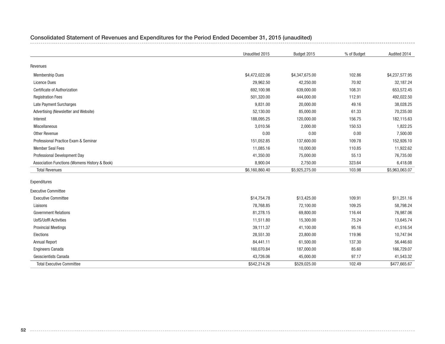|                                               | Unaudited 2015 | Budget 2015    | % of Budget | Audited 2014   |
|-----------------------------------------------|----------------|----------------|-------------|----------------|
| Revenues                                      |                |                |             |                |
| <b>Membership Dues</b>                        | \$4,472,022.06 | \$4,347,675.00 | 102.86      | \$4,237,577.95 |
| <b>Licence Dues</b>                           | 29,962.50      | 42,250.00      | 70.92       | 32,187.24      |
| <b>Certificate of Authorization</b>           | 692,100.98     | 639,000.00     | 108.31      | 653,572.45     |
| <b>Registration Fees</b>                      | 501,320.00     | 444,000.00     | 112.91      | 492,022.50     |
| <b>Late Payment Surcharges</b>                | 9,831.00       | 20,000.00      | 49.16       | 38,028.25      |
| Advertising (Newsletter and Website)          | 52,130.00      | 85,000.00      | 61.33       | 70,235.00      |
| Interest                                      | 188,095.25     | 120,000.00     | 156.75      | 182,115.63     |
| Miscellaneous                                 | 3,010.56       | 2,000.00       | 150.53      | 1,822.25       |
| Other Revenue                                 | 0.00           | 0.00           | 0.00        | 7,500.00       |
| Professional Practice Exam & Seminar          | 151,052.85     | 137,600.00     | 109.78      | 152,926.10     |
| <b>Member Seal Fees</b>                       | 11,085.16      | 10,000.00      | 110.85      | 11,922.62      |
| Professional Development Day                  | 41,350.00      | 75,000.00      | 55.13       | 76,735.00      |
| Association Functions (Womens History & Book) | 8,900.04       | 2,750.00       | 323.64      | 6,418.08       |
| <b>Total Revenues</b>                         | \$6,160,860.40 | \$5,925,275.00 | 103.98      | \$5,963,063.07 |
| Expenditures                                  |                |                |             |                |
| <b>Executive Committee</b>                    |                |                |             |                |
| <b>Executive Committee</b>                    | \$14,754.78    | \$13,425.00    | 109.91      | \$11,251.16    |
| Liaisons                                      | 78,768.85      | 72,100.00      | 109.25      | 58,798.24      |
| <b>Government Relations</b>                   | 81,278.15      | 69,800.00      | 116.44      | 76,987.06      |
| <b>UofS/UofR Activities</b>                   | 11,511.80      | 15,300.00      | 75.24       | 13,645.74      |
| <b>Provincial Meetings</b>                    | 39,111.37      | 41,100.00      | 95.16       | 41,516.54      |
| Elections                                     | 28,551.30      | 23,800.00      | 119.96      | 10,747.94      |
| <b>Annual Report</b>                          | 84,441.11      | 61,500.00      | 137.30      | 56,446.60      |
| <b>Engineers Canada</b>                       | 160,070.84     | 187,000.00     | 85.60       | 166,729.07     |
| Geoscientists Canada                          | 43,726.06      | 45,000.00      | 97.17       | 41,543.32      |
| <b>Total Executive Committee</b>              | \$542,214.26   | \$529,025.00   | 102.49      | \$477,665.67   |

## Consolidated Statement of Revenues and Expenditures for the Period Ended December 31, 2015 (unaudited)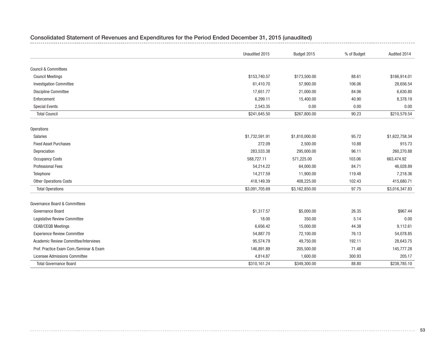|                                         | Unaudited 2015 | Budget 2015    | % of Budget | Audited 2014   |
|-----------------------------------------|----------------|----------------|-------------|----------------|
|                                         |                |                |             |                |
| <b>Council &amp; Committees</b>         |                |                |             |                |
| <b>Council Meetings</b>                 | \$153,740.57   | \$173,500.00   | 88.61       | \$166,914.01   |
| <b>Investigation Committee</b>          | 61,410.70      | 57,900.00      | 106.06      | 28,656.54      |
| <b>Discipline Committee</b>             | 17,651.77      | 21,000.00      | 84.06       | 6,630.80       |
| Enforcement                             | 6,299.11       | 15,400.00      | 40.90       | 8,378.19       |
| <b>Special Events</b>                   | 2,543.35       | 0.00           | 0.00        | 0.00           |
| <b>Total Council</b>                    | \$241,645.50   | \$267,800.00   | 90.23       | \$210,579.54   |
| <b>Operations</b>                       |                |                |             |                |
| Salaries                                | \$1,732,591.91 | \$1,810,000.00 | 95.72       | \$1,622,758.34 |
| <b>Fixed Asset Purchases</b>            | 272.09         | 2,500.00       | 10.88       | 915.73         |
| Depreciation                            | 283,533.38     | 295,000.00     | 96.11       | 260,270.88     |
| <b>Occupancy Costs</b>                  | 588,727.11     | 571,225.00     | 103.06      | 663,474.92     |
| <b>Professional Fees</b>                | 54,214.22      | 64,000.00      | 84.71       | 46,028.89      |
| Telephone                               | 14,217.59      | 11,900.00      | 119.48      | 7,218.36       |
| Other Operations Costs                  | 418,149.39     | 408,225.00     | 102.43      | 415,680.71     |
| <b>Total Operations</b>                 | \$3,091,705.69 | \$3,162,850.00 | 97.75       | \$3,016,347.83 |
| Governance Board & Committees           |                |                |             |                |
| Governance Board                        | \$1,317.57     | \$5,000.00     | 26.35       | \$967.44       |
| Legislative Review Committee            | 18.00          | 350.00         | 5.14        | 0.00           |
| <b>CEAB/CEQB Meetings</b>               | 6,656.42       | 15,000.00      | 44.38       | 9,112.61       |
| <b>Experience Review Committee</b>      | 54,887.70      | 72,100.00      | 76.13       | 54,078.85      |
| Academic Review Committee/Interviews    | 95,574.79      | 49,750.00      | 192.11      | 28,643.75      |
| Prof. Practice Exam Com./Seminar & Exam | 146,891.89     | 205,500.00     | 71.48       | 145,777.28     |
| Licensee Admissions Committee           | 4,814.87       | 1,600.00       | 300.93      | 205.17         |
| <b>Total Governance Board</b>           | \$310,161.24   | \$349,300.00   | 88.80       | \$238,785.10   |

## Consolidated Statement of Revenues and Expenditures for the Period Ended December 31, 2015 (unaudited)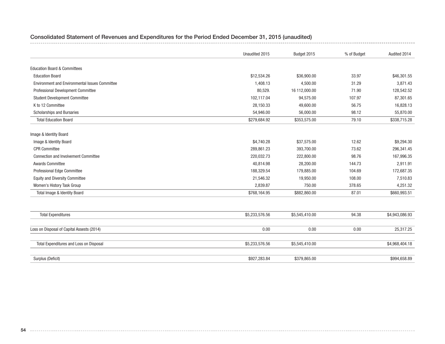|                                                | Unaudited 2015 | Budget 2015    | % of Budget | Audited 2014   |
|------------------------------------------------|----------------|----------------|-------------|----------------|
|                                                |                |                |             |                |
| <b>Education Board &amp; Committees</b>        |                |                |             |                |
| <b>Education Board</b>                         | \$12,534.26    | \$36,900.00    | 33.97       | \$46,301.55    |
| Environment and Environmental Issues Committee | 1,408.13       | 4,500.00       | 31.29       | 3,871.43       |
| Professional Development Committee             | 80,529.        | 16 112,000.00  | 71.90       | 128,542.52     |
| <b>Student Development Committee</b>           | 102,117.04     | 94,575.00      | 107.97      | 87,301.65      |
| K to 12 Committee                              | 28,150.33      | 49,600.00      | 56.75       | 16,828.13      |
| Scholarships and Bursaries                     | 54,946.00      | 56,000.00      | 98.12       | 55,870.00      |
| <b>Total Education Board</b>                   | \$279,684.92   | \$353,575.00   | 79.10       | \$338,715.28   |
|                                                |                |                |             |                |
| Image & Identity Board                         |                |                |             |                |
| Image & Identity Board                         | \$4,740.28     | \$37,575.00    | 12.62       | \$9,294.30     |
| <b>CPR Committee</b>                           | 289,861.23     | 393,700.00     | 73.62       | 296,341.45     |
| <b>Connection and Involvement Committee</b>    | 220,032.73     | 222,800.00     | 98.76       | 167,996.35     |
| <b>Awards Committee</b>                        | 40,814.98      | 28,200.00      | 144.73      | 2,911.91       |
| Professional Edge Committee                    | 188,329.54     | 179,885.00     | 104.69      | 172,687.35     |
| <b>Equity and Diversity Committee</b>          | 21,546.32      | 19,950.00      | 108.00      | 7,510.83       |
| Women's History Task Group                     | 2,839.87       | 750.00         | 378.65      | 4,251.32       |
| Total Image & Identity Board                   | \$768,164.95   | \$882,860.00   | 87.01       | \$660,993.51   |
|                                                |                |                |             |                |
| <b>Total Expenditures</b>                      | \$5,233,576.56 | \$5,545,410.00 | 94.38       | \$4,943,086.93 |
|                                                |                |                |             |                |
| Loss on Disposal of Capital Assests (2014)     | 0.00           | 0.00           | 0.00        | 25,317.25      |
|                                                |                |                |             |                |
| Total Expenditures and Loss on Disposal        | \$5,233,576.56 | \$5,545,410.00 |             | \$4,968,404.18 |
| Surplus (Deficit)                              | \$927,283.84   | \$379,865.00   |             | \$994,658.89   |
|                                                |                |                |             |                |

## Consolidated Statement of Revenues and Expenditures for the Period Ended December 31, 2015 (unaudited)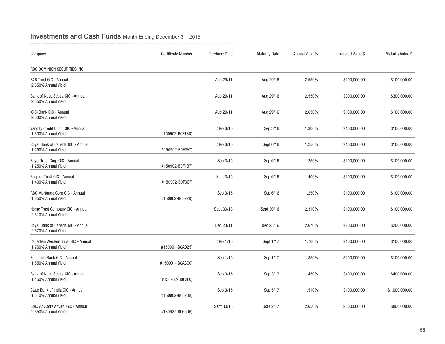## Investments and Cash Funds Month Ending December 31, 2015

| Company                                                         | Certificate Number | <b>Purchase Date</b> | <b>Maturity Date</b> | Annual Yield % | <b>Invested Value \$</b> | Maturity Value \$ |
|-----------------------------------------------------------------|--------------------|----------------------|----------------------|----------------|--------------------------|-------------------|
| RBC DOMINION SECURITIES INC.                                    |                    |                      |                      |                |                          |                   |
| <b>B2B Trust GIC - Annual</b><br>(2.550% Annual Yield)          |                    | Aug 29/11            | Aug 29/16            | 2.550%         | \$100,000.00             | \$100,000.00      |
| Bank of Nova Scotia GIC - Annual<br>(2.550% Annual Yield        |                    | Aug 29/11            | Aug 29/16            | 2.550%         | \$300,000.00             | \$300,000.00      |
| <b>ICICI Bank GIC - Annual</b><br>(2.630% Annual Yield)         |                    | Aug 29/11            | Aug 29/16            | 2.630%         | \$100,000.00             | \$100,000.00      |
| Vancity Credit Union GIC - Annual<br>(1.300% Annual Yield       | #150902-B0F13D)    | Sep 3/15             | Sep 3/16             | 1.300%         | \$100,000.00             | \$100,000.00      |
| Royal Bank of Canada GIC - Annual<br>(1.250% Annual Yield       | #150902-B0F2A7)    | Sep 3/15             | Sept 6/16            | 1.250%         | \$100,000.00             | \$100,000.00      |
| Royal Trust Corp GIC - Annual<br>(1.250% Annual Yield           | #150902-B0F1B7)    | Sep 3/15             | Sep 6/16             | 1.250%         | \$100,000.00             | \$100,000.00      |
| Peoples Trust GIC - Annual<br>(1.400% Annual Yield              | #150902-B0F0CF)    | Sept 3/15            | Sep 6/16             | 1.400%         | \$100,000.00             | \$100,000.00      |
| RBC Mortgage Corp GIC - Annual<br>(1.250% Annual Yield          | #150902-B0F22D)    | Sep 3/15             | Sep 6/16             | 1.250%         | \$100,000.00             | \$100,000.00      |
| Home Trust Company GIC - Annual<br>(2.310% Annual Yield)        |                    | Sept 30/13           | Sept 30/16           | 2.310%         | \$100,000.00             | \$100,000.00      |
| Royal Bank of Canada GIC - Annual<br>(2.670% Annual Yield)      |                    | Dec 23/11            | Dec 23/16            | 2.670%         | \$200,000.00             | \$200,000.00      |
| Canadian Western Trust GIC - Annual<br>(1.760% Annual Yield     | #150901-B0AD25)    | Sep 1/15             | Sept 1/17            | 1.760%         | \$100,000.00             | \$100,000.00      |
| Equitable Bank GIC - Annual<br>(1.850% Annual Yield             | #150901-B0ACC0)    | Sep 1/15             | Sep 1/17             | 1.850%         | \$100,000.00             | \$100,000.00      |
| Bank of Nova Scotia GIC - Annual<br>(1.450% Annual Yield        | #150902-B0F2F0)    | Sep 3/15             | Sep 3/17             | 1.450%         | \$400,000.00             | \$400,000.00      |
| State Bank of India GIC - Annual<br>(1.510% Annual Yield        | #150902-B0F2D8)    | Sep 3/15             | Sep 5/17             | 1.510%         | \$100,000.00             | \$1,000,000.00    |
| <b>BMO Advisors Advan, GIC - Annual</b><br>(2.650% Annual Yield | #130927-B066D6)    | Sept 30/13           | Oct 02/17            | 2.650%         | \$800,000.00             | \$800,000.00      |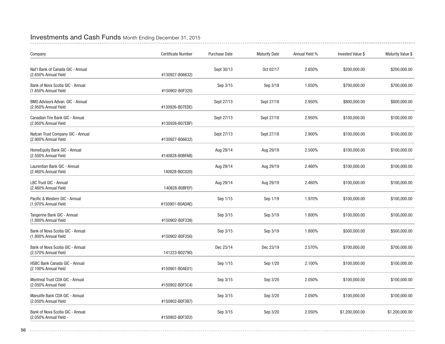## Investments and Cash Funds Month Ending December 31, 2015

| Company                                                    | <b>Certificate Number</b> | <b>Purchase Date</b> | <b>Maturity Date</b> | Annual Yield % | <b>Invested Value \$</b> | Maturity Value \$ |
|------------------------------------------------------------|---------------------------|----------------------|----------------------|----------------|--------------------------|-------------------|
| Nat'l Bank of Canada GIC - Annual<br>(2.650% Annual Yield  | #130927-B06632)           | Sept 30/13           | Oct 02/17            | 2.650%         | \$200,000.00             | \$200,000.00      |
| Bank of Nova Scotia GIC - Annual<br>(1.650% Annual Yield   | #150902-B0F320)           | Sep 3/15             | Sep 3/18             | 1.650%         | \$700,000.00             | \$700,000.00      |
| BMO Advisors Advan. GIC - Annual<br>(2.950% Annual Yield   | #130926-B07EDE)           | Sept 27/13           | Sept 27/18           | 2.950%         | \$800,000.00             | \$800,000.00      |
| Canadian Tire Bank GIC - Annual<br>(2.950% Annual Yield    | #130926-B07EBF)           | Sept 27/13           | Sept 27/18           | 2.950%         | \$100,000.00             | \$100,000.00      |
| Natcan Trust Company GIC - Annual<br>(2.900% Annual Yield  | #130927-B06632)           | Sept 27/13           | Sept 27/18           | 2.900%         | \$100,000.00             | \$100,000.00      |
| HomeEquity Bank GIC - Annual<br>(2.500% Annual Yield       | #140828-B0BFAB)           | Aug 29/14            | Aug 29/19            | 2.500%         | \$100,000.00             | \$100,000.00      |
| Laurentian Bank GIC - Annual<br>(2.460% Annual Yield       | 140828-B0C020)            | Aug 29/14            | Aug 29/19            | 2.460%         | \$100,000.00             | \$100,000.00      |
| LBC Trust GIC - Annual<br>(2.460% Annual Yield             | 140828-B0BFEF)            | Aug 29/14            | Aug 29/19            | 2.460%         | \$100,000.00             | \$100,000.00      |
| Pacific & Western GIC - Annual<br>(1.970% Annual Yield     | #150901-B0ADAE)           | Sep 1/15             | Sep 1/19             | 1.970%         | \$100,000.00             | \$100,000.00      |
| Tangerine Bank GIC - Annual<br>(1.800% Annual Yield        | #150902-B0F338)           | Sep 3/15             | Sep 3/19             | 1.800%         | \$100,000.00             | \$100,000.00      |
| Bank of Nova Scotia GIC - Annual<br>(1.800% Annual Yield   | #150902-B0F356)           | Sep 3/15             | Sep 3/19             | 1.800%         | \$500,000.00             | \$500,000.00      |
| Bank of Nova Scotia GIC - Annual<br>(2.570% Annual Yield   | 141223-B02790)            | Dec 23/14            | Dec 23/19            | 2.570%         | \$700,000.00             | \$700,000.00      |
| HSBC Bank Canada GIC - Annual<br>(2.100% Annual Yield      | #150901-B0AE01)           | Sep 1/15             | Sep 1/20             | 2.100%         | \$100,000.00             | \$100,000.00      |
| Montreal Trust CDA GIC - Annual<br>(2.050% Annual Yield    | #150902-B0F3C4)           | Sep 3/15             | Sep 3/20             | 2.050%         | \$100,000.00             | \$100,000.00      |
| Manulife Bank CDA GIC - Annual<br>(2.050% Annual Yield     | #150902-B0F3B7)           | Sep 3/15             | Sep 3/20             | 2.050%         | \$100,000.00             | \$100,000.00      |
| Bank of Nova Scotia GIC - Annual<br>(2.050% Annual Yield - | #150902-B0F3D2)           | Sep 3/15             | Sep 3/20             | 2.050%         | \$1,200,000.00           | \$1,200,000.00    |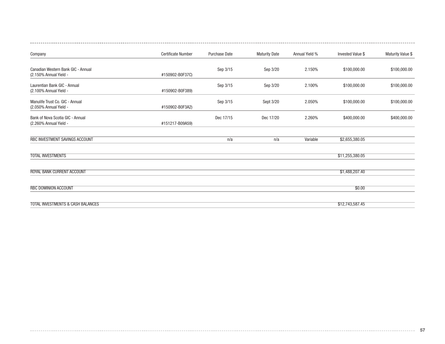| Company                                                      | <b>Certificate Number</b> | <b>Purchase Date</b> | <b>Maturity Date</b> | Annual Yield % | <b>Invested Value \$</b> | Maturity Value \$ |
|--------------------------------------------------------------|---------------------------|----------------------|----------------------|----------------|--------------------------|-------------------|
| Canadian Western Bank GIC - Annual<br>(2.150% Annual Yield - | #150902-B0F37C)           | Sep 3/15             | Sep 3/20             | 2.150%         | \$100,000.00             | \$100,000.00      |
| Laurentian Bank GIC - Annual<br>(2.100% Annual Yield -       | #150902-B0F389)           | Sep 3/15             | Sep 3/20             | 2.100%         | \$100,000.00             | \$100,000.00      |
| Manulife Trust Co. GIC - Annual<br>(2.050% Annual Yield -    | #150902-B0F3A2)           | Sep 3/15             | Sept 3/20            | 2.050%         | \$100,000.00             | \$100,000.00      |
| Bank of Nova Scotia GIC - Annual<br>(2.260% Annual Yield -   | #151217-B09A59)           | Dec 17/15            | Dec 17/20            | 2.260%         | \$400,000.00             | \$400,000.00      |
| RBC INVESTMENT SAVINGS ACCOUNT                               |                           | n/a                  | n/a                  | Variable       | \$2,655,380.05           |                   |
| <b>TOTAL INVESTMENTS</b>                                     |                           |                      |                      |                | \$11,255,380.05          |                   |
| ROYAL BANK CURRENT ACCOUNT                                   |                           |                      |                      |                | \$1,488,207.40           |                   |
| <b>RBC DOMINION ACCOUNT</b>                                  |                           |                      |                      |                | \$0.00                   |                   |
| <b>TOTAL INVESTMENTS &amp; CASH BALANCES</b>                 |                           |                      |                      |                | \$12,743,587.45          |                   |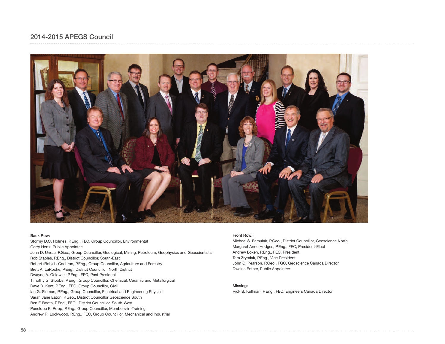

#### Back Row:

Stormy D.C. Holmes, P.Eng., FEC, Group Councillor, Environmental Gerry Hertz, Public Appointee John D. Unrau, P.Geo., Group Councillor, Geological, Mining, Petroleum, Geophysics and Geoscientists Rob Stables, P.Eng., District Councillor, South-East Robert (Bob) L. Cochran, P.Eng., Group Councillor, Agriculture and Forestry Brett A. LaRoche, P.Eng., District Councillor, North District Dwayne A. Gelowitz, P.Eng., FEC, Past President Timothy G. Stobbs, P.Eng., Group Councillor, Chemical, Ceramic and Metallurgical Dave D. Kent, P.Eng., FEC, Group Councillor, Civil Ian G. Sloman, P.Eng., Group Councillor, Electrical and Engineering Physics Sarah Jane Eaton, P.Geo., District Councillor Geoscience South Ben F. Boots, P.Eng., FEC, District Councillor, South-West Penelope K. Popp, P.Eng., Group Councillor, Members-in-Training Andrew R. Lockwood, P.Eng., FEC, Group Councillor, Mechanical and Industrial

#### Front Row:

Michael S. Famulak, P.Geo., District Councillor, Geoscience North Margaret Anne Hodges, P.Eng., FEC, President-Elect Andrew Loken, P.Eng., FEC, President Tara Zrymiak, P.Eng., Vice President John G. Pearson, P.Geo., FGC, Geoscience Canada Director Dwaine Entner, Public Appointee

#### Missing:

Rick B. Kullman, P.Eng., FEC, Engineers Canada Director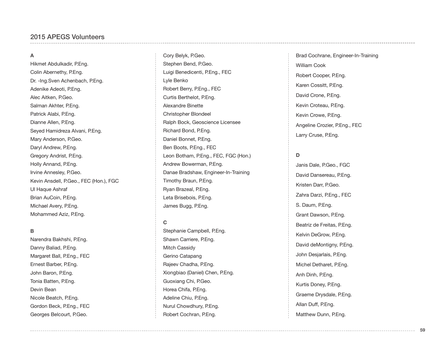#### **A**

Hikmet Abdulkadir, P.Eng. Colin Abernethy, P.Eng. Dr. -Ing.Sven Achenbach, P.Eng. Adenike Adeoti, P.Eng. Alec Aitken, P.Geo. Salman Akhter, P.Eng. Patrick Alabi, P.Eng. Dianne Allen, P.Eng. Seyed Hamidreza Alvani, P.Eng. Mary Anderson, P.Geo. Daryl Andrew, P.Eng. Gregory Andrist, P.Eng. Holly Annand, P.Eng. Irvine Annesley, P.Geo. Kevin Ansdell, P.Geo., FEC (Hon.), FGC Ul Haque Ashraf Brian AuCoin, P.Eng. Michael Avery, P.Eng. Mohammed Aziz, P.Eng.

#### **B**

Narendra Bakhshi, P.Eng. Danny Baliad, P.Eng. Margaret Ball, P.Eng., FEC Ernest Barber, P.Eng. John Baron, P.Eng. Tonia Batten, P.Eng. Devin Bean Nicole Beatch, P.Eng. Gordon Beck, P.Eng., FEC Georges Belcourt, P.Geo.

Cory Belyk, P.Geo. Stephen Bend, P.Geo. Luigi Benedicenti, P.Eng., FEC Lyle Benko Robert Berry, P.Eng., FEC Curtis Berthelot, P.Eng. Alexandre Binette Christopher Blondeel Ralph Bock, Geoscience Licensee Richard Bond, P.Eng. Daniel Bonnet, P.Eng. Ben Boots, P.Eng., FEC Leon Botham, P.Eng., FEC, FGC (Hon.) Andrew Bowerman, P.Eng. Danae Bradshaw, Engineer-In-Training Timothy Braun, P.Eng. Ryan Brazeal, P.Eng. Leta Brisebois, P.Eng. James Bugg, P.Eng.

#### **C**

Stephanie Campbell, P.Eng. Shawn Carriere, P.Eng. Mitch Cassidy Gerino Catapang Rajeev Chadha, P.Eng. Xiongbiao (Daniel) Chen, P.Eng. Guoxiang Chi, P.Geo. Horea Chifa, P.Eng. Adeline Chiu, P.Eng. Nurul Chowdhury, P.Eng. Robert Cochran, P.Eng.

Brad Cochrane, Engineer-In-Training William Cook Robert Cooper, P.Eng. Karen Cossitt, P.Eng. David Crone, P.Eng. Kevin Croteau, P.Eng. Kevin Crowe, P.Eng. Angeline Crozier, P.Eng., FEC Larry Cruse, P.Eng.

#### **D**

Janis Dale, P.Geo., FGC David Dansereau, P.Eng. Kristen Darr, P.Geo. Zahra Darzi, P.Eng., FEC S. Daum, P.Eng. Grant Dawson, P.Eng. Beatriz de Freitas, P.Eng. Kelvin DeGrow, P.Eng. David deMontigny, P.Eng. John Desjarlais, P.Eng. Michel Detharet, P.Eng. Anh Dinh, P.Eng. Kurtis Doney, P.Eng. Graeme Drysdale, P.Eng. Allan Duff, P.Eng. Matthew Dunn, P.Eng.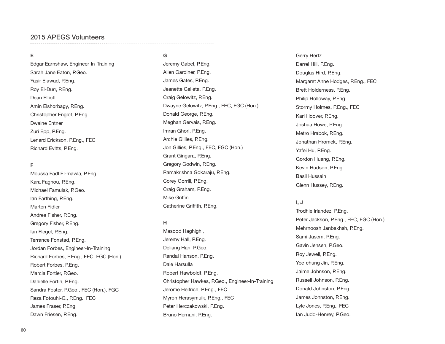### 2015 APEGS Volunteers

#### **E**

Edgar Earnshaw, Engineer-In-Training Sarah Jane Eaton, P.Geo. Yasir Elawad, P.Eng. Roy El-Durr, P.Eng. Dean Elliott Amin Elshorbagy, P.Eng. Christopher Englot, P.Eng. Dwaine Entner Zuri Epp, P.Eng. Lenard Erickson, P.Eng., FEC Richard Evitts, P.Eng.

#### **F**

Moussa Fadl El-mawla, P.Eng. Kara Fagnou, P.Eng. Michael Famulak, P.Geo. Ian Farthing, P.Eng. Marten Fidler Andrea Fisher, P.Eng. Gregory Fisher, P.Eng. Ian Flegel, P.Eng. Terrance Fonstad, P.Eng. Jordan Forbes, Engineer-In-Training Richard Forbes, P.Eng., FEC, FGC (Hon.) Robert Forbes, P.Eng. Marcia Fortier, P.Geo. Danielle Fortin, P.Eng. Sandra Foster, P.Geo., FEC (Hon.), FGC Reza Fotouhi-C., P.Eng., FEC James Fraser, P.Eng. Dawn Friesen, P.Eng.

## **G**

Jeremy Gabel, P.Eng. Allen Gardiner, P.Eng. James Gates, P.Eng. Jeanette Gelleta, P.Eng. Craig Gelowitz, P.Eng. Dwayne Gelowitz, P.Eng., FEC, FGC (Hon.) Donald George, P.Eng. Meghan Gervais, P.Eng. Imran Ghori, P.Eng. Archie Gillies, P.Eng. Jon Gillies, P.Eng., FEC, FGC (Hon.) Grant Gingara, P.Eng. Gregory Godwin, P.Eng. Ramakrishna Gokaraju, P.Eng. Corey Gorrill, P.Eng. Craig Graham, P.Eng. Mike Griffin Catherine Griffith, P.Eng.

#### **H**

Masood Haghighi, Jeremy Hall, P.Eng. Deliang Han, P.Geo. Randal Hanson, P.Eng. Dale Harsulla Robert Hawboldt, P.Eng. Christopher Hawkes, P.Geo., Engineer-In-Training Jerome Helfrich, P.Eng., FEC Myron Herasymuik, P.Eng., FEC Peter Herczakowski, P.Eng. Bruno Hernani, P.Eng.

#### Gerry Hertz

Darrel Hill, P.Eng. Douglas Hird, P.Eng. Margaret Anne Hodges, P.Eng., FEC Brett Holderness, P.Eng. Philip Holloway, P.Eng. Stormy Holmes, P.Eng., FEC Karl Hoover, P.Eng. Joshua Howe, P.Eng. Metro Hrabok, P.Eng. Jonathan Hromek, P.Eng. Yafei Hu, P.Eng. Gordon Huang, P.Eng. Kevin Hudson, P.Eng. Basil Hussain Glenn Hussey, P.Eng.

#### **I, J**

Trodhie Irlandez, P.Eng. Peter Jackson, P.Eng., FEC, FGC (Hon.) Mehrnoosh Janbakhsh, P.Eng. Sami Jasem, P.Eng. Gavin Jensen, P.Geo. Roy Jewell, P.Eng. Yee-chung Jin, P.Eng. Jaime Johnson, P.Eng. Russell Johnson, P.Eng. Donald Johnston, P.Eng. James Johnston, P.Eng. Lyle Jones, P.Eng., FEC Ian Judd-Henrey, P.Geo.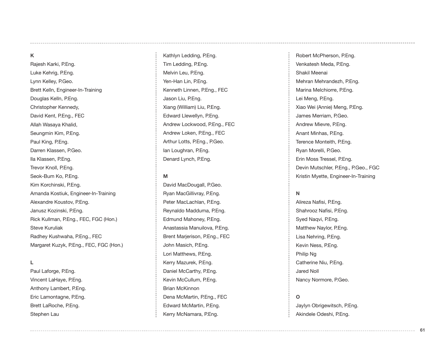### **K**

Rajesh Karki, P.Eng. Luke Kehrig, P.Eng. Lynn Kelley, P.Geo. Brett Kelln, Engineer-In-Training Douglas Kelln, P.Eng. Christopher Kennedy, David Kent, P.Eng., FEC Allah Wasaya Khalid, Seungmin Kim, P.Eng. Paul King, P.Eng. Darren Klassen, P.Geo. Ila Klassen, P.Eng. Trevor Knoll, P.Eng. Seok-Bum Ko, P.Eng. Kim Korchinski, P.Eng. Amanda Kostiuk, Engineer-In-Training Alexandre Koustov, P.Eng. Janusz Kozinski, P.Eng. Rick Kullman, P.Eng., FEC, FGC (Hon.) Steve Kuruliak Radhey Kushwaha, P.Eng., FEC Margaret Kuzyk, P.Eng., FEC, FGC (Hon.)

#### **L**

Paul Laforge, P.Eng. Vincent LaHaye, P.Eng. Anthony Lambert, P.Eng. Eric Lamontagne, P.Eng. Brett LaRoche, P.Eng. Stephen Lau

Kathlyn Ledding, P.Eng. Tim Ledding, P.Eng. Melvin Leu, P.Eng. Yen-Han Lin, P.Eng. Kenneth Linnen, P.Eng., FEC Jason Liu, P.Eng. Xiang (William) Liu, P.Eng. Edward Llewellyn, P.Eng. Andrew Lockwood, P.Eng., FEC Andrew Loken, P.Eng., FEC Arthur Lotts, P.Eng., P.Geo. Ian Loughran, P.Eng. Denard Lynch, P.Eng.

#### **M**

David MacDougall, P.Geo. Ryan MacGillivray, P.Eng. Peter MacLachlan, P.Eng. Reynaldo Madduma, P.Eng. Edmund Mahoney, P.Eng. Anastassia Manuilova, P.Eng. Brent Marjerison, P.Eng., FEC John Masich, P.Eng. Lori Matthews, P.Eng. Kerry Mazurek, P.Eng. Daniel McCarthy, P.Eng. Kevin McCullum, P.Eng. Brian McKinnon Dena McMartin, P.Eng., FEC Edward McMartin, P.Eng. Kerry McNamara, P.Eng.

Robert McPherson, P.Eng. Venkatesh Meda, P.Eng. Shakil Meenai Mehran Mehrandezh, P.Eng. Marina Melchiorre, P.Eng. Lei Meng, P.Eng. Xiao Wei (Annie) Meng, P.Eng. James Merriam, P.Geo. Andrew Mievre, P.Eng. Anant Minhas, P.Eng. Terence Monteith, P.Eng. Ryan Morelli, P.Geo. Erin Moss Tressel, P.Eng. Devin Mutschler, P.Eng., P.Geo., FGC Kristin Myette, Engineer-In-Training

#### **N**

Alireza Nafisi, P.Eng. Shahrooz Nafisi, P.Eng. Syed Naqvi, P.Eng. Matthew Naylor, P.Eng. Lisa Nehring, P.Eng. Kevin Ness, P.Eng. Philip Ng Catherine Niu, P.Eng. Jared Noll Nancy Normore, P.Geo.

#### **O**

Jaylyn Obrigewitsch, P.Eng. Akindele Odeshi, P.Eng.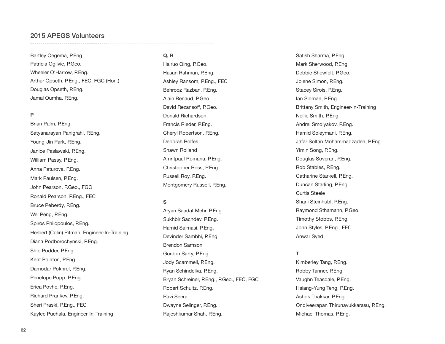#### 2015 APEGS Volunteers

Bartley Oegema, P.Eng. Patricia Ogilvie, P.Geo. Wheeler O'Harrow, P.Eng. Arthur Opseth, P.Eng., FEC, FGC (Hon.) Douglas Opseth, P.Eng. Jamal Oumha, P.Eng.

#### **P**

Brian Palm, P.Eng. Satyanarayan Panigrahi, P.Eng. Young-Jin Park, P.Eng. Janice Paslawski, P.Eng. William Passy, P.Eng. Anna Paturova, P.Eng. Mark Paulsen, P.Eng. John Pearson, P.Geo., FGC Ronald Pearson, P.Eng., FEC Bruce Peberdy, P.Eng. Wei Peng, P.Eng. Spiros Philopoulos, P.Eng. Herbert (Colin) Pitman, Engineer-In-Training Diana Podborochynski, P.Eng. Shib Podder, P.Eng. Kent Pointon, P.Eng. Damodar Pokhrel, P.Eng. Penelope Popp, P.Eng. Erica Povhe, P.Eng. Richard Prankev, P.Eng. Sheri Praski, P.Eng., FEC Kaylee Puchala, Engineer-In-Training

#### **Q, R**

Hairuo Qing, P.Geo. Hasan Rahman, P.Eng. Ashley Ransom, P.Eng., FEC Behrooz Razban, P.Eng. Alain Renaud, P.Geo. David Rezansoff, P.Geo. Donald Richardson, Francis Rieder, P.Eng. Cheryl Robertson, P.Eng. Deborah Rolfes Shawn Rolland Amritpaul Romana, P.Eng. Christopher Ross, P.Eng. Russell Roy, P.Eng. Montgomery Russell, P.Eng.

#### **S**

Aryan Saadat Mehr, P.Eng. Sukhbir Sachdev, P.Eng. Hamid Salmasi, P.Eng. Devinder Sambhi, P.Eng. Brendon Samson Gordon Sarty, P.Eng. Jody Scammell, P.Eng. Ryan Schindelka, P.Eng. Bryan Schreiner, P.Eng., P.Geo., FEC, FGC Robert Schultz, P.Eng. Ravi Seera Dwayne Selinger, P.Eng. Rajeshkumar Shah, P.Eng.

Satish Sharma, P.Eng. Mark Sherwood, P.Eng. Debbie Shewfelt, P.Geo. Jolene Simon, P.Eng. Stacey Sirois, P.Eng. Ian Sloman, P.Eng. Brittany Smith, Engineer-In-Training Neilie Smith, P.Eng. Andrei Smolyakov, P.Eng. Hamid Soleymani, P.Eng. Jafar Soltan Mohammadzadeh, P.Eng. Yimin Song, P.Eng. Douglas Soveran, P.Eng. Rob Stables, P.Eng. Catharine Starkell, P.Eng. Duncan Starling, P.Eng. Curtis Steele Shani Steinhubl, P.Eng. Raymond Sthamann, P.Geo. Timothy Stobbs, P.Eng. John Styles, P.Eng., FEC Anwar Syed

### **T**

Kimberley Tang, P.Eng. Robby Tanner, P.Eng. Vaughn Teasdale, P.Eng. Hsiang-Yung Teng, P.Eng. Ashok Thakkar, P.Eng. Ondiveerapan Thirunavukkarasu, P.Eng. Michael Thomas, P.Eng.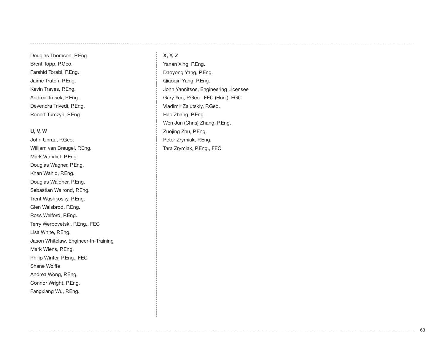Douglas Thomson, P.Eng. Brent Topp, P.Geo. Farshid Torabi, P.Eng. Jaime Tratch, P.Eng. Kevin Traves, P.Eng. Andrea Tresek, P.Eng. Devendra Trivedi, P.Eng. Robert Turczyn, P.Eng.

#### **U, V, W**

John Unrau, P.Geo. William van Breugel, P.Eng. Mark VanVliet, P.Eng. Douglas Wagner, P.Eng. Khan Wahid, P.Eng. Douglas Waldner, P.Eng. Sebastian Walrond, P.Eng. Trent Washkosky, P.Eng. Glen Weisbrod, P.Eng. Ross Welford, P.Eng. Terry Werbovetski, P.Eng., FEC Lisa White, P.Eng. Jason Whitelaw, Engineer-In-Training Mark Wiens, P.Eng. Philip Winter, P.Eng., FEC Shane Wolffe Andrea Wong, P.Eng. Connor Wright, P.Eng. Fangxiang Wu, P.Eng.

### **X, Y, Z**

Yanan Xing, P.Eng. Daoyong Yang, P.Eng. Qiaoqin Yang, P.Eng. John Yannitsos, Engineering Licensee Gary Yeo, P.Geo., FEC (Hon.), FGC Vladimir Zalutskiy, P.Geo. Hao Zhang, P.Eng. Wen Jun (Chris) Zhang, P.Eng. Zuojing Zhu, P.Eng. Peter Zrymiak, P.Eng. Tara Zrymiak, P.Eng., FEC